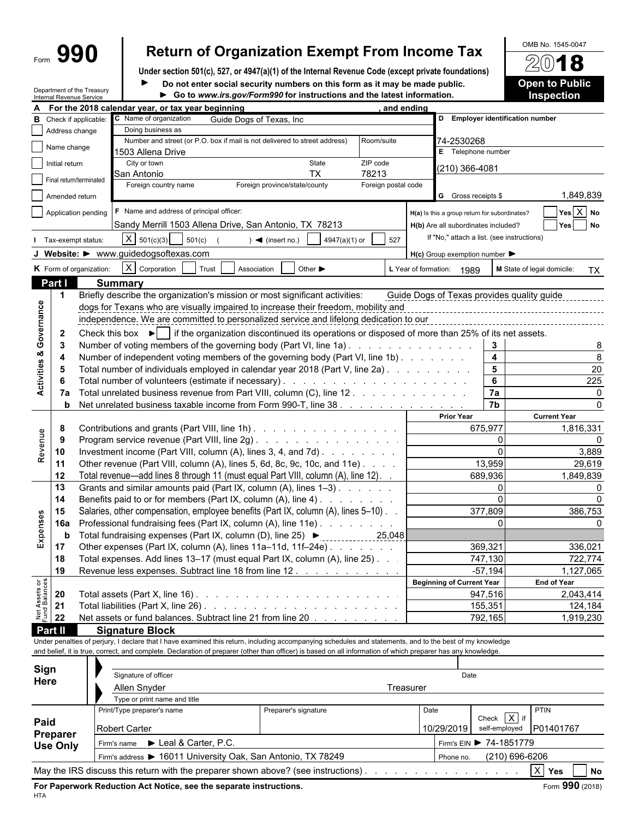# Form  $\mathbf{990}$  Return of Organization Exempt From Income Tax  $\frac{\text{OMB No. 1545-0047}}{\text{Al(0)}\text{ dB}}$

**Under section 501(c), 527, or 4947(a)(1) of the Internal Revenue Code (except private foundations) Do not enter social security numbers on this form as it may be made public. <br>
<b>Open to Public**  $\blacktriangleright$ 

| Department of the Treasury |  |
|----------------------------|--|
| Internal Revenue Service   |  |

▶ Go to *www.irs.gov/Form990* for instructions and the latest information. **Inspection** 

|                                |                               |                                                                                                                                                                     | For the 2018 calendar year, or tax year beginning                                                                                                                                |                          |                                                                                                                                                              | and ending          |                      |                                     |                                                     |                                         |  |  |  |  |  |  |
|--------------------------------|-------------------------------|---------------------------------------------------------------------------------------------------------------------------------------------------------------------|----------------------------------------------------------------------------------------------------------------------------------------------------------------------------------|--------------------------|--------------------------------------------------------------------------------------------------------------------------------------------------------------|---------------------|----------------------|-------------------------------------|-----------------------------------------------------|-----------------------------------------|--|--|--|--|--|--|
|                                | <b>B</b> Check if applicable: |                                                                                                                                                                     | C Name of organization                                                                                                                                                           | Guide Dogs of Texas, Inc |                                                                                                                                                              |                     |                      |                                     | D Employer identification number                    |                                         |  |  |  |  |  |  |
|                                | Address change                |                                                                                                                                                                     | Doing business as                                                                                                                                                                |                          |                                                                                                                                                              |                     |                      |                                     |                                                     |                                         |  |  |  |  |  |  |
|                                | Name change                   |                                                                                                                                                                     | Number and street (or P.O. box if mail is not delivered to street address)<br>Room/suite                                                                                         |                          |                                                                                                                                                              |                     |                      | 74-2530268                          |                                                     |                                         |  |  |  |  |  |  |
|                                |                               |                                                                                                                                                                     | 1503 Allena Drive                                                                                                                                                                |                          |                                                                                                                                                              |                     |                      | E Telephone number                  |                                                     |                                         |  |  |  |  |  |  |
|                                | Initial return                |                                                                                                                                                                     | City or town                                                                                                                                                                     |                          | State                                                                                                                                                        | ZIP code            |                      | (210) 366-4081                      |                                                     |                                         |  |  |  |  |  |  |
|                                | Final return/terminated       |                                                                                                                                                                     | San Antonio                                                                                                                                                                      |                          | <b>TX</b>                                                                                                                                                    | 78213               |                      |                                     |                                                     |                                         |  |  |  |  |  |  |
|                                |                               |                                                                                                                                                                     | Foreign country name                                                                                                                                                             |                          | Foreign province/state/county                                                                                                                                | Foreign postal code |                      | G Gross receipts \$                 |                                                     |                                         |  |  |  |  |  |  |
|                                | Amended return                |                                                                                                                                                                     |                                                                                                                                                                                  |                          |                                                                                                                                                              |                     |                      |                                     |                                                     | 1,849,839                               |  |  |  |  |  |  |
|                                |                               | Application pending                                                                                                                                                 | F Name and address of principal officer:                                                                                                                                         |                          |                                                                                                                                                              |                     |                      |                                     | H(a) Is this a group return for subordinates?       | $Yes \overline{X} No$                   |  |  |  |  |  |  |
|                                |                               |                                                                                                                                                                     |                                                                                                                                                                                  |                          | Sandy Merrill 1503 Allena Drive, San Antonio, TX 78213                                                                                                       |                     |                      |                                     | H(b) Are all subordinates included?                 | Yes No                                  |  |  |  |  |  |  |
|                                | Tax-exempt status:            |                                                                                                                                                                     | $X \mid 501(c)(3)$                                                                                                                                                               | $501(c)$ (               | 4947(a)(1) or<br>$\blacktriangleleft$ (insert no.)                                                                                                           | 527                 |                      |                                     | If "No," attach a list. (see instructions)          |                                         |  |  |  |  |  |  |
|                                |                               |                                                                                                                                                                     | J Website: > www.guidedogsoftexas.com                                                                                                                                            |                          |                                                                                                                                                              |                     |                      |                                     |                                                     |                                         |  |  |  |  |  |  |
|                                |                               |                                                                                                                                                                     |                                                                                                                                                                                  |                          |                                                                                                                                                              |                     |                      |                                     | $H(c)$ Group exemption number $\blacktriangleright$ |                                         |  |  |  |  |  |  |
|                                |                               | K Form of organization:                                                                                                                                             | X Corporation                                                                                                                                                                    | Trust<br>Association     | Other $\blacktriangleright$                                                                                                                                  |                     | L Year of formation: | 1989                                |                                                     | M State of legal domicile:<br><b>TX</b> |  |  |  |  |  |  |
|                                | Part I                        |                                                                                                                                                                     | <b>Summary</b>                                                                                                                                                                   |                          |                                                                                                                                                              |                     |                      |                                     |                                                     |                                         |  |  |  |  |  |  |
|                                | -1                            |                                                                                                                                                                     |                                                                                                                                                                                  |                          | Briefly describe the organization's mission or most significant activities:                                                                                  |                     |                      |                                     | Guide Dogs of Texas provides quality guide          |                                         |  |  |  |  |  |  |
| Governance                     |                               | dogs for Texans who are visually impaired to increase their freedom, mobility and                                                                                   |                                                                                                                                                                                  |                          |                                                                                                                                                              |                     |                      |                                     |                                                     |                                         |  |  |  |  |  |  |
|                                |                               |                                                                                                                                                                     |                                                                                                                                                                                  |                          | independence. We are committed to personalized service and lifelong dedication to our                                                                        |                     |                      |                                     |                                                     |                                         |  |  |  |  |  |  |
|                                | $\overline{2}$                |                                                                                                                                                                     |                                                                                                                                                                                  |                          | Check this box $\blacktriangleright$   if the organization discontinued its operations or disposed of more than 25% of its net assets.                       |                     |                      |                                     |                                                     |                                         |  |  |  |  |  |  |
|                                | -3                            |                                                                                                                                                                     |                                                                                                                                                                                  |                          | Number of voting members of the governing body (Part VI, line 1a)                                                                                            |                     |                      |                                     | $\mathbf{3}$                                        | 8                                       |  |  |  |  |  |  |
|                                | 4                             |                                                                                                                                                                     |                                                                                                                                                                                  |                          | Number of independent voting members of the governing body (Part VI, line 1b)                                                                                |                     |                      |                                     | 4                                                   | 8                                       |  |  |  |  |  |  |
| <b>Activities &amp;</b>        | -5                            |                                                                                                                                                                     |                                                                                                                                                                                  |                          |                                                                                                                                                              |                     |                      |                                     | $\overline{\mathbf{5}}$                             | 20                                      |  |  |  |  |  |  |
|                                | 6                             | Total number of individuals employed in calendar year 2018 (Part V, line 2a)                                                                                        |                                                                                                                                                                                  |                          |                                                                                                                                                              |                     |                      |                                     | 6                                                   | 225                                     |  |  |  |  |  |  |
|                                |                               | Total unrelated business revenue from Part VIII, column (C), line 12<br>7a                                                                                          |                                                                                                                                                                                  |                          |                                                                                                                                                              |                     |                      |                                     | 7a                                                  | 0                                       |  |  |  |  |  |  |
|                                | b                             |                                                                                                                                                                     |                                                                                                                                                                                  |                          |                                                                                                                                                              |                     |                      |                                     | $\overline{7b}$                                     | ∩                                       |  |  |  |  |  |  |
|                                |                               |                                                                                                                                                                     | Net unrelated business taxable income from Form 990-T, line 38                                                                                                                   |                          |                                                                                                                                                              |                     |                      | <b>Prior Year</b>                   |                                                     | <b>Current Year</b>                     |  |  |  |  |  |  |
|                                | 8                             |                                                                                                                                                                     |                                                                                                                                                                                  |                          |                                                                                                                                                              |                     |                      |                                     | 675,977                                             | 1,816,331                               |  |  |  |  |  |  |
|                                |                               | Contributions and grants (Part VIII, line 1h)<br>Program service revenue (Part VIII, line 2g)<br>9<br>Investment income (Part VIII, column (A), lines 3, 4, and 7d) |                                                                                                                                                                                  |                          |                                                                                                                                                              |                     |                      |                                     | $\Omega$                                            | ∩                                       |  |  |  |  |  |  |
| Revenue                        | 10                            |                                                                                                                                                                     |                                                                                                                                                                                  |                          |                                                                                                                                                              |                     |                      |                                     | $\Omega$                                            | 3,889                                   |  |  |  |  |  |  |
|                                | 11                            |                                                                                                                                                                     |                                                                                                                                                                                  |                          | Other revenue (Part VIII, column (A), lines 5, 6d, 8c, 9c, 10c, and 11e)                                                                                     |                     |                      |                                     | 13,959                                              | 29,619                                  |  |  |  |  |  |  |
|                                |                               |                                                                                                                                                                     |                                                                                                                                                                                  |                          |                                                                                                                                                              |                     |                      |                                     | 689,936                                             |                                         |  |  |  |  |  |  |
|                                |                               | Total revenue—add lines 8 through 11 (must equal Part VIII, column (A), line 12). .<br>12<br>13<br>Grants and similar amounts paid (Part IX, column (A), lines 1-3) |                                                                                                                                                                                  |                          |                                                                                                                                                              |                     |                      |                                     |                                                     | 1,849,839                               |  |  |  |  |  |  |
|                                |                               |                                                                                                                                                                     |                                                                                                                                                                                  |                          |                                                                                                                                                              |                     |                      | $\mathbf{0}$<br>$\Omega$<br>377,809 |                                                     |                                         |  |  |  |  |  |  |
|                                | 14                            |                                                                                                                                                                     | Benefits paid to or for members (Part IX, column (A), line 4).<br>and a state of the state<br>Salaries, other compensation, employee benefits (Part IX, column (A), lines 5-10). |                          |                                                                                                                                                              |                     |                      |                                     |                                                     |                                         |  |  |  |  |  |  |
| Expenses                       | 15                            |                                                                                                                                                                     |                                                                                                                                                                                  |                          |                                                                                                                                                              |                     |                      |                                     |                                                     | 386,753                                 |  |  |  |  |  |  |
|                                | 16a                           | Professional fundraising fees (Part IX, column (A), line 11e)<br>Total fundraising expenses (Part IX, column (D), line 25) ▶<br>25,048<br>b                         |                                                                                                                                                                                  |                          |                                                                                                                                                              |                     |                      |                                     | $\Omega$                                            |                                         |  |  |  |  |  |  |
|                                |                               |                                                                                                                                                                     |                                                                                                                                                                                  |                          |                                                                                                                                                              |                     |                      |                                     |                                                     |                                         |  |  |  |  |  |  |
|                                | 17                            | Other expenses (Part IX, column (A), lines 11a-11d, 11f-24e)<br>Total expenses. Add lines 13-17 (must equal Part IX, column (A), line 25). .                        |                                                                                                                                                                                  |                          |                                                                                                                                                              |                     |                      |                                     | 369,321                                             | 336,021                                 |  |  |  |  |  |  |
|                                | 18                            |                                                                                                                                                                     |                                                                                                                                                                                  |                          |                                                                                                                                                              |                     |                      |                                     | 747,130                                             | 722,774                                 |  |  |  |  |  |  |
|                                | 19                            |                                                                                                                                                                     | Revenue less expenses. Subtract line 18 from line 12.                                                                                                                            |                          |                                                                                                                                                              |                     |                      |                                     | $-57,194$                                           | 1,127,065                               |  |  |  |  |  |  |
| Net Assets or<br>Fund Balances |                               |                                                                                                                                                                     |                                                                                                                                                                                  |                          |                                                                                                                                                              |                     |                      | <b>Beginning of Current Year</b>    |                                                     | <b>End of Year</b>                      |  |  |  |  |  |  |
|                                | 20                            |                                                                                                                                                                     |                                                                                                                                                                                  |                          |                                                                                                                                                              |                     |                      |                                     | 947,516                                             | 2,043,414                               |  |  |  |  |  |  |
|                                | 21                            |                                                                                                                                                                     |                                                                                                                                                                                  |                          |                                                                                                                                                              |                     |                      |                                     | 155,351                                             | 124,184                                 |  |  |  |  |  |  |
|                                | 22                            |                                                                                                                                                                     |                                                                                                                                                                                  |                          | Net assets or fund balances. Subtract line 21 from line 20                                                                                                   |                     |                      |                                     | 792,165                                             | 1,919,230                               |  |  |  |  |  |  |
|                                | <b>Part II</b>                |                                                                                                                                                                     | <b>Signature Block</b>                                                                                                                                                           |                          |                                                                                                                                                              |                     |                      |                                     |                                                     |                                         |  |  |  |  |  |  |
|                                |                               |                                                                                                                                                                     |                                                                                                                                                                                  |                          | Under penalties of perjury, I declare that I have examined this return, including accompanying schedules and statements, and to the best of my knowledge     |                     |                      |                                     |                                                     |                                         |  |  |  |  |  |  |
|                                |                               |                                                                                                                                                                     |                                                                                                                                                                                  |                          | and belief, it is true, correct, and complete. Declaration of preparer (other than officer) is based on all information of which preparer has any knowledge. |                     |                      |                                     |                                                     |                                         |  |  |  |  |  |  |
| Sign                           |                               |                                                                                                                                                                     |                                                                                                                                                                                  |                          |                                                                                                                                                              |                     |                      |                                     |                                                     |                                         |  |  |  |  |  |  |
| Here                           |                               |                                                                                                                                                                     | Signature of officer                                                                                                                                                             |                          |                                                                                                                                                              |                     |                      | Date                                |                                                     |                                         |  |  |  |  |  |  |
|                                |                               |                                                                                                                                                                     | Allen Snyder                                                                                                                                                                     |                          |                                                                                                                                                              |                     | Treasurer            |                                     |                                                     |                                         |  |  |  |  |  |  |
|                                |                               |                                                                                                                                                                     | Type or print name and title                                                                                                                                                     |                          |                                                                                                                                                              |                     |                      |                                     |                                                     |                                         |  |  |  |  |  |  |
|                                |                               |                                                                                                                                                                     | Print/Type preparer's name                                                                                                                                                       |                          | Preparer's signature                                                                                                                                         |                     | Date                 |                                     |                                                     | PTIN                                    |  |  |  |  |  |  |
| Paid                           |                               |                                                                                                                                                                     |                                                                                                                                                                                  |                          |                                                                                                                                                              |                     |                      |                                     | Check X if                                          |                                         |  |  |  |  |  |  |
|                                | Preparer                      |                                                                                                                                                                     | Robert Carter                                                                                                                                                                    |                          |                                                                                                                                                              |                     |                      | 10/29/2019                          | self-employed                                       | P01401767                               |  |  |  |  |  |  |
|                                | <b>Use Only</b>               |                                                                                                                                                                     | Leal & Carter, P.C.<br>Firm's name                                                                                                                                               |                          |                                                                                                                                                              |                     |                      |                                     | Firm's EIN ▶ 74-1851779                             |                                         |  |  |  |  |  |  |
|                                |                               |                                                                                                                                                                     |                                                                                                                                                                                  |                          | Firm's address > 16011 University Oak, San Antonio, TX 78249                                                                                                 |                     |                      | Phone no.                           | (210) 696-6206                                      |                                         |  |  |  |  |  |  |

May the IRS discuss this return with the preparer shown above? (see instructions) . . . . . . . . . . . . . . . . . . . . . . . . . . . . . . . . . . . . . . . . . X **Yes No**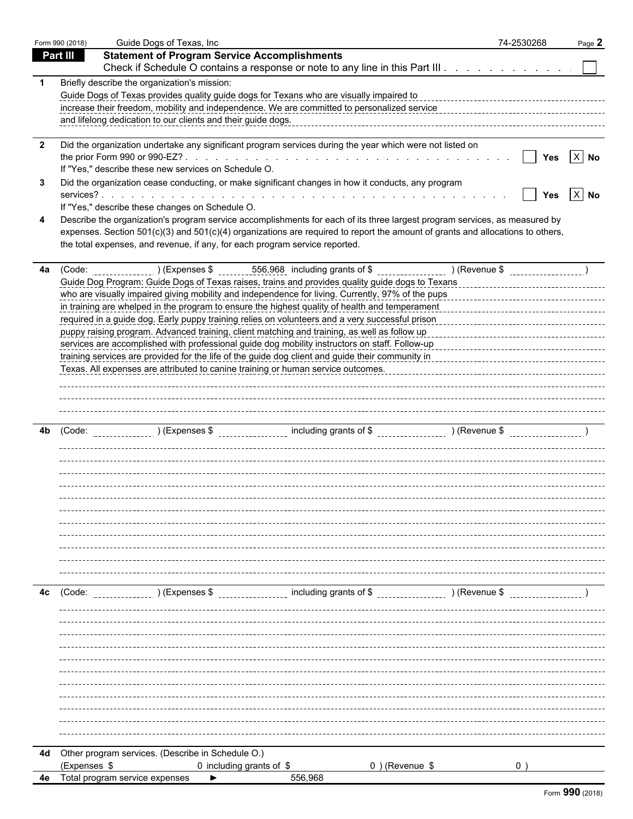|     | Form 990 (2018) | Guide Dogs of Texas, Inc                                                                                                                                                                             | 74-2530268                        | Page 2 |
|-----|-----------------|------------------------------------------------------------------------------------------------------------------------------------------------------------------------------------------------------|-----------------------------------|--------|
|     | Part III        | <b>Statement of Program Service Accomplishments</b>                                                                                                                                                  |                                   |        |
|     |                 | Check if Schedule O contains a response or note to any line in this Part III                                                                                                                         |                                   |        |
|     |                 | Briefly describe the organization's mission:                                                                                                                                                         |                                   |        |
|     |                 | Guide Dogs of Texas provides quality guide dogs for Texans who are visually impaired to                                                                                                              |                                   |        |
|     |                 | increase their freedom, mobility and independence. We are committed to personalized service                                                                                                          |                                   |        |
|     |                 | and lifelong dedication to our clients and their guide dogs.                                                                                                                                         |                                   |        |
|     |                 |                                                                                                                                                                                                      |                                   |        |
| - 2 |                 | Did the organization undertake any significant program services during the year which were not listed on                                                                                             |                                   |        |
|     |                 |                                                                                                                                                                                                      | Yes                               | $X$ No |
|     |                 | If "Yes," describe these new services on Schedule O.                                                                                                                                                 |                                   |        |
|     |                 | Did the organization cease conducting, or make significant changes in how it conducts, any program                                                                                                   |                                   |        |
|     |                 |                                                                                                                                                                                                      | Yes                               | $X$ No |
|     |                 | If "Yes," describe these changes on Schedule O.                                                                                                                                                      |                                   |        |
|     |                 | Describe the organization's program service accomplishments for each of its three largest program services, as measured by                                                                           |                                   |        |
|     |                 | expenses. Section 501(c)(3) and 501(c)(4) organizations are required to report the amount of grants and allocations to others,                                                                       |                                   |        |
|     |                 | the total expenses, and revenue, if any, for each program service reported.                                                                                                                          |                                   |        |
|     |                 |                                                                                                                                                                                                      |                                   |        |
| 4a  |                 |                                                                                                                                                                                                      |                                   |        |
|     |                 | Guide Dog Program: Guide Dogs of Texas raises, trains and provides quality guide dogs to Texans<br>who are visually impaired giving mobility and independence for living. Currently, 97% of the pups |                                   |        |
|     |                 | in training are whelped in the program to ensure the highest quality of health and temperament                                                                                                       |                                   |        |
|     |                 | required in a guide dog. Early puppy training relies on volunteers and a very successful prison                                                                                                      | --------------------------------- |        |
|     |                 | puppy raising program. Advanced training, client matching and training, as well as follow up<br>puppy raising program. Advanced training, client matching and training, as well as follow up         |                                   |        |
|     |                 | ---------------------------<br>services are accomplished with professional guide dog mobility instructors on staff. Follow-up                                                                        |                                   |        |
|     |                 | training services are provided for the life of the guide dog client and guide their community in                                                                                                     |                                   |        |
|     |                 | --------<br>Texas. All expenses are attributed to canine training or human service outcomes.                                                                                                         |                                   |        |
|     |                 |                                                                                                                                                                                                      |                                   |        |
|     |                 |                                                                                                                                                                                                      |                                   |        |
|     |                 |                                                                                                                                                                                                      |                                   |        |
|     |                 |                                                                                                                                                                                                      |                                   |        |
| 4b  | (Code:          | ) (Expenses \$ including grants of \$ ) (Revenue \$ )                                                                                                                                                |                                   |        |
|     |                 |                                                                                                                                                                                                      |                                   |        |
|     |                 |                                                                                                                                                                                                      |                                   |        |
|     |                 |                                                                                                                                                                                                      |                                   |        |
|     |                 |                                                                                                                                                                                                      |                                   |        |
|     |                 |                                                                                                                                                                                                      |                                   |        |
|     |                 |                                                                                                                                                                                                      |                                   |        |
|     |                 |                                                                                                                                                                                                      |                                   |        |
|     |                 |                                                                                                                                                                                                      |                                   |        |
|     |                 |                                                                                                                                                                                                      |                                   |        |
|     |                 |                                                                                                                                                                                                      |                                   |        |
|     |                 |                                                                                                                                                                                                      |                                   |        |
|     |                 |                                                                                                                                                                                                      |                                   |        |
| 4с  | (Code:          | ) (Expenses \$                                                                                                                                                                                       |                                   |        |
|     |                 |                                                                                                                                                                                                      |                                   |        |
|     |                 |                                                                                                                                                                                                      |                                   |        |
|     |                 |                                                                                                                                                                                                      |                                   |        |
|     |                 |                                                                                                                                                                                                      |                                   |        |
|     |                 |                                                                                                                                                                                                      |                                   |        |
|     |                 |                                                                                                                                                                                                      |                                   |        |
|     |                 |                                                                                                                                                                                                      |                                   |        |
|     |                 |                                                                                                                                                                                                      |                                   |        |
|     |                 |                                                                                                                                                                                                      |                                   |        |
|     |                 |                                                                                                                                                                                                      |                                   |        |
|     |                 |                                                                                                                                                                                                      |                                   |        |
|     |                 |                                                                                                                                                                                                      |                                   |        |
| 4d  | (Expenses \$    | Other program services. (Describe in Schedule O.)<br>0) (Revenue \$<br>0 including grants of \$                                                                                                      |                                   |        |
|     |                 | 4e Total program service expenses<br>556,968                                                                                                                                                         |                                   |        |
|     |                 |                                                                                                                                                                                                      |                                   |        |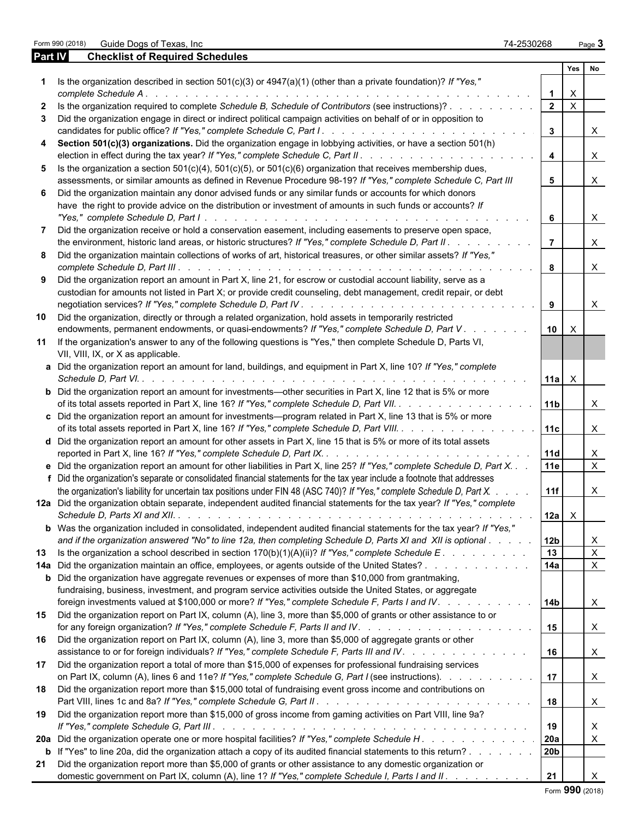| <b>Part IV</b> | <b>Checklist of Required Schedules</b>                                                                                                                                                                                                                |                         |                |              |
|----------------|-------------------------------------------------------------------------------------------------------------------------------------------------------------------------------------------------------------------------------------------------------|-------------------------|----------------|--------------|
|                |                                                                                                                                                                                                                                                       |                         |                | Yes No       |
|                | Is the organization described in section 501(c)(3) or $4947(a)(1)$ (other than a private foundation)? If "Yes,"                                                                                                                                       |                         | $\mathsf{X}$   |              |
| $\mathbf{2}$   | Is the organization required to complete Schedule B, Schedule of Contributors (see instructions)?                                                                                                                                                     | $2^{\circ}$             | $\overline{X}$ |              |
| 3              | Did the organization engage in direct or indirect political campaign activities on behalf of or in opposition to                                                                                                                                      | $\mathbf{3}$            |                |              |
|                |                                                                                                                                                                                                                                                       |                         |                | $\mathsf{X}$ |
| 4              | Section 501(c)(3) organizations. Did the organization engage in lobbying activities, or have a section 501(h)                                                                                                                                         | $\overline{\mathbf{4}}$ |                | $\mathsf{X}$ |
|                | 5 Is the organization a section $501(c)(4)$ , $501(c)(5)$ , or $501(c)(6)$ organization that receives membership dues,<br>assessments, or similar amounts as defined in Revenue Procedure 98-19? If "Yes," complete Schedule C, Part III              | 5 <sub>1</sub>          |                | $\mathsf{X}$ |
| 6              | Did the organization maintain any donor advised funds or any similar funds or accounts for which donors                                                                                                                                               |                         |                |              |
|                | have the right to provide advice on the distribution or investment of amounts in such funds or accounts? If                                                                                                                                           | 6                       |                | $\mathsf{X}$ |
|                | Did the organization receive or hold a conservation easement, including easements to preserve open space,<br>the environment, historic land areas, or historic structures? If "Yes," complete Schedule D, Part II.                                    | $\overline{7}$          |                | $\mathsf{X}$ |
| 8              | Did the organization maintain collections of works of art, historical treasures, or other similar assets? If "Yes,"                                                                                                                                   |                         |                |              |
| 9              | Did the organization report an amount in Part X, line 21, for escrow or custodial account liability, serve as a                                                                                                                                       | 8                       |                | $\mathsf{X}$ |
|                | custodian for amounts not listed in Part X; or provide credit counseling, debt management, credit repair, or debt                                                                                                                                     | 9                       |                | $\mathsf{X}$ |
| 10             | Did the organization, directly or through a related organization, hold assets in temporarily restricted<br>endowments, permanent endowments, or quasi-endowments? If "Yes," complete Schedule D, Part V.                                              |                         | $10 \mid X$    |              |
|                | 11 If the organization's answer to any of the following questions is "Yes," then complete Schedule D, Parts VI,                                                                                                                                       |                         |                |              |
|                | VII, VIII, IX, or X as applicable.<br>a Did the organization report an amount for land, buildings, and equipment in Part X, line 10? If "Yes," complete                                                                                               |                         |                |              |
|                | <b>b</b> Did the organization report an amount for investments—other securities in Part X, line 12 that is 5% or more                                                                                                                                 | $11a \times$            |                |              |
|                | of its total assets reported in Part X, line 16? If "Yes," complete Schedule D, Part VII. 11b                                                                                                                                                         |                         |                | $\mathsf{X}$ |
|                | c Did the organization report an amount for investments—program related in Part X, line 13 that is 5% or more<br>of its total assets reported in Part X, line 16? If "Yes," complete Schedule D, Part VIII. 11c                                       |                         |                | $\mathsf{X}$ |
|                | d Did the organization report an amount for other assets in Part X, line 15 that is 5% or more of its total assets                                                                                                                                    | 11d                     |                | $\mathsf{X}$ |
|                | e Did the organization report an amount for other liabilities in Part X, line 25? If "Yes," complete Schedule D, Part X.<br>f Did the organization's separate or consolidated financial statements for the tax year include a footnote that addresses | l 11e                   |                | $\mathsf{X}$ |
|                | the organization's liability for uncertain tax positions under FIN 48 (ASC 740)? If "Yes," complete Schedule D, Part X.                                                                                                                               | 11f                     |                | $\mathsf{X}$ |
|                | 12a Did the organization obtain separate, independent audited financial statements for the tax year? If "Yes," complete                                                                                                                               |                         | $12a \mid X$   |              |
|                | <b>b</b> Was the organization included in consolidated, independent audited financial statements for the tax year? If "Yes,"                                                                                                                          |                         |                |              |
|                | and if the organization answered "No" to line 12a, then completing Schedule D, Parts XI and XII is optional                                                                                                                                           | 12 <sub>b</sub>         |                | $\mathsf{X}$ |
| 13             | Is the organization a school described in section $170(b)(1)(A)(ii)$ ? If "Yes," complete Schedule E.                                                                                                                                                 | 13                      |                | $\mathsf{X}$ |
|                | 14a Did the organization maintain an office, employees, or agents outside of the United States?<br><b>b</b> Did the organization have aggregate revenues or expenses of more than \$10,000 from grantmaking,                                          | 14a                     |                | $\mathsf{X}$ |
|                | fundraising, business, investment, and program service activities outside the United States, or aggregate<br>foreign investments valued at \$100,000 or more? If "Yes," complete Schedule F, Parts I and IV.                                          | 14b                     |                | $\mathsf{X}$ |
| 15             | Did the organization report on Part IX, column (A), line 3, more than \$5,000 of grants or other assistance to or                                                                                                                                     | 15                      |                | $\mathsf{X}$ |
| 16             | Did the organization report on Part IX, column (A), line 3, more than \$5,000 of aggregate grants or other                                                                                                                                            |                         |                |              |
| 17             | assistance to or for foreign individuals? If "Yes," complete Schedule F, Parts III and IV.<br>Did the organization report a total of more than \$15,000 of expenses for professional fundraising services                                             | 16                      |                | $\mathsf{X}$ |
|                | on Part IX, column (A), lines 6 and 11e? If "Yes," complete Schedule G, Part I (see instructions).                                                                                                                                                    | 17                      |                | $\mathsf{X}$ |
| 18             | Did the organization report more than \$15,000 total of fundraising event gross income and contributions on                                                                                                                                           | 18                      |                | $\mathsf{X}$ |
| 19             | Did the organization report more than \$15,000 of gross income from gaming activities on Part VIII, line 9a?                                                                                                                                          | 19                      |                | X            |
|                |                                                                                                                                                                                                                                                       |                         |                |              |
|                |                                                                                                                                                                                                                                                       | 20a                     |                | X            |
|                | <b>b</b> If "Yes" to line 20a, did the organization attach a copy of its audited financial statements to this return?<br>21 Did the organization report more than \$5,000 of grants or other assistance to any domestic organization or               | 20 <sub>b</sub>         |                |              |

domestic government on Part IX, column (A), line 1? If "Yes," complete Schedule I, Parts I and II. . . . . . . . . . . 21 | X

Form 990 (2018) Guide Dogs of Texas, Inc 74-2530268 Page **3**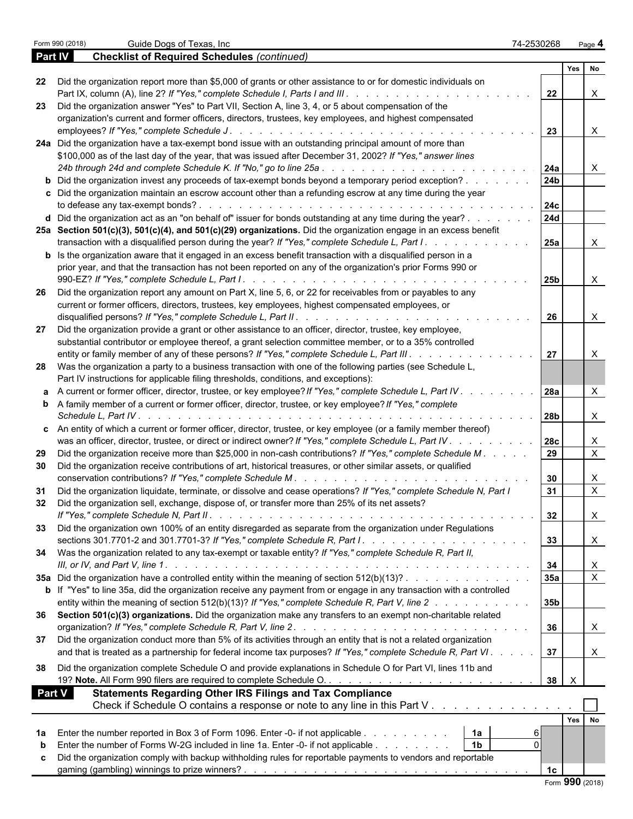|    | <b>Part IV</b><br><b>Checklist of Required Schedules (continued)</b>                                                                                                                                                       |                 |               |                           |  |
|----|----------------------------------------------------------------------------------------------------------------------------------------------------------------------------------------------------------------------------|-----------------|---------------|---------------------------|--|
|    |                                                                                                                                                                                                                            |                 | Yes           | No                        |  |
|    | 22 Did the organization report more than \$5,000 of grants or other assistance to or for domestic individuals on                                                                                                           | 22              |               | $\times$                  |  |
| 23 | Did the organization answer "Yes" to Part VII, Section A, line 3, 4, or 5 about compensation of the                                                                                                                        |                 |               |                           |  |
|    | organization's current and former officers, directors, trustees, key employees, and highest compensated<br>employees? If "Yes," complete Schedule J<br>de la caractería de la caractería de la caractería de la caractería | 23              |               | $\mathsf{X}$              |  |
|    | 24a Did the organization have a tax-exempt bond issue with an outstanding principal amount of more than                                                                                                                    |                 |               |                           |  |
|    | \$100,000 as of the last day of the year, that was issued after December 31, 2002? If "Yes," answer lines                                                                                                                  |                 |               |                           |  |
|    |                                                                                                                                                                                                                            | 24a             |               | X                         |  |
|    | b Did the organization invest any proceeds of tax-exempt bonds beyond a temporary period exception?                                                                                                                        | 24 <sub>b</sub> |               |                           |  |
|    | c Did the organization maintain an escrow account other than a refunding escrow at any time during the year                                                                                                                |                 |               |                           |  |
|    |                                                                                                                                                                                                                            | 24c             |               |                           |  |
|    | d Did the organization act as an "on behalf of" issuer for bonds outstanding at any time during the year?                                                                                                                  | 24d             |               |                           |  |
|    | 25a Section 501(c)(3), 501(c)(4), and 501(c)(29) organizations. Did the organization engage in an excess benefit                                                                                                           |                 |               |                           |  |
|    | transaction with a disqualified person during the year? If "Yes," complete Schedule L, Part I. .                                                                                                                           | 25a             |               | $\times$                  |  |
|    | <b>b</b> Is the organization aware that it engaged in an excess benefit transaction with a disqualified person in a                                                                                                        |                 |               |                           |  |
|    | prior year, and that the transaction has not been reported on any of the organization's prior Forms 990 or                                                                                                                 |                 |               |                           |  |
|    |                                                                                                                                                                                                                            | 25 <sub>b</sub> |               | $\mathsf{X}$              |  |
| 26 | Did the organization report any amount on Part X, line 5, 6, or 22 for receivables from or payables to any                                                                                                                 |                 |               |                           |  |
|    | current or former officers, directors, trustees, key employees, highest compensated employees, or                                                                                                                          |                 |               |                           |  |
|    |                                                                                                                                                                                                                            | 26              |               | $\times$                  |  |
| 27 | Did the organization provide a grant or other assistance to an officer, director, trustee, key employee,                                                                                                                   |                 |               |                           |  |
|    | substantial contributor or employee thereof, a grant selection committee member, or to a 35% controlled                                                                                                                    |                 |               |                           |  |
|    | entity or family member of any of these persons? If "Yes," complete Schedule L, Part III.                                                                                                                                  | 27              |               | $\times$                  |  |
| 28 | Was the organization a party to a business transaction with one of the following parties (see Schedule L,                                                                                                                  |                 |               |                           |  |
|    | Part IV instructions for applicable filing thresholds, conditions, and exceptions):                                                                                                                                        |                 |               |                           |  |
|    | a A current or former officer, director, trustee, or key employee? If "Yes," complete Schedule L, Part IV.                                                                                                                 | 28a             |               | X                         |  |
|    | <b>b</b> A family member of a current or former officer, director, trustee, or key employee? If "Yes," complete                                                                                                            |                 |               |                           |  |
|    | Schedule L, Part IV.                                                                                                                                                                                                       | 28 <sub>b</sub> |               | $\mathsf{X}$              |  |
|    | c An entity of which a current or former officer, director, trustee, or key employee (or a family member thereof)                                                                                                          |                 |               |                           |  |
|    | was an officer, director, trustee, or direct or indirect owner? If "Yes," complete Schedule L, Part IV                                                                                                                     | <b>28c</b>      |               | $\mathsf{X}$              |  |
| 29 | Did the organization receive more than \$25,000 in non-cash contributions? If "Yes," complete Schedule M. .                                                                                                                | 29              |               | $\boldsymbol{\mathsf{X}}$ |  |
| 30 | Did the organization receive contributions of art, historical treasures, or other similar assets, or qualified                                                                                                             |                 |               |                           |  |
|    | conservation contributions? If "Yes," complete Schedule M. .                                                                                                                                                               | 30              |               | X                         |  |
| 31 | Did the organization liquidate, terminate, or dissolve and cease operations? If "Yes," complete Schedule N, Part I                                                                                                         | 31              |               | $\boldsymbol{\mathsf{X}}$ |  |
|    | Did the organization sell, exchange, dispose of, or transfer more than 25% of its net assets?                                                                                                                              |                 |               |                           |  |
|    |                                                                                                                                                                                                                            |                 |               | $\mathsf{X}$              |  |
| 33 | Did the organization own 100% of an entity disregarded as separate from the organization under Regulations                                                                                                                 |                 |               |                           |  |
|    |                                                                                                                                                                                                                            | 33              |               | $\mathsf{X}$              |  |
|    | 34 Was the organization related to any tax-exempt or taxable entity? If "Yes," complete Schedule R, Part II,                                                                                                               |                 |               |                           |  |
|    |                                                                                                                                                                                                                            | 34              |               | $\mathsf{X}$              |  |
|    | 35a Did the organization have a controlled entity within the meaning of section 512(b)(13)?                                                                                                                                | 35a             |               | $\mathsf{X}$              |  |
|    | <b>b</b> If "Yes" to line 35a, did the organization receive any payment from or engage in any transaction with a controlled                                                                                                |                 |               |                           |  |
|    | entity within the meaning of section 512(b)(13)? If "Yes," complete Schedule R, Part V, line 2                                                                                                                             | 35 <sub>b</sub> |               |                           |  |
| 36 | Section 501(c)(3) organizations. Did the organization make any transfers to an exempt non-charitable related                                                                                                               |                 |               |                           |  |
|    |                                                                                                                                                                                                                            | 36              |               | $\mathsf{X}$              |  |
|    | 37 Did the organization conduct more than 5% of its activities through an entity that is not a related organization                                                                                                        |                 |               |                           |  |
|    | and that is treated as a partnership for federal income tax purposes? If "Yes," complete Schedule R, Part VI.                                                                                                              | 37              |               | $\mathsf{X}$              |  |
| 38 | Did the organization complete Schedule O and provide explanations in Schedule O for Part VI, lines 11b and                                                                                                                 |                 |               |                           |  |
|    |                                                                                                                                                                                                                            |                 | $38$ $\times$ |                           |  |
|    | <b>Part V</b><br><b>Statements Regarding Other IRS Filings and Tax Compliance</b>                                                                                                                                          |                 |               |                           |  |
|    | Check if Schedule O contains a response or note to any line in this Part V                                                                                                                                                 |                 |               |                           |  |
|    |                                                                                                                                                                                                                            |                 |               | Yes No                    |  |
|    |                                                                                                                                                                                                                            |                 |               |                           |  |
| 1a | Enter the number reported in Box 3 of Form 1096. Enter -0- if not applicable<br>1a                                                                                                                                         |                 |               |                           |  |
|    | Enter the number of Forms W-2G included in line 1a. Enter -0- if not applicable<br>1 <sub>b</sub><br>Did the organization comply with backup withholding rules for reportable payments to vendors and reportable           |                 |               |                           |  |
| C  |                                                                                                                                                                                                                            | 1c              |               |                           |  |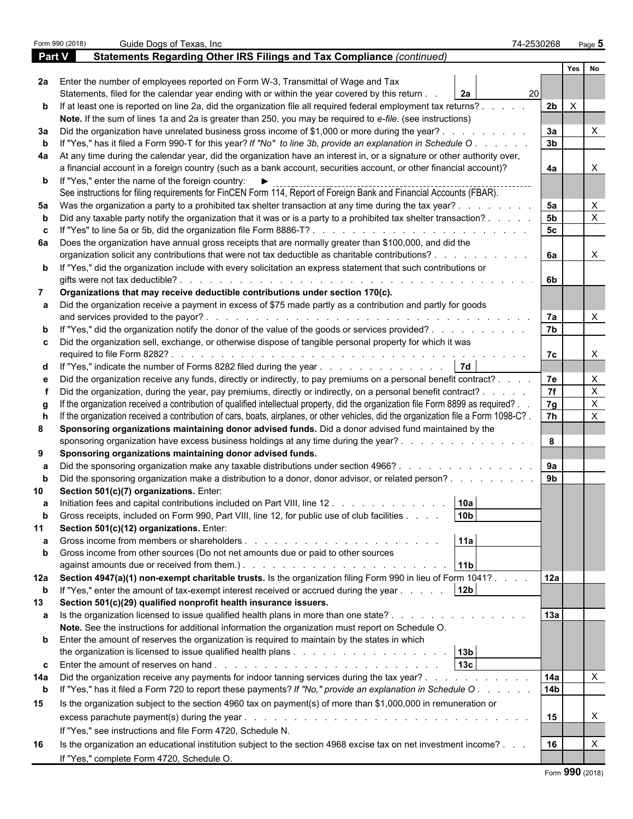|             | Form 990 (2018) | Guide Dogs of Texas, Inc.                                                                                                                                                                                                   | 74-2530268           | Page $5$     |                           |  |  |
|-------------|-----------------|-----------------------------------------------------------------------------------------------------------------------------------------------------------------------------------------------------------------------------|----------------------|--------------|---------------------------|--|--|
| Part V      |                 | Statements Regarding Other IRS Filings and Tax Compliance (continued)                                                                                                                                                       |                      |              |                           |  |  |
|             |                 |                                                                                                                                                                                                                             |                      | Yes          | No                        |  |  |
|             |                 | 2a Enter the number of employees reported on Form W-3, Transmittal of Wage and Tax                                                                                                                                          |                      |              |                           |  |  |
|             |                 | Statements, filed for the calendar year ending with or within the year covered by this return.<br><b>2a</b>                                                                                                                 | 20 <sup>1</sup>      |              |                           |  |  |
|             |                 | <b>b</b> If at least one is reported on line 2a, did the organization file all required federal employment tax returns?.                                                                                                    | 2 <sub>b</sub>       | $\mathsf{X}$ |                           |  |  |
|             |                 | Note. If the sum of lines 1a and 2a is greater than 250, you may be required to e-file. (see instructions)                                                                                                                  |                      |              |                           |  |  |
| За          |                 | Did the organization have unrelated business gross income of \$1,000 or more during the year?.                                                                                                                              | 3a                   |              | Χ                         |  |  |
|             |                 | If "Yes," has it filed a Form 990-T for this year? If "No" to line 3b, provide an explanation in Schedule O.                                                                                                                | 3 <sub>b</sub>       |              |                           |  |  |
|             |                 | 4a At any time during the calendar year, did the organization have an interest in, or a signature or other authority over,                                                                                                  |                      |              |                           |  |  |
|             |                 | a financial account in a foreign country (such as a bank account, securities account, or other financial account)?                                                                                                          | 4a                   |              |                           |  |  |
|             |                 | <b>b</b> If "Yes," enter the name of the foreign country: $\blacktriangleright$                                                                                                                                             |                      |              |                           |  |  |
|             |                 | See instructions for filing requirements for FinCEN Form 114, Report of Foreign Bank and Financial Accounts (FBAR).                                                                                                         | 5a                   |              | X                         |  |  |
| 5а          |                 | Was the organization a party to a prohibited tax shelter transaction at any time during the tax year?.<br>Did any taxable party notify the organization that it was or is a party to a prohibited tax shelter transaction?. | 5 <sub>b</sub>       |              | X                         |  |  |
|             |                 | If "Yes" to line 5a or 5b, did the organization file Form 8886-T?                                                                                                                                                           | 5 <sub>c</sub>       |              |                           |  |  |
|             |                 | 6a Does the organization have annual gross receipts that are normally greater than \$100,000, and did the                                                                                                                   |                      |              |                           |  |  |
|             |                 | organization solicit any contributions that were not tax deductible as charitable contributions?.                                                                                                                           | 6a                   |              | X                         |  |  |
|             |                 | <b>b</b> If "Yes," did the organization include with every solicitation an express statement that such contributions or                                                                                                     |                      |              |                           |  |  |
|             |                 | gifts were not tax deductible?                                                                                                                                                                                              | 6b                   |              |                           |  |  |
|             |                 | Organizations that may receive deductible contributions under section 170(c).                                                                                                                                               |                      |              |                           |  |  |
|             |                 | Did the organization receive a payment in excess of \$75 made partly as a contribution and partly for goods                                                                                                                 |                      |              |                           |  |  |
|             |                 | and services provided to the payor?.                                                                                                                                                                                        | 7a                   |              | $\boldsymbol{\mathsf{X}}$ |  |  |
|             |                 | If "Yes," did the organization notify the donor of the value of the goods or services provided?                                                                                                                             | 7b                   |              |                           |  |  |
|             |                 | c Did the organization sell, exchange, or otherwise dispose of tangible personal property for which it was                                                                                                                  |                      |              |                           |  |  |
|             |                 |                                                                                                                                                                                                                             | 7c                   |              | $\times$                  |  |  |
|             |                 | 7d<br>d If "Yes," indicate the number of Forms 8282 filed during the year                                                                                                                                                   |                      |              |                           |  |  |
|             |                 | Did the organization receive any funds, directly or indirectly, to pay premiums on a personal benefit contract?.                                                                                                            | 7e                   |              | $\boldsymbol{\mathsf{X}}$ |  |  |
|             |                 | Did the organization, during the year, pay premiums, directly or indirectly, on a personal benefit contract? .                                                                                                              | 7f                   |              | $\mathsf X$               |  |  |
|             |                 | If the organization received a contribution of qualified intellectual property, did the organization file Form 8899 as required?.                                                                                           | 7g                   |              | X                         |  |  |
|             |                 | If the organization received a contribution of cars, boats, airplanes, or other vehicles, did the organization file a Form 1098-C?.                                                                                         | 7h                   |              | X                         |  |  |
| 8           |                 | Sponsoring organizations maintaining donor advised funds. Did a donor advised fund maintained by the                                                                                                                        |                      |              |                           |  |  |
|             |                 | sponsoring organization have excess business holdings at any time during the year?                                                                                                                                          | 8                    |              |                           |  |  |
| 9           |                 | Sponsoring organizations maintaining donor advised funds.                                                                                                                                                                   |                      |              |                           |  |  |
|             |                 | Did the sponsoring organization make any taxable distributions under section 4966?.<br>Did the sponsoring organization make a distribution to a donor, donor advisor, or related person?                                    | 9a<br>9 <sub>b</sub> |              |                           |  |  |
|             |                 | Section 501(c)(7) organizations. Enter:                                                                                                                                                                                     |                      |              |                           |  |  |
|             |                 | 10a<br>Initiation fees and capital contributions included on Part VIII, line 12.                                                                                                                                            |                      |              |                           |  |  |
| b           |                 | 10 <sub>b</sub><br>Gross receipts, included on Form 990, Part VIII, line 12, for public use of club facilities                                                                                                              |                      |              |                           |  |  |
| 11          |                 | Section 501(c)(12) organizations. Enter:                                                                                                                                                                                    |                      |              |                           |  |  |
|             |                 | 11a<br>Gross income from members or shareholders<br>and the contract of the contract of the contract of                                                                                                                     |                      |              |                           |  |  |
|             |                 | Gross income from other sources (Do not net amounts due or paid to other sources                                                                                                                                            |                      |              |                           |  |  |
|             |                 | 11 <sub>b</sub>                                                                                                                                                                                                             |                      |              |                           |  |  |
|             |                 | 12a Section 4947(a)(1) non-exempt charitable trusts. Is the organization filing Form 990 in lieu of Form 1041?.                                                                                                             | 12a                  |              |                           |  |  |
| $\mathbf b$ |                 | 12 <sub>b</sub><br>If "Yes," enter the amount of tax-exempt interest received or accrued during the year                                                                                                                    |                      |              |                           |  |  |
| 13          |                 | Section 501(c)(29) qualified nonprofit health insurance issuers.                                                                                                                                                            |                      |              |                           |  |  |
|             |                 | <b>a</b> Is the organization licensed to issue qualified health plans in more than one state?                                                                                                                               | 13a                  |              |                           |  |  |
|             |                 | Note. See the instructions for additional information the organization must report on Schedule O.                                                                                                                           |                      |              |                           |  |  |
|             |                 | <b>b</b> Enter the amount of reserves the organization is required to maintain by the states in which                                                                                                                       |                      |              |                           |  |  |
|             |                 |                                                                                                                                                                                                                             |                      |              |                           |  |  |
|             |                 | 13 <sub>c</sub>                                                                                                                                                                                                             |                      |              |                           |  |  |
| 14a         |                 | Did the organization receive any payments for indoor tanning services during the tax year?.<br>the contract of the contract of the                                                                                          | 14a                  |              | X                         |  |  |
| $\mathbf b$ |                 | If "Yes," has it filed a Form 720 to report these payments? If "No," provide an explanation in Schedule O.                                                                                                                  | 14 <sub>b</sub>      |              |                           |  |  |
| 15          |                 | Is the organization subject to the section 4960 tax on payment(s) of more than \$1,000,000 in remuneration or                                                                                                               |                      |              |                           |  |  |
|             |                 |                                                                                                                                                                                                                             | 15                   |              | X                         |  |  |
|             |                 | If "Yes," see instructions and file Form 4720, Schedule N.                                                                                                                                                                  |                      |              |                           |  |  |
| 16          |                 | Is the organization an educational institution subject to the section 4968 excise tax on net investment income?                                                                                                             | 16                   |              |                           |  |  |
|             |                 | If "Yes," complete Form 4720, Schedule O.                                                                                                                                                                                   |                      |              |                           |  |  |
|             |                 |                                                                                                                                                                                                                             |                      |              |                           |  |  |

|  |  | Form 990 (2018) |
|--|--|-----------------|
|--|--|-----------------|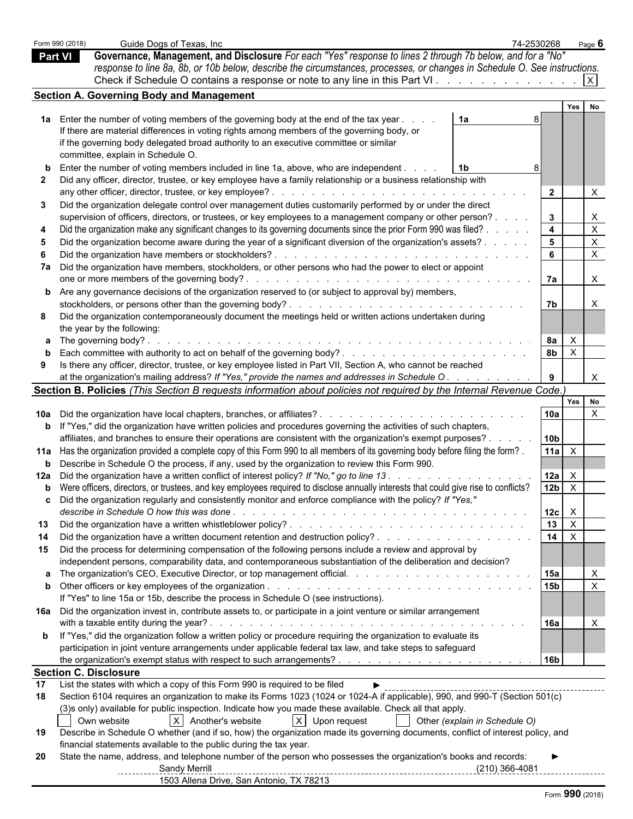|              | Form 990 (2018)              | Guide Dogs of Texas, Inc.                                                                                                                                                                                                                                               | 74-2530268                    |                                | Page 6   |                           |
|--------------|------------------------------|-------------------------------------------------------------------------------------------------------------------------------------------------------------------------------------------------------------------------------------------------------------------------|-------------------------------|--------------------------------|----------|---------------------------|
|              | <b>Part VI</b>               | Governance, Management, and Disclosure For each "Yes" response to lines 2 through 7b below, and for a "No"                                                                                                                                                              |                               |                                |          |                           |
|              |                              | response to line 8a, 8b, or 10b below, describe the circumstances, processes, or changes in Schedule O. See instructions.                                                                                                                                               |                               |                                |          |                           |
|              |                              | Check if Schedule O contains a response or note to any line in this Part VI. $\boxed{X}$                                                                                                                                                                                |                               |                                |          |                           |
|              |                              | <b>Section A. Governing Body and Management</b>                                                                                                                                                                                                                         |                               |                                |          |                           |
|              |                              |                                                                                                                                                                                                                                                                         |                               |                                | Yes   No |                           |
|              |                              | 1a Enter the number of voting members of the governing body at the end of the tax year                                                                                                                                                                                  | 1a                            |                                |          |                           |
|              |                              | If there are material differences in voting rights among members of the governing body, or                                                                                                                                                                              |                               |                                |          |                           |
|              |                              | if the governing body delegated broad authority to an executive committee or similar                                                                                                                                                                                    |                               |                                |          |                           |
|              |                              | committee, explain in Schedule O.                                                                                                                                                                                                                                       |                               |                                |          |                           |
|              |                              | Enter the number of voting members included in line 1a, above, who are independent.                                                                                                                                                                                     | 1b                            |                                |          |                           |
| $\mathbf{2}$ |                              | Did any officer, director, trustee, or key employee have a family relationship or a business relationship with                                                                                                                                                          |                               |                                |          |                           |
| -3           |                              | Did the organization delegate control over management duties customarily performed by or under the direct                                                                                                                                                               |                               | $\overline{2}$                 |          | X                         |
|              |                              | supervision of officers, directors, or trustees, or key employees to a management company or other person?.                                                                                                                                                             |                               | $3^{\circ}$                    |          | $\mathsf{X}$              |
|              |                              | Did the organization make any significant changes to its governing documents since the prior Form 990 was filed? .                                                                                                                                                      |                               | $\overline{4}$                 |          | $\mathsf X$               |
|              |                              | Did the organization become aware during the year of a significant diversion of the organization's assets?.                                                                                                                                                             |                               | $5^{\circ}$                    |          | $\mathsf X$               |
|              |                              |                                                                                                                                                                                                                                                                         |                               | 6                              |          | $\boldsymbol{X}$          |
|              |                              | 7a Did the organization have members, stockholders, or other persons who had the power to elect or appoint                                                                                                                                                              |                               |                                |          |                           |
|              |                              |                                                                                                                                                                                                                                                                         |                               | 7а                             |          | $\mathsf{X}$              |
|              |                              | <b>b</b> Are any governance decisions of the organization reserved to (or subject to approval by) members,                                                                                                                                                              |                               |                                |          |                           |
|              |                              |                                                                                                                                                                                                                                                                         |                               | 7b                             |          | $\boldsymbol{\mathsf{X}}$ |
| 8            |                              | Did the organization contemporaneously document the meetings held or written actions undertaken during                                                                                                                                                                  |                               |                                |          |                           |
|              |                              | the year by the following:                                                                                                                                                                                                                                              |                               |                                |          |                           |
|              |                              |                                                                                                                                                                                                                                                                         |                               | <b>8a</b><br>$\mathsf{X}$      |          |                           |
| b            |                              |                                                                                                                                                                                                                                                                         |                               | 8 <sub>b</sub><br>$\mathsf{X}$ |          |                           |
| 9            |                              | Is there any officer, director, trustee, or key employee listed in Part VII, Section A, who cannot be reached                                                                                                                                                           |                               |                                |          |                           |
|              |                              | at the organization's mailing address? If "Yes," provide the names and addresses in Schedule O.                                                                                                                                                                         |                               | 9                              |          | $\mathsf{X}$              |
|              |                              | Section B. Policies (This Section B requests information about policies not required by the Internal Revenue Code.)                                                                                                                                                     |                               |                                |          |                           |
|              |                              |                                                                                                                                                                                                                                                                         |                               |                                | Yes No   |                           |
|              |                              | 10a Did the organization have local chapters, branches, or affiliates?.<br>.                                                                                                                                                                                            |                               | 10a                            |          | $\boldsymbol{X}$          |
|              |                              | <b>b</b> If "Yes," did the organization have written policies and procedures governing the activities of such chapters,<br>affiliates, and branches to ensure their operations are consistent with the organization's exempt purposes?.                                 |                               | 10 <sub>b</sub>                |          |                           |
|              |                              | 11a Has the organization provided a complete copy of this Form 990 to all members of its governing body before filing the form?.                                                                                                                                        |                               | 11a<br>$\mathsf{X}$            |          |                           |
|              |                              | <b>b</b> Describe in Schedule O the process, if any, used by the organization to review this Form 990.                                                                                                                                                                  |                               |                                |          |                           |
|              |                              | 12a Did the organization have a written conflict of interest policy? If "No," go to line 13.                                                                                                                                                                            |                               | 12a<br>$\times$                |          |                           |
|              |                              | b Were officers, directors, or trustees, and key employees required to disclose annually interests that could give rise to conflicts?                                                                                                                                   |                               | 12 <sub>b</sub><br>$\times$    |          |                           |
|              |                              | <b>c</b> Did the organization regularly and consistently monitor and enforce compliance with the policy? If "Yes,"                                                                                                                                                      |                               |                                |          |                           |
|              |                              | describe in Schedule O how this was done.                                                                                                                                                                                                                               |                               | 12c<br>$\mathsf{X}$            |          |                           |
| 13           |                              |                                                                                                                                                                                                                                                                         |                               | 13<br>$\mathsf{X}$             |          |                           |
| 14           |                              |                                                                                                                                                                                                                                                                         |                               | 14<br>$\mathsf{X}$             |          |                           |
| 15           |                              | Did the process for determining compensation of the following persons include a review and approval by                                                                                                                                                                  |                               |                                |          |                           |
|              |                              | independent persons, comparability data, and contemporaneous substantiation of the deliberation and decision?                                                                                                                                                           |                               |                                |          |                           |
|              |                              |                                                                                                                                                                                                                                                                         |                               | 15a                            |          | X                         |
|              |                              |                                                                                                                                                                                                                                                                         |                               | 15 <sub>b</sub>                |          | $\boldsymbol{\mathsf{X}}$ |
|              |                              | If "Yes" to line 15a or 15b, describe the process in Schedule O (see instructions).                                                                                                                                                                                     |                               |                                |          |                           |
|              |                              | 16a Did the organization invest in, contribute assets to, or participate in a joint venture or similar arrangement                                                                                                                                                      |                               |                                |          |                           |
|              |                              | with a taxable entity during the year?<br>and a constitution of the constitution of the constitution of the constitution of the constitution of the constitution of the constitution of the constitution of the constitution of the constitution of the constitution of |                               | 16a                            |          | $\times$                  |
|              |                              | b If "Yes," did the organization follow a written policy or procedure requiring the organization to evaluate its                                                                                                                                                        |                               |                                |          |                           |
|              |                              | participation in joint venture arrangements under applicable federal tax law, and take steps to safeguard                                                                                                                                                               |                               |                                |          |                           |
|              |                              |                                                                                                                                                                                                                                                                         |                               | 16b                            |          |                           |
|              | <b>Section C. Disclosure</b> |                                                                                                                                                                                                                                                                         |                               |                                |          |                           |
| 17           |                              | List the states with which a copy of this Form 990 is required to be filed                                                                                                                                                                                              |                               |                                |          |                           |
| 18           |                              | Section 6104 requires an organization to make its Forms 1023 (1024 or 1024-A if applicable), 990, and 990-T (Section 501(c)                                                                                                                                             |                               |                                |          |                           |
|              |                              | (3)s only) available for public inspection. Indicate how you made these available. Check all that apply.<br>$X$ Another's website                                                                                                                                       |                               |                                |          |                           |
|              |                              | X Upon request<br>Own website                                                                                                                                                                                                                                           | Other (explain in Schedule O) |                                |          |                           |
| 19           |                              | Describe in Schedule O whether (and if so, how) the organization made its governing documents, conflict of interest policy, and<br>financial statements available to the public during the tax year.                                                                    |                               |                                |          |                           |
| 20           |                              | State the name, address, and telephone number of the person who possesses the organization's books and records:                                                                                                                                                         |                               |                                |          |                           |
|              |                              | Sandy Merrill                                                                                                                                                                                                                                                           | $(210)$ 366-4081              |                                |          |                           |
|              |                              | ----------- <del>-</del><br>1503 Allena Drive, San Antonio, TX 78213                                                                                                                                                                                                    |                               |                                |          |                           |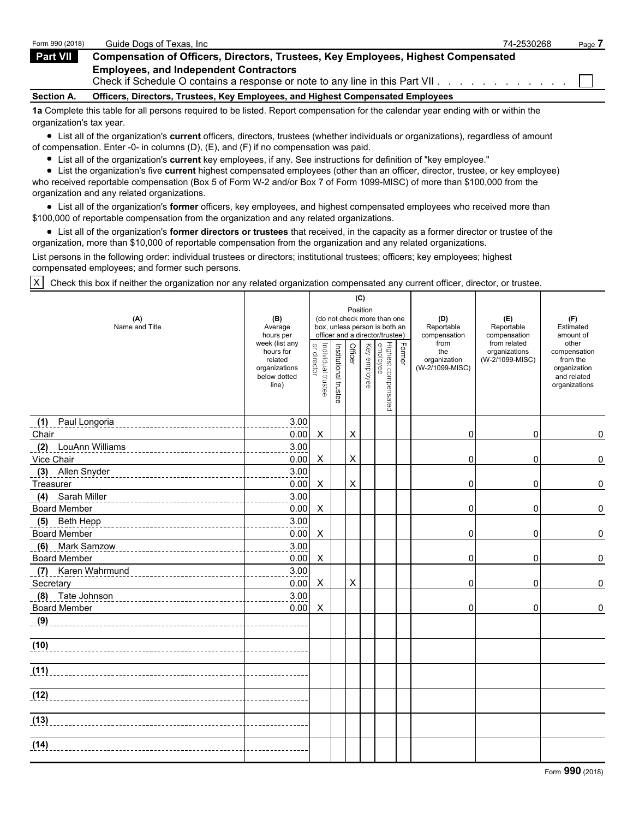| Form 990 (2018) | Guide Dogs of Texas, Inc                                                                                                                                        | 74-2530268 | Page |
|-----------------|-----------------------------------------------------------------------------------------------------------------------------------------------------------------|------------|------|
| <b>Part VII</b> | <b>Compensation of Officers, Directors, Trustees, Key Employees, Highest Compensated</b>                                                                        |            |      |
|                 | <b>Employees, and Independent Contractors</b><br>Check if Schedule O contains a response or note to any line in this Part VII. A contained a contained by Check |            |      |
| Section A.      | Officers, Directors, Trustees, Key Employees, and Highest Compensated Employees                                                                                 |            |      |
|                 | 1a Complete this table for all persons required to be listed. Report compensation for the calendar year ending with or within the                               |            |      |

organization's tax year. List all of the organization's **current** officers, directors, trustees (whether individuals or organizations), regardless of amount

- of compensation. Enter -0- in columns (D), (E), and (F) if no compensation was paid.
	- List all of the organization's **current** key employees, if any. See instructions for definition of "key employee."

List the organization's five **current** highest compensated employees (other than an officer, director, trustee, or key employee) who received reportable compensation (Box 5 of Form W-2 and/or Box 7 of Form 1099-MISC) of more than \$100,000 from the organization and any related organizations.

List all of the organization's **former** officers, key employees, and highest compensated employees who received more than \$100,000 of reportable compensation from the organization and any related organizations.

List all of the organization's **former directors or trustees** that received, in the capacity as a former director or trustee of the organization, more than \$10,000 of reportable compensation from the organization and any related organizations.

List persons in the following order: individual trustees or directors; institutional trustees; officers; key employees; highest compensated employees; and former such persons.

X Check this box if neither the organization nor any related organization compensated any current officer, director, or trustee.

| Position<br>(B)<br>(do not check more than one<br>(D)<br>(A)<br>(E)<br>Name and Title<br>Average<br>box, unless person is both an<br>Reportable<br>Reportable<br>hours per<br>officer and a director/trustee)<br>compensation<br>compensation<br>week (list any<br>from<br>from related<br>ij Highest compensated<br>  employee<br>  Key employee<br>Former<br>or director<br>Individual trustee<br>Institutional trustee<br>Officer<br>hours for<br>organizations<br>the<br>organization<br>(W-2/1099-MISC)<br>related<br>(W-2/1099-MISC)<br>organizations<br>below dotted<br>line)<br>3.00<br>Paul Longoria<br>(1)<br>________________________________<br>X<br>Chair<br>0.00<br>X<br>0<br>0 | (F)<br>Estimated<br>amount of<br>other<br>compensation<br>from the<br>organization<br>and related<br>organizations<br>0<br>0 |
|-----------------------------------------------------------------------------------------------------------------------------------------------------------------------------------------------------------------------------------------------------------------------------------------------------------------------------------------------------------------------------------------------------------------------------------------------------------------------------------------------------------------------------------------------------------------------------------------------------------------------------------------------------------------------------------------------|------------------------------------------------------------------------------------------------------------------------------|
|                                                                                                                                                                                                                                                                                                                                                                                                                                                                                                                                                                                                                                                                                               |                                                                                                                              |
|                                                                                                                                                                                                                                                                                                                                                                                                                                                                                                                                                                                                                                                                                               |                                                                                                                              |
|                                                                                                                                                                                                                                                                                                                                                                                                                                                                                                                                                                                                                                                                                               |                                                                                                                              |
|                                                                                                                                                                                                                                                                                                                                                                                                                                                                                                                                                                                                                                                                                               |                                                                                                                              |
| 3.00<br>LouAnn Williams<br>(2)<br>_______________________________                                                                                                                                                                                                                                                                                                                                                                                                                                                                                                                                                                                                                             |                                                                                                                              |
| X<br>Vice Chair<br>0.00<br>X<br>0<br>0                                                                                                                                                                                                                                                                                                                                                                                                                                                                                                                                                                                                                                                        |                                                                                                                              |
| 3.00<br>Allen Snyder<br>(3)                                                                                                                                                                                                                                                                                                                                                                                                                                                                                                                                                                                                                                                                   |                                                                                                                              |
| $\pmb{\times}$<br>0.00<br>X<br>Treasurer<br>0<br>$\mathbf 0$                                                                                                                                                                                                                                                                                                                                                                                                                                                                                                                                                                                                                                  | 0                                                                                                                            |
| 3.00<br>Sarah Miller<br>(4)<br>---------------------------------                                                                                                                                                                                                                                                                                                                                                                                                                                                                                                                                                                                                                              |                                                                                                                              |
| <b>Board Member</b><br>0.00<br>X<br>0<br>$\mathbf{0}$                                                                                                                                                                                                                                                                                                                                                                                                                                                                                                                                                                                                                                         | 0                                                                                                                            |
| 3.00<br>(5)<br>Beth Hepp                                                                                                                                                                                                                                                                                                                                                                                                                                                                                                                                                                                                                                                                      |                                                                                                                              |
| 0.00<br>X<br><b>Board Member</b><br>0<br>$\mathbf 0$<br>3.00                                                                                                                                                                                                                                                                                                                                                                                                                                                                                                                                                                                                                                  | 0                                                                                                                            |
| (6)<br><b>Mark Samzow</b><br>0.00<br><b>Board Member</b><br>X<br>0<br>0                                                                                                                                                                                                                                                                                                                                                                                                                                                                                                                                                                                                                       | 0                                                                                                                            |
| 3.00<br>Karen Wahrmund<br>(7)                                                                                                                                                                                                                                                                                                                                                                                                                                                                                                                                                                                                                                                                 |                                                                                                                              |
| X<br>0.00<br>X<br>0<br>0<br>Secretary                                                                                                                                                                                                                                                                                                                                                                                                                                                                                                                                                                                                                                                         | 0                                                                                                                            |
| 3.00<br>(8) Tate Johnson                                                                                                                                                                                                                                                                                                                                                                                                                                                                                                                                                                                                                                                                      |                                                                                                                              |
| <b>Board Member</b><br>0.00<br>0<br>X<br>0                                                                                                                                                                                                                                                                                                                                                                                                                                                                                                                                                                                                                                                    | 0                                                                                                                            |
| (9)                                                                                                                                                                                                                                                                                                                                                                                                                                                                                                                                                                                                                                                                                           |                                                                                                                              |
| (10)                                                                                                                                                                                                                                                                                                                                                                                                                                                                                                                                                                                                                                                                                          |                                                                                                                              |
| (11)                                                                                                                                                                                                                                                                                                                                                                                                                                                                                                                                                                                                                                                                                          |                                                                                                                              |
|                                                                                                                                                                                                                                                                                                                                                                                                                                                                                                                                                                                                                                                                                               |                                                                                                                              |
| (13)                                                                                                                                                                                                                                                                                                                                                                                                                                                                                                                                                                                                                                                                                          |                                                                                                                              |
| (14)                                                                                                                                                                                                                                                                                                                                                                                                                                                                                                                                                                                                                                                                                          |                                                                                                                              |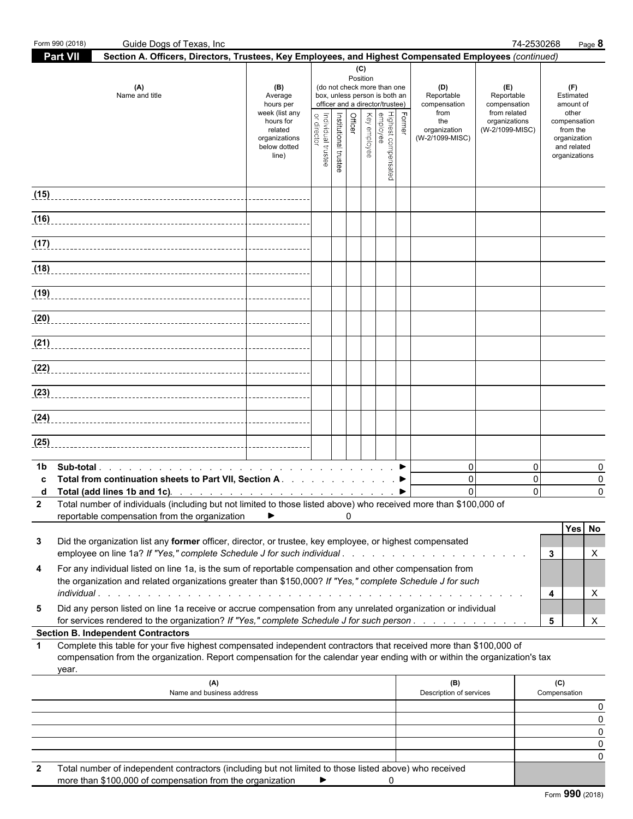|             | Form 990 (2018)<br>Guide Dogs of Texas, Inc.                                                                                                                                                                                                              |                                                                                                                 |                                 |                       |                                   |              |                                                                                                                                    |        |                                                                                     |                                                                                       | 74-2530268<br>Page 8                                                                                               |
|-------------|-----------------------------------------------------------------------------------------------------------------------------------------------------------------------------------------------------------------------------------------------------------|-----------------------------------------------------------------------------------------------------------------|---------------------------------|-----------------------|-----------------------------------|--------------|------------------------------------------------------------------------------------------------------------------------------------|--------|-------------------------------------------------------------------------------------|---------------------------------------------------------------------------------------|--------------------------------------------------------------------------------------------------------------------|
|             | <b>Part VII</b><br>Section A. Officers, Directors, Trustees, Key Employees, and Highest Compensated Employees (continued)                                                                                                                                 |                                                                                                                 |                                 |                       |                                   |              |                                                                                                                                    |        |                                                                                     |                                                                                       |                                                                                                                    |
|             | (A)<br>Name and title                                                                                                                                                                                                                                     | (B)<br>Average<br>hours per<br>week (list any<br>hours for<br>related<br>organizations<br>below dotted<br>line) | or directo<br>ndividual trustee | Institutional trustee | (C)<br>Position<br><b>Officer</b> | Key employee | (do not check more than one<br>box, unless person is both an<br>officer and a director/trustee)<br>Highest compensated<br>employee | Former | (D)<br>Reportable<br>compensation<br>from<br>the<br>organization<br>(W-2/1099-MISC) | (E)<br>Reportable<br>compensation<br>from related<br>organizations<br>(W-2/1099-MISC) | (F)<br>Estimated<br>amount of<br>other<br>compensation<br>from the<br>organization<br>and related<br>organizations |
| (15)        |                                                                                                                                                                                                                                                           |                                                                                                                 |                                 |                       |                                   |              |                                                                                                                                    |        |                                                                                     |                                                                                       |                                                                                                                    |
| (16)        |                                                                                                                                                                                                                                                           |                                                                                                                 |                                 |                       |                                   |              |                                                                                                                                    |        |                                                                                     |                                                                                       |                                                                                                                    |
| (17)        |                                                                                                                                                                                                                                                           |                                                                                                                 |                                 |                       |                                   |              |                                                                                                                                    |        |                                                                                     |                                                                                       |                                                                                                                    |
| (18)        |                                                                                                                                                                                                                                                           |                                                                                                                 |                                 |                       |                                   |              |                                                                                                                                    |        |                                                                                     |                                                                                       |                                                                                                                    |
| (19)        |                                                                                                                                                                                                                                                           |                                                                                                                 |                                 |                       |                                   |              |                                                                                                                                    |        |                                                                                     |                                                                                       |                                                                                                                    |
| (20)        |                                                                                                                                                                                                                                                           |                                                                                                                 |                                 |                       |                                   |              |                                                                                                                                    |        |                                                                                     |                                                                                       |                                                                                                                    |
| (21)        |                                                                                                                                                                                                                                                           |                                                                                                                 |                                 |                       |                                   |              |                                                                                                                                    |        |                                                                                     |                                                                                       |                                                                                                                    |
| (22)        |                                                                                                                                                                                                                                                           |                                                                                                                 |                                 |                       |                                   |              |                                                                                                                                    |        |                                                                                     |                                                                                       |                                                                                                                    |
| (23)        |                                                                                                                                                                                                                                                           |                                                                                                                 |                                 |                       |                                   |              |                                                                                                                                    |        |                                                                                     |                                                                                       |                                                                                                                    |
| (24)        |                                                                                                                                                                                                                                                           |                                                                                                                 |                                 |                       |                                   |              |                                                                                                                                    |        |                                                                                     |                                                                                       |                                                                                                                    |
| (25)        |                                                                                                                                                                                                                                                           |                                                                                                                 |                                 |                       |                                   |              |                                                                                                                                    |        |                                                                                     |                                                                                       |                                                                                                                    |
|             |                                                                                                                                                                                                                                                           |                                                                                                                 |                                 |                       |                                   |              |                                                                                                                                    |        |                                                                                     |                                                                                       |                                                                                                                    |
| 1b          | Total from continuation sheets to Part VII, Section A. ▶                                                                                                                                                                                                  |                                                                                                                 |                                 |                       |                                   |              |                                                                                                                                    |        | $\Omega$<br>$\Omega$<br>$\Omega$                                                    |                                                                                       | $\mathbf 0$<br>0<br>$\mathbf 0$<br>$\Omega$<br>$\Omega$<br>$\Omega$                                                |
|             | 2 Total number of individuals (including but not limited to those listed above) who received more than \$100,000 of<br>reportable compensation from the organization                                                                                      | ▶                                                                                                               |                                 |                       |                                   |              |                                                                                                                                    |        |                                                                                     |                                                                                       |                                                                                                                    |
| 3           | Did the organization list any former officer, director, or trustee, key employee, or highest compensated<br>employee on line 1a? If "Yes," complete Schedule J for such individual                                                                        |                                                                                                                 |                                 |                       |                                   |              |                                                                                                                                    |        |                                                                                     |                                                                                       | Yes No<br>Х<br>3                                                                                                   |
| 4           | For any individual listed on line 1a, is the sum of reportable compensation and other compensation from<br>the organization and related organizations greater than \$150,000? If "Yes," complete Schedule J for such                                      |                                                                                                                 |                                 |                       |                                   |              |                                                                                                                                    |        |                                                                                     |                                                                                       | X<br>4                                                                                                             |
| 5           | Did any person listed on line 1a receive or accrue compensation from any unrelated organization or individual<br>for services rendered to the organization? If "Yes," complete Schedule J for such person.                                                |                                                                                                                 |                                 |                       |                                   |              |                                                                                                                                    |        |                                                                                     |                                                                                       | X<br>5                                                                                                             |
|             | <b>Section B. Independent Contractors</b>                                                                                                                                                                                                                 |                                                                                                                 |                                 |                       |                                   |              |                                                                                                                                    |        |                                                                                     |                                                                                       |                                                                                                                    |
| $\mathbf 1$ | Complete this table for your five highest compensated independent contractors that received more than \$100,000 of<br>compensation from the organization. Report compensation for the calendar year ending with or within the organization's tax<br>year. |                                                                                                                 |                                 |                       |                                   |              |                                                                                                                                    |        |                                                                                     |                                                                                       |                                                                                                                    |
|             | (A)<br>Name and business address                                                                                                                                                                                                                          |                                                                                                                 |                                 |                       |                                   |              |                                                                                                                                    |        | (B)<br>Description of services                                                      |                                                                                       | (C)<br>Compensation                                                                                                |
|             |                                                                                                                                                                                                                                                           |                                                                                                                 |                                 |                       |                                   |              |                                                                                                                                    |        |                                                                                     |                                                                                       | 0<br>0                                                                                                             |
|             |                                                                                                                                                                                                                                                           |                                                                                                                 |                                 |                       |                                   |              |                                                                                                                                    |        |                                                                                     |                                                                                       | 0                                                                                                                  |
|             |                                                                                                                                                                                                                                                           |                                                                                                                 |                                 |                       |                                   |              |                                                                                                                                    |        |                                                                                     |                                                                                       | 0                                                                                                                  |
|             |                                                                                                                                                                                                                                                           |                                                                                                                 |                                 |                       |                                   |              |                                                                                                                                    |        |                                                                                     |                                                                                       | 0                                                                                                                  |
|             | Total number of independent contractors (including but not limited to those listed above) who received<br>more than \$100,000 of compensation from the organization                                                                                       |                                                                                                                 | ▶                               |                       |                                   |              | 0                                                                                                                                  |        |                                                                                     |                                                                                       |                                                                                                                    |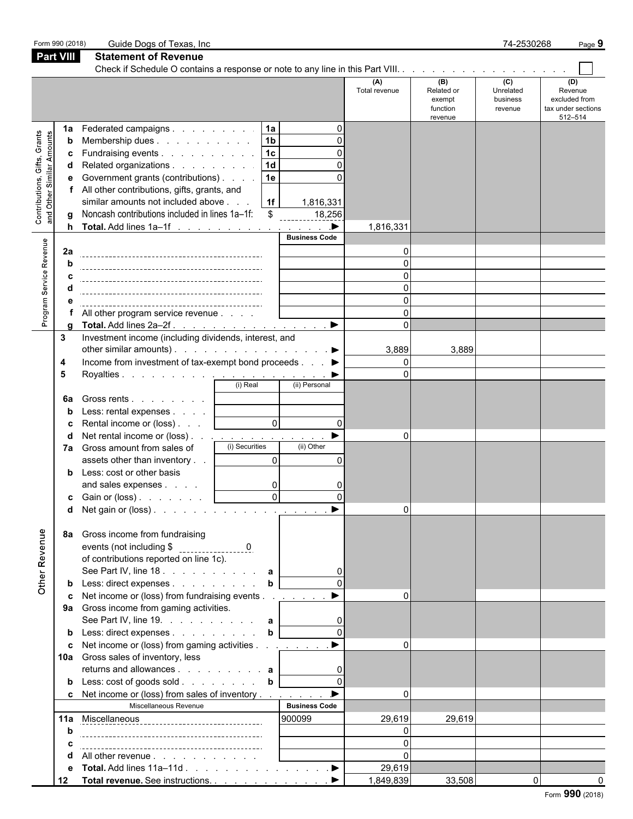|                                                           | Form 990 (2018)<br><b>Part VIII</b> | Guide Dogs of Texas, Inc.<br><b>Statement of Revenue</b>                                                                                                                                                                                                                                                                                                                                                                                                                                                                                                                                         |                                                                           |                                                 | 74-2530268<br>Page 9                     |                                                    |                                         |                                                                  |  |  |  |
|-----------------------------------------------------------|-------------------------------------|--------------------------------------------------------------------------------------------------------------------------------------------------------------------------------------------------------------------------------------------------------------------------------------------------------------------------------------------------------------------------------------------------------------------------------------------------------------------------------------------------------------------------------------------------------------------------------------------------|---------------------------------------------------------------------------|-------------------------------------------------|------------------------------------------|----------------------------------------------------|-----------------------------------------|------------------------------------------------------------------|--|--|--|
|                                                           |                                     |                                                                                                                                                                                                                                                                                                                                                                                                                                                                                                                                                                                                  |                                                                           |                                                 |                                          |                                                    |                                         |                                                                  |  |  |  |
|                                                           |                                     |                                                                                                                                                                                                                                                                                                                                                                                                                                                                                                                                                                                                  |                                                                           |                                                 | (A)<br>Total revenue                     | (B)<br>Related or<br>exempt<br>function<br>revenue | (C)<br>Unrelated<br>business<br>revenue | (D)<br>Revenue<br>excluded from<br>tax under sections<br>512-514 |  |  |  |
| Contributions, Gifts, Grants<br>and Other Similar Amounts | 1a<br>b<br>c<br>d<br>е<br>a<br>h    | Federated campaigns<br>Membership dues<br>Fundraising events<br>Related organizations<br>Government grants (contributions)<br>All other contributions, gifts, grants, and<br>similar amounts not included above.<br>Noncash contributions included in lines 1a-1f:<br>Total. Add lines 1a–1f ▶                                                                                                                                                                                                                                                                                                   | 1a<br> 1 <sub>b</sub><br> 1c <br>1d<br>1e<br>1f<br>\$                     | U<br>1,816,331<br>18,256                        | 1,816,331                                |                                                    |                                         |                                                                  |  |  |  |
| Program Service Revenue                                   | 2a<br>$\mathbf b$<br>c<br>a         | All other program service revenue                                                                                                                                                                                                                                                                                                                                                                                                                                                                                                                                                                |                                                                           | <b>Business Code</b>                            | $\Omega$<br>$\Omega$                     |                                                    |                                         |                                                                  |  |  |  |
|                                                           | 3<br>4<br>5                         | Investment income (including dividends, interest, and<br>other similar amounts). ▶<br>Income from investment of tax-exempt bond proceeds ▶                                                                                                                                                                                                                                                                                                                                                                                                                                                       | (i) Real                                                                  | (ii) Personal                                   | 3,889<br>$\Omega$                        | 3,889                                              |                                         |                                                                  |  |  |  |
|                                                           | 6a<br>b<br>c<br>d<br>7а             | Gross rents<br>Less: rental expenses<br>Rental income or (loss)<br>Net rental income or (loss) <u>.</u><br>Gross amount from sales of<br>assets other than inventory<br><b>b</b> Less: cost or other basis<br>and sales expenses<br><b>c</b> Gain or (loss) $\ldots$ $\ldots$                                                                                                                                                                                                                                                                                                                    | $\mathbf{0}$<br>(i) Securities<br>$\Omega$<br>0<br>$\cap$<br>$\mathsf{U}$ | $\Omega$<br>$\blacktriangleright$<br>(ii) Other | $\Omega$                                 |                                                    |                                         |                                                                  |  |  |  |
| Other Revenue                                             | 8а<br>b<br>c<br>c<br>10a            | Gross income from fundraising<br>of contributions reported on line 1c).<br>See Part IV, line 18. a<br>Less: direct expenses<br>Net income or (loss) from fundraising events<br>9a Gross income from gaming activities.<br>See Part IV, line 19. $\ldots$ $\ldots$ $\ldots$ $\ldots$ a<br>b Less: direct expenses b<br>Net income or (loss) from gaming activities <u>.</u> ▶<br>Gross sales of inventory, less<br>returns and allowances $\ldots$ $\ldots$ $\ldots$ $\ldots$ a<br>b Less: cost of goods sold b<br><b>c</b> Net income or (loss) from sales of inventory<br>Miscellaneous Revenue | $\mathbf b$                                                               | $\Omega$<br>▶<br><b>Business Code</b>           | $\Omega$<br>$\Omega$<br>$\Omega$         |                                                    |                                         |                                                                  |  |  |  |
|                                                           | b<br>c<br>d<br>е                    | 11a Miscellaneous<br>11a Miscellaneous<br>2008 - Processor Processor (1990)<br>All other revenue                                                                                                                                                                                                                                                                                                                                                                                                                                                                                                 |                                                                           | 900099                                          | 29,619<br>$\Omega$<br>$\Omega$<br>29,619 | 29,619                                             |                                         |                                                                  |  |  |  |
|                                                           | 12                                  | Total revenue. See instructions. ▶                                                                                                                                                                                                                                                                                                                                                                                                                                                                                                                                                               |                                                                           |                                                 | 1,849,839                                | 33,508                                             | $\overline{0}$                          | 0.00                                                             |  |  |  |

Form **990** (2018)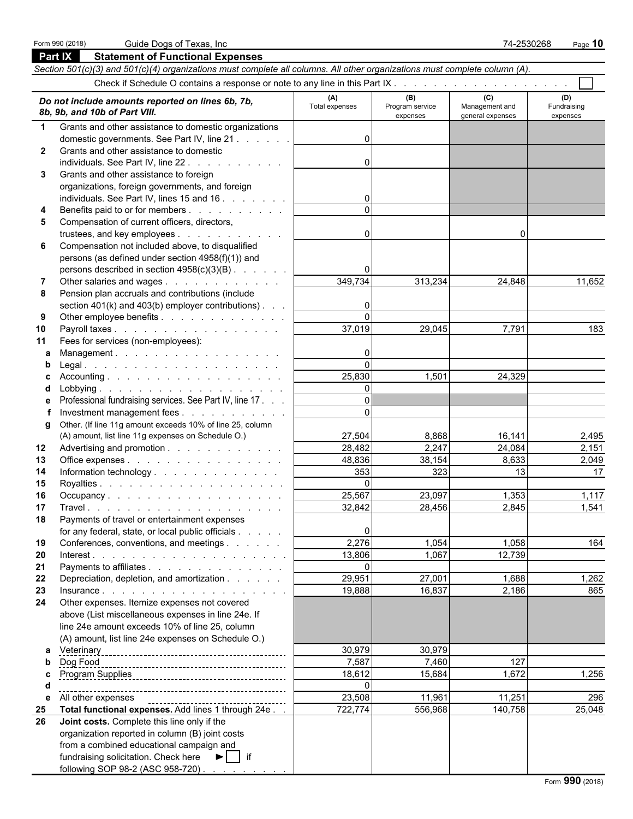|             | <b>Part IX</b><br><b>Statement of Functional Expenses</b>                                                                  |                       |                                    |                                    |                                |
|-------------|----------------------------------------------------------------------------------------------------------------------------|-----------------------|------------------------------------|------------------------------------|--------------------------------|
|             | Section 501(c)(3) and 501(c)(4) organizations must complete all columns. All other organizations must complete column (A). |                       |                                    |                                    |                                |
|             |                                                                                                                            |                       |                                    |                                    |                                |
|             |                                                                                                                            |                       |                                    | (C)                                |                                |
|             | Do not include amounts reported on lines 6b, 7b,<br>8b, 9b, and 10b of Part VIII.                                          | (A)<br>Total expenses | (B)<br>Program service<br>expenses | Management and<br>general expenses | (D)<br>Fundraising<br>expenses |
| $\mathbf 1$ | Grants and other assistance to domestic organizations                                                                      |                       |                                    |                                    |                                |
|             | domestic governments. See Part IV, line 21                                                                                 | $\Omega$              |                                    |                                    |                                |
| 2           | Grants and other assistance to domestic                                                                                    |                       |                                    |                                    |                                |
|             | individuals. See Part IV, line 22                                                                                          | $\Omega$              |                                    |                                    |                                |
| 3           | Grants and other assistance to foreign                                                                                     |                       |                                    |                                    |                                |
|             | organizations, foreign governments, and foreign                                                                            |                       |                                    |                                    |                                |
|             | individuals. See Part IV, lines 15 and 16                                                                                  | $\mathbf{0}$          |                                    |                                    |                                |
| 4           | Benefits paid to or for members                                                                                            | $\Omega$              |                                    |                                    |                                |
| 5           | Compensation of current officers, directors,                                                                               |                       |                                    |                                    |                                |
|             | trustees, and key employees                                                                                                | $\Omega$              |                                    | 0                                  |                                |
| 6           | Compensation not included above, to disqualified                                                                           |                       |                                    |                                    |                                |
|             | persons (as defined under section 4958(f)(1)) and                                                                          |                       |                                    |                                    |                                |
|             | persons described in section $4958(c)(3)(B)$ .                                                                             | 0                     |                                    |                                    |                                |
| 7           | Other salaries and wages                                                                                                   | 349,734               | 313,234                            | 24,848                             | 11,652                         |
| 8           | Pension plan accruals and contributions (include                                                                           |                       |                                    |                                    |                                |
|             | section 401(k) and 403(b) employer contributions).                                                                         | $\mathbf{0}$          |                                    |                                    |                                |
| 9           | Other employee benefits                                                                                                    | $\Omega$              |                                    |                                    |                                |
| 10          |                                                                                                                            | 37,019                | 29,045                             | 7,791                              | 183                            |
| 11          | Fees for services (non-employees):                                                                                         |                       |                                    |                                    |                                |
| а           | Management.                                                                                                                | $\mathbf{0}$          |                                    |                                    |                                |
| b           | <mark>egal.</mark> .                                                                                                       | $\Omega$              |                                    |                                    |                                |
| c           |                                                                                                                            | 25,830                | 1,501                              | 24,329                             |                                |
| d           |                                                                                                                            | $\mathbf{0}$          |                                    |                                    |                                |
| е           | Professional fundraising services. See Part IV, line 17.                                                                   | $\Omega$              |                                    |                                    |                                |
|             | Investment management fees                                                                                                 | $\Omega$              |                                    |                                    |                                |
| g           | Other. (If line 11g amount exceeds 10% of line 25, column                                                                  |                       |                                    |                                    |                                |
|             | (A) amount, list line 11g expenses on Schedule O.)                                                                         | 27,504                | 8,868                              | 16,141                             | 2,495                          |
| 12          | Advertising and promotion                                                                                                  | 28,482                | 2,247                              | 24,084                             | 2,151                          |
| 13          | Office expenses                                                                                                            | 48,836                | 38,154                             | 8,633                              | 2,049                          |
| 14          | Information technology                                                                                                     | 353                   | 323                                | 13                                 | 17                             |
| 15          |                                                                                                                            | $\mathbf{0}$          |                                    |                                    |                                |
| 16          | Occupancy.                                                                                                                 | 25,567                | 23,097                             | 1,353                              | 1,117                          |
| 17          |                                                                                                                            | 32,842                | 28,456                             | 2,845                              | 1,541                          |
| 18          | Payments of travel or entertainment expenses                                                                               |                       |                                    |                                    |                                |
|             | for any federal, state, or local public officials                                                                          | 0                     |                                    |                                    |                                |
| 19          | Conferences, conventions, and meetings                                                                                     | 2,276                 | 1,054                              | 1,058                              | 164                            |
| 20          |                                                                                                                            | 13,806                | 1,067                              | 12,739                             |                                |
| 21          | Payments to affiliates                                                                                                     | $\Omega$              |                                    |                                    |                                |
| 22          | Depreciation, depletion, and amortization                                                                                  | 29,951                | 27,001                             | 1,688                              | 1,262                          |
| 23          |                                                                                                                            | 19,888                | 16,837                             | 2,186                              | 865                            |
| 24          | Other expenses. Itemize expenses not covered                                                                               |                       |                                    |                                    |                                |
|             | above (List miscellaneous expenses in line 24e. If                                                                         |                       |                                    |                                    |                                |
|             | line 24e amount exceeds 10% of line 25, column                                                                             |                       |                                    |                                    |                                |
|             | (A) amount, list line 24e expenses on Schedule O.)                                                                         |                       |                                    |                                    |                                |
|             |                                                                                                                            |                       |                                    |                                    |                                |
|             |                                                                                                                            | 30,979                | 30,979                             |                                    |                                |
| b           |                                                                                                                            | 7,587                 | 7,460                              | 127                                |                                |
| c           |                                                                                                                            | 18,612<br>$\Omega$    | 15,684                             | 1,672                              | 1,256                          |
| d           |                                                                                                                            |                       |                                    |                                    |                                |
| е           | All other expenses                                                                                                         | 23,508                | 11,961                             | 11,251                             | 296                            |
| 25          | Total functional expenses. Add lines 1 through 24e                                                                         | 722,774               | 556,968                            | 140,758                            | 25,048                         |
| 26          | Joint costs. Complete this line only if the                                                                                |                       |                                    |                                    |                                |
|             | organization reported in column (B) joint costs                                                                            |                       |                                    |                                    |                                |
|             | from a combined educational campaign and                                                                                   |                       |                                    |                                    |                                |
|             | fundraising solicitation. Check here<br>$\blacktriangleright$   if                                                         |                       |                                    |                                    |                                |
|             | following SOP 98-2 (ASC 958-720).                                                                                          |                       |                                    |                                    |                                |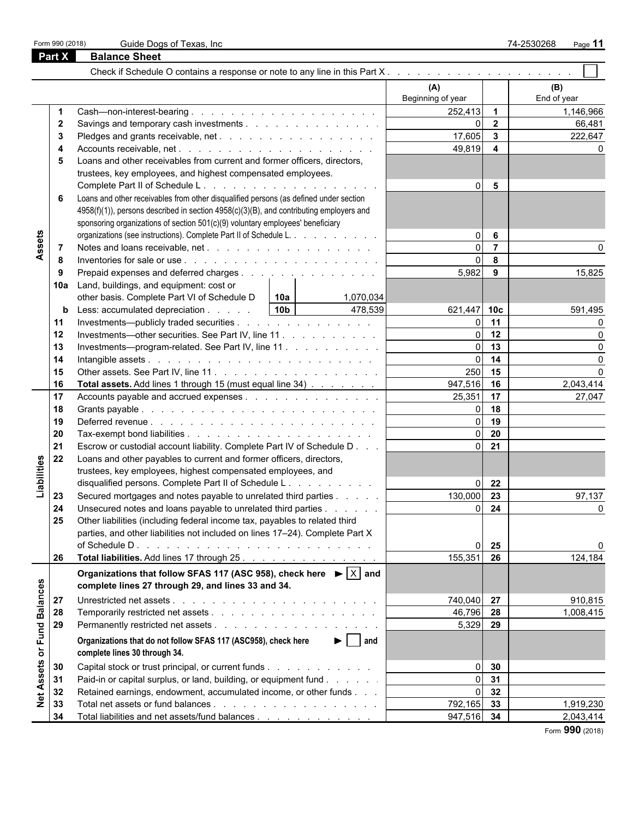|                                             | Form 990 (2018) | Guide Dogs of Texas, Inc.                                                                                                                           |                                  |                         | 74-2530268<br>Page 11 |
|---------------------------------------------|-----------------|-----------------------------------------------------------------------------------------------------------------------------------------------------|----------------------------------|-------------------------|-----------------------|
|                                             | Part X          | <b>Balance Sheet</b>                                                                                                                                |                                  |                         |                       |
|                                             |                 |                                                                                                                                                     |                                  |                         |                       |
|                                             |                 |                                                                                                                                                     | (A)<br>Beginning of year         |                         | (B)<br>End of year    |
|                                             |                 |                                                                                                                                                     | 252,413                          | $\overline{\mathbf{1}}$ | 1,146,966             |
|                                             | 2               | Savings and temporary cash investments                                                                                                              | 0 <sup>l</sup>                   | $\overline{\mathbf{2}}$ | 66,481                |
|                                             | 3               |                                                                                                                                                     | 17,605                           | $\mathbf{3}$            | 222,647               |
|                                             | 4               |                                                                                                                                                     | 49,819                           | $\overline{4}$          | $\Omega$              |
|                                             | 5               | Loans and other receivables from current and former officers, directors,                                                                            |                                  |                         |                       |
|                                             |                 | trustees, key employees, and highest compensated employees.                                                                                         |                                  |                         |                       |
|                                             |                 |                                                                                                                                                     | $\overline{0}$                   | $5\phantom{.0}$         |                       |
|                                             | 6               | Loans and other receivables from other disqualified persons (as defined under section                                                               |                                  |                         |                       |
|                                             |                 | 4958(f)(1)), persons described in section 4958(c)(3)(B), and contributing employers and                                                             |                                  |                         |                       |
| Assets<br>Liabilities<br><b>Balances</b>    |                 | sponsoring organizations of section 501(c)(9) voluntary employees' beneficiary                                                                      |                                  |                         |                       |
|                                             |                 | organizations (see instructions). Complete Part II of Schedule L.                                                                                   | 0I                               | 6                       |                       |
|                                             | 7               |                                                                                                                                                     | $\overline{0}$                   | $\overline{7}$          | $\Omega$              |
|                                             | 8               |                                                                                                                                                     | $\overline{0}$                   | 8                       |                       |
|                                             | 9               | Prepaid expenses and deferred charges                                                                                                               | 5,982                            | 9                       | 15,825                |
|                                             | 10a             | Land, buildings, and equipment: cost or                                                                                                             |                                  |                         |                       |
|                                             |                 | other basis. Complete Part VI of Schedule D<br>1,070,034<br>10a l                                                                                   |                                  |                         |                       |
|                                             | b               | 10 <sub>b</sub><br>478,539<br>Less: accumulated depreciation                                                                                        | 621,447 10c                      |                         | 591,495               |
|                                             | 11              | Investments—publicly traded securities                                                                                                              | $\overline{0}$                   | 11                      | $\mathbf 0$           |
|                                             | 12              | Investments—other securities. See Part IV, line 11.                                                                                                 | $\overline{0}$                   | 12                      | $\Omega$              |
|                                             | 13              | Investments—program-related. See Part IV, line 11                                                                                                   | $\overline{0}$<br>$\overline{0}$ | 13<br>14                | $\Omega$<br>$\Omega$  |
|                                             | 14<br>15        |                                                                                                                                                     | 250                              | 15                      | $\Omega$              |
|                                             | 16              |                                                                                                                                                     | 947,516 16                       |                         | 2,043,414             |
|                                             | 17              | Total assets. Add lines 1 through 15 (must equal line 34)<br>Accounts payable and accrued expenses                                                  | 25,351                           | 17                      | 27,047                |
|                                             | 18              |                                                                                                                                                     | $\Omega$                         | 18                      |                       |
|                                             | 19              |                                                                                                                                                     | $\Omega$                         | 19                      |                       |
|                                             | 20              |                                                                                                                                                     | $\Omega$                         | 20                      |                       |
|                                             | 21              | Escrow or custodial account liability. Complete Part IV of Schedule D                                                                               | $\Omega$                         | 21                      |                       |
|                                             | 22              | Loans and other payables to current and former officers, directors,                                                                                 |                                  |                         |                       |
|                                             |                 | trustees, key employees, highest compensated employees, and                                                                                         |                                  |                         |                       |
|                                             |                 | disqualified persons. Complete Part II of Schedule L.                                                                                               | 0                                | 22                      |                       |
|                                             | 23              | Secured mortgages and notes payable to unrelated third parties                                                                                      | 130,000                          | 23                      | 97,137                |
|                                             | 24              | Unsecured notes and loans payable to unrelated third parties                                                                                        |                                  | $0\quad$ 24             | 0                     |
|                                             | 25              | Other liabilities (including federal income tax, payables to related third                                                                          |                                  |                         |                       |
|                                             |                 | parties, and other liabilities not included on lines 17-24). Complete Part X                                                                        |                                  |                         |                       |
|                                             |                 |                                                                                                                                                     | $\Omega$                         | 25                      | 0                     |
|                                             | 26              | Total liabilities. Add lines 17 through 25.                                                                                                         | 155,351                          | 26                      | 124,184               |
|                                             |                 | Organizations that follow SFAS 117 (ASC 958), check here $\blacktriangleright$ $ \times $ and<br>complete lines 27 through 29, and lines 33 and 34. |                                  |                         |                       |
|                                             | 27              |                                                                                                                                                     | 740,040 27                       |                         | 910,815               |
|                                             | 28              |                                                                                                                                                     | 46,796                           | 28                      | 1,008,415             |
|                                             | 29              |                                                                                                                                                     | 5,329 29                         |                         |                       |
| <b>Fund</b><br>$\overleftarrow{\mathbf{o}}$ |                 | $\blacktriangleright$   $\blacksquare$ and<br>Organizations that do not follow SFAS 117 (ASC958), check here<br>complete lines 30 through 34.       |                                  |                         |                       |
|                                             | 30              | Capital stock or trust principal, or current funds                                                                                                  | 0                                | 30                      |                       |
| Assets                                      | 31              | Paid-in or capital surplus, or land, building, or equipment fund                                                                                    | $\Omega$                         | 31                      |                       |
|                                             | 32              | Retained earnings, endowment, accumulated income, or other funds                                                                                    | $\Omega$                         | 32                      |                       |
| Net.                                        | 33              |                                                                                                                                                     | 792,165 33                       |                         | 1,919,230             |
|                                             | 34              | Total liabilities and net assets/fund balances                                                                                                      | 947,516 34                       |                         | 2,043,414             |

Form **990** (2018)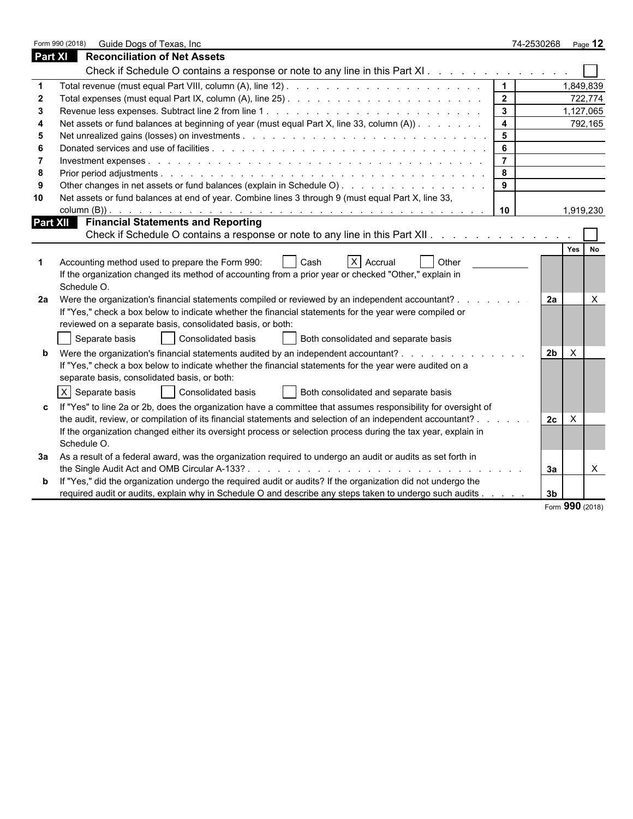|                | Guide Dogs of Texas, Inc<br>Form 990 (2018)                                                                    |                      | 74-2530268                     | Page 12   |
|----------------|----------------------------------------------------------------------------------------------------------------|----------------------|--------------------------------|-----------|
| <b>Part XI</b> | <b>Reconciliation of Net Assets</b>                                                                            |                      |                                |           |
|                | Check if Schedule O contains a response or note to any line in this Part XI                                    |                      |                                |           |
|                |                                                                                                                | $\mathbf 1$          |                                | 1,849,839 |
|                |                                                                                                                | $2^{\circ}$          |                                | 722,774   |
| 3              |                                                                                                                | $\mathbf{3}$         |                                | 1,127,065 |
|                | Net assets or fund balances at beginning of year (must equal Part X, line 33, column (A))                      | 4                    |                                | 792,165   |
| 5              |                                                                                                                | 5                    |                                |           |
|                |                                                                                                                | 6                    |                                |           |
|                |                                                                                                                | $\overline{7}$       |                                |           |
| 8              |                                                                                                                | 8                    |                                |           |
|                | Other changes in net assets or fund balances (explain in Schedule O)                                           | 9                    |                                |           |
| 10             | Net assets or fund balances at end of year. Combine lines 3 through 9 (must equal Part X, line 33,             |                      |                                |           |
|                |                                                                                                                | 10                   |                                | 1,919,230 |
|                | <b>Part XII Financial Statements and Reporting</b>                                                             |                      |                                |           |
|                | Check if Schedule O contains a response or note to any line in this Part XII.                                  |                      |                                |           |
|                |                                                                                                                |                      | Yes                            | <b>No</b> |
|                | $X$ Accrual<br>Accounting method used to prepare the Form 990:<br>Cash<br>Other                                |                      |                                |           |
|                | If the organization changed its method of accounting from a prior year or checked "Other," explain in          |                      |                                |           |
|                | Schedule O.                                                                                                    |                      |                                |           |
| 2a             | Were the organization's financial statements compiled or reviewed by an independent accountant?.               | and the state of the | 2a                             | $\times$  |
|                | If "Yes," check a box below to indicate whether the financial statements for the year were compiled or         |                      |                                |           |
|                | reviewed on a separate basis, consolidated basis, or both:                                                     |                      |                                |           |
|                | Consolidated basis<br>Separate basis<br>Both consolidated and separate basis                                   |                      |                                |           |
| b              | Were the organization's financial statements audited by an independent accountant?                             |                      | $\mathsf{X}$<br>2 <sub>b</sub> |           |
|                | If "Yes," check a box below to indicate whether the financial statements for the year were audited on a        |                      |                                |           |
|                | separate basis, consolidated basis, or both:                                                                   |                      |                                |           |
|                | X Separate basis<br><b>Consolidated basis</b><br>Both consolidated and separate basis                          |                      |                                |           |
|                |                                                                                                                |                      |                                |           |
|                | If "Yes" to line 2a or 2b, does the organization have a committee that assumes responsibility for oversight of |                      |                                |           |
|                | the audit, review, or compilation of its financial statements and selection of an independent accountant?.     |                      | $\times$<br>2c                 |           |
|                | If the organization changed either its oversight process or selection process during the tax year, explain in  |                      |                                |           |
|                | Schedule O.                                                                                                    |                      |                                |           |
| За             | As a result of a federal award, was the organization required to undergo an audit or audits as set forth in    |                      |                                |           |
|                |                                                                                                                |                      | За                             | $\times$  |
|                | If "Yes," did the organization undergo the required audit or audits? If the organization did not undergo the   |                      |                                |           |
|                | required audit or audits, explain why in Schedule O and describe any steps taken to undergo such audits        |                      | 3 <sub>b</sub>                 |           |

Form **990** (2018)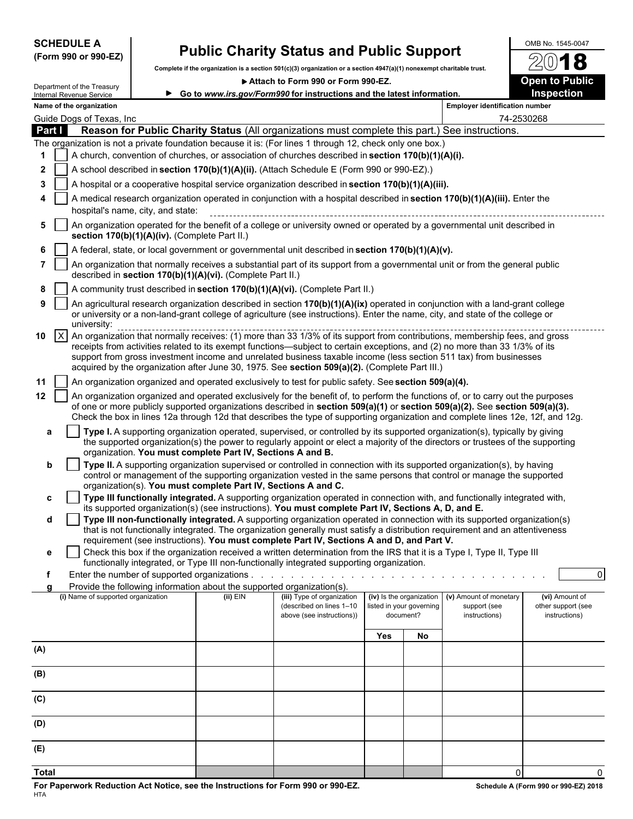| <b>SCHEDULE A</b> |  |                      |
|-------------------|--|----------------------|
|                   |  | (Form 990 or 990-EZ) |

## **Public Charity Status and Public Support**

**Complete if the organization is a section 501(c)(3) organization or a section 4947(a)(1) nonexempt charitable trust.**

| UMB NO. 1545-0047     |
|-----------------------|
| 2018                  |
| <b>Open to Public</b> |
| <b>Inspection</b>     |

|                 |        | Department of the Treasury         |                                               |                                                                        | Attach to Form 990 or Form 990-EZ.                                                                                                                                                                                                                                                                                                                                                                 |                                       |                                       |                                                                                  | <b>Open to Public</b>                                 |  |  |  |
|-----------------|--------|------------------------------------|-----------------------------------------------|------------------------------------------------------------------------|----------------------------------------------------------------------------------------------------------------------------------------------------------------------------------------------------------------------------------------------------------------------------------------------------------------------------------------------------------------------------------------------------|---------------------------------------|---------------------------------------|----------------------------------------------------------------------------------|-------------------------------------------------------|--|--|--|
|                 |        | Internal Revenue Service           |                                               |                                                                        | Go to www.irs.gov/Form990 for instructions and the latest information.                                                                                                                                                                                                                                                                                                                             |                                       |                                       |                                                                                  | Inspection                                            |  |  |  |
|                 |        | Name of the organization           |                                               |                                                                        |                                                                                                                                                                                                                                                                                                                                                                                                    | <b>Employer identification number</b> |                                       |                                                                                  |                                                       |  |  |  |
|                 |        | Guide Dogs of Texas, Inc.          |                                               |                                                                        |                                                                                                                                                                                                                                                                                                                                                                                                    |                                       |                                       |                                                                                  | 74-2530268                                            |  |  |  |
|                 | Part I |                                    |                                               |                                                                        | Reason for Public Charity Status (All organizations must complete this part.) See instructions.<br>The organization is not a private foundation because it is: (For lines 1 through 12, check only one box.)                                                                                                                                                                                       |                                       |                                       |                                                                                  |                                                       |  |  |  |
|                 |        |                                    |                                               |                                                                        | A church, convention of churches, or association of churches described in section 170(b)(1)(A)(i).                                                                                                                                                                                                                                                                                                 |                                       |                                       |                                                                                  |                                                       |  |  |  |
| $\mathbf{2}$    |        |                                    |                                               |                                                                        | A school described in section 170(b)(1)(A)(ii). (Attach Schedule E (Form 990 or 990-EZ).)                                                                                                                                                                                                                                                                                                          |                                       |                                       |                                                                                  |                                                       |  |  |  |
| 3               |        |                                    |                                               |                                                                        | A hospital or a cooperative hospital service organization described in section 170(b)(1)(A)(iii).                                                                                                                                                                                                                                                                                                  |                                       |                                       |                                                                                  |                                                       |  |  |  |
| 4               |        |                                    |                                               |                                                                        | A medical research organization operated in conjunction with a hospital described in section 170(b)(1)(A)(iii). Enter the                                                                                                                                                                                                                                                                          |                                       |                                       |                                                                                  |                                                       |  |  |  |
|                 |        |                                    | hospital's name, city, and state:             |                                                                        |                                                                                                                                                                                                                                                                                                                                                                                                    |                                       |                                       |                                                                                  |                                                       |  |  |  |
| 5               |        |                                    | section 170(b)(1)(A)(iv). (Complete Part II.) |                                                                        | An organization operated for the benefit of a college or university owned or operated by a governmental unit described in                                                                                                                                                                                                                                                                          |                                       |                                       |                                                                                  |                                                       |  |  |  |
|                 |        |                                    |                                               |                                                                        | A federal, state, or local government or governmental unit described in section 170(b)(1)(A)(v).                                                                                                                                                                                                                                                                                                   |                                       |                                       |                                                                                  |                                                       |  |  |  |
| 7               |        |                                    |                                               | described in section 170(b)(1)(A)(vi). (Complete Part II.)             | An organization that normally receives a substantial part of its support from a governmental unit or from the general public                                                                                                                                                                                                                                                                       |                                       |                                       |                                                                                  |                                                       |  |  |  |
| 8               |        |                                    |                                               |                                                                        | A community trust described in section 170(b)(1)(A)(vi). (Complete Part II.)                                                                                                                                                                                                                                                                                                                       |                                       |                                       |                                                                                  |                                                       |  |  |  |
| 9               |        | university:                        |                                               |                                                                        | An agricultural research organization described in section 170(b)(1)(A)(ix) operated in conjunction with a land-grant college<br>or university or a non-land-grant college of agriculture (see instructions). Enter the name, city, and state of the college or                                                                                                                                    |                                       |                                       |                                                                                  |                                                       |  |  |  |
| 10              |        |                                    |                                               |                                                                        | $ X $ An organization that normally receives: (1) more than 33 1/3% of its support from contributions, membership fees, and gross<br>receipts from activities related to its exempt functions—subject to certain exceptions, and (2) no more than 33 1/3% of its<br>support from gross investment income and unrelated business taxable income (less section 511 tax) from businesses              |                                       |                                       |                                                                                  |                                                       |  |  |  |
|                 |        |                                    |                                               |                                                                        | acquired by the organization after June 30, 1975. See section 509(a)(2). (Complete Part III.)                                                                                                                                                                                                                                                                                                      |                                       |                                       |                                                                                  |                                                       |  |  |  |
| 11              |        |                                    |                                               |                                                                        | An organization organized and operated exclusively to test for public safety. See section 509(a)(4).                                                                                                                                                                                                                                                                                               |                                       |                                       |                                                                                  |                                                       |  |  |  |
| 12 <sub>2</sub> |        |                                    |                                               |                                                                        | An organization organized and operated exclusively for the benefit of, to perform the functions of, or to carry out the purposes<br>of one or more publicly supported organizations described in section 509(a)(1) or section 509(a)(2). See section 509(a)(3).<br>Check the box in lines 12a through 12d that describes the type of supporting organization and complete lines 12e, 12f, and 12g. |                                       |                                       |                                                                                  |                                                       |  |  |  |
|                 | a      |                                    |                                               | organization. You must complete Part IV, Sections A and B.             | Type I. A supporting organization operated, supervised, or controlled by its supported organization(s), typically by giving<br>the supported organization(s) the power to regularly appoint or elect a majority of the directors or trustees of the supporting                                                                                                                                     |                                       |                                       |                                                                                  |                                                       |  |  |  |
|                 | b      |                                    |                                               |                                                                        | Type II. A supporting organization supervised or controlled in connection with its supported organization(s), by having<br>control or management of the supporting organization vested in the same persons that control or manage the supported                                                                                                                                                    |                                       |                                       |                                                                                  |                                                       |  |  |  |
|                 |        |                                    |                                               | organization(s). You must complete Part IV, Sections A and C.          |                                                                                                                                                                                                                                                                                                                                                                                                    |                                       |                                       |                                                                                  |                                                       |  |  |  |
|                 | c      |                                    |                                               |                                                                        | Type III functionally integrated. A supporting organization operated in connection with, and functionally integrated with,                                                                                                                                                                                                                                                                         |                                       |                                       |                                                                                  |                                                       |  |  |  |
|                 |        |                                    |                                               |                                                                        | its supported organization(s) (see instructions). You must complete Part IV, Sections A, D, and E.                                                                                                                                                                                                                                                                                                 |                                       |                                       |                                                                                  |                                                       |  |  |  |
|                 | d      |                                    |                                               |                                                                        | Type III non-functionally integrated. A supporting organization operated in connection with its supported organization(s)<br>that is not functionally integrated. The organization generally must satisfy a distribution requirement and an attentiveness<br>requirement (see instructions). You must complete Part IV, Sections A and D, and Part V.                                              |                                       |                                       |                                                                                  |                                                       |  |  |  |
|                 | е      |                                    |                                               |                                                                        | Check this box if the organization received a written determination from the IRS that it is a Type I, Type II, Type III<br>functionally integrated, or Type III non-functionally integrated supporting organization.                                                                                                                                                                               |                                       |                                       |                                                                                  |                                                       |  |  |  |
| f               |        |                                    |                                               |                                                                        |                                                                                                                                                                                                                                                                                                                                                                                                    |                                       |                                       |                                                                                  | $\Omega$                                              |  |  |  |
|                 | a      |                                    |                                               | Provide the following information about the supported organization(s). |                                                                                                                                                                                                                                                                                                                                                                                                    |                                       |                                       |                                                                                  |                                                       |  |  |  |
|                 |        | (i) Name of supported organization |                                               | $(ii)$ EIN                                                             | (iii) Type of organization<br>(described on lines 1-10<br>above (see instructions))                                                                                                                                                                                                                                                                                                                |                                       | listed in your governing<br>document? | (iv) Is the organization (v) Amount of monetary<br>support (see<br>instructions) | (vi) Amount of<br>other support (see<br>instructions) |  |  |  |
|                 |        |                                    |                                               |                                                                        |                                                                                                                                                                                                                                                                                                                                                                                                    | Yes                                   | No                                    |                                                                                  |                                                       |  |  |  |
| (A)             |        |                                    |                                               |                                                                        |                                                                                                                                                                                                                                                                                                                                                                                                    |                                       |                                       |                                                                                  |                                                       |  |  |  |
|                 |        |                                    |                                               |                                                                        |                                                                                                                                                                                                                                                                                                                                                                                                    |                                       |                                       |                                                                                  |                                                       |  |  |  |
| (B)             |        |                                    |                                               |                                                                        |                                                                                                                                                                                                                                                                                                                                                                                                    |                                       |                                       |                                                                                  |                                                       |  |  |  |
| (C)             |        |                                    |                                               |                                                                        |                                                                                                                                                                                                                                                                                                                                                                                                    |                                       |                                       |                                                                                  |                                                       |  |  |  |
| (D)             |        |                                    |                                               |                                                                        |                                                                                                                                                                                                                                                                                                                                                                                                    |                                       |                                       |                                                                                  |                                                       |  |  |  |
| (E)             |        |                                    |                                               |                                                                        |                                                                                                                                                                                                                                                                                                                                                                                                    |                                       |                                       |                                                                                  |                                                       |  |  |  |
|                 |        |                                    |                                               |                                                                        |                                                                                                                                                                                                                                                                                                                                                                                                    |                                       |                                       |                                                                                  |                                                       |  |  |  |

**Total** 0 0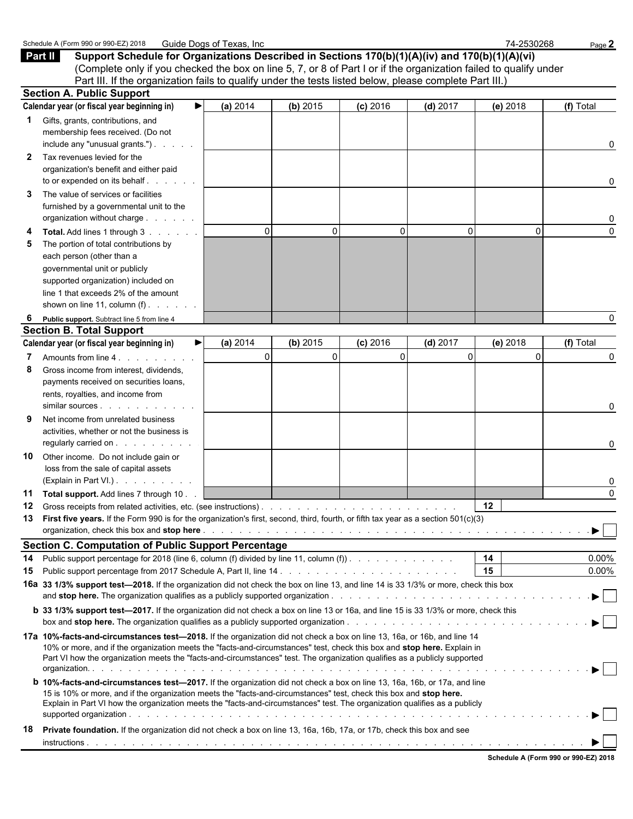|              | Schedule A (Form 990 or 990-EZ) 2018                                                                                                                                                                                                             | Guide Dogs of Texas, Inc |                |             |             | 74-2530268      | Page 2                  |
|--------------|--------------------------------------------------------------------------------------------------------------------------------------------------------------------------------------------------------------------------------------------------|--------------------------|----------------|-------------|-------------|-----------------|-------------------------|
| Part II      | Support Schedule for Organizations Described in Sections 170(b)(1)(A)(iv) and 170(b)(1)(A)(vi)                                                                                                                                                   |                          |                |             |             |                 |                         |
|              | (Complete only if you checked the box on line 5, 7, or 8 of Part I or if the organization failed to qualify under                                                                                                                                |                          |                |             |             |                 |                         |
|              | Part III. If the organization fails to qualify under the tests listed below, please complete Part III.)                                                                                                                                          |                          |                |             |             |                 |                         |
|              | <b>Section A. Public Support</b>                                                                                                                                                                                                                 |                          |                |             |             |                 |                         |
|              | Calendar year (or fiscal year beginning in)                                                                                                                                                                                                      | (a) 2014                 | (b) 2015       | $(c)$ 2016  | $(d)$ 2017  | (e) $2018$      | (f) Total               |
|              | Gifts, grants, contributions, and                                                                                                                                                                                                                |                          |                |             |             |                 |                         |
|              | membership fees received. (Do not                                                                                                                                                                                                                |                          |                |             |             |                 |                         |
|              | include any "unusual grants.")                                                                                                                                                                                                                   |                          |                |             |             |                 | 0                       |
| $\mathbf{2}$ | Tax revenues levied for the                                                                                                                                                                                                                      |                          |                |             |             |                 |                         |
|              | organization's benefit and either paid                                                                                                                                                                                                           |                          |                |             |             |                 |                         |
|              | to or expended on its behalf                                                                                                                                                                                                                     |                          |                |             |             |                 | 0                       |
| 3            | The value of services or facilities                                                                                                                                                                                                              |                          |                |             |             |                 |                         |
|              | furnished by a governmental unit to the                                                                                                                                                                                                          |                          |                |             |             |                 |                         |
|              | organization without charge                                                                                                                                                                                                                      |                          |                |             |             |                 | 0                       |
|              | Total. Add lines 1 through 3                                                                                                                                                                                                                     | $\Omega$                 | $\Omega$       | 0           | $\mathbf 0$ | $\Omega$        | $\Omega$                |
|              | The portion of total contributions by                                                                                                                                                                                                            |                          |                |             |             |                 |                         |
|              | each person (other than a                                                                                                                                                                                                                        |                          |                |             |             |                 |                         |
|              | governmental unit or publicly                                                                                                                                                                                                                    |                          |                |             |             |                 |                         |
|              | supported organization) included on                                                                                                                                                                                                              |                          |                |             |             |                 |                         |
|              | line 1 that exceeds 2% of the amount                                                                                                                                                                                                             |                          |                |             |             |                 |                         |
|              | shown on line 11, column $(f)$ .                                                                                                                                                                                                                 |                          |                |             |             |                 |                         |
|              | Public support. Subtract line 5 from line 4                                                                                                                                                                                                      |                          |                |             |             |                 | 0                       |
|              | <b>Section B. Total Support</b>                                                                                                                                                                                                                  |                          |                |             |             |                 |                         |
|              | Calendar year (or fiscal year beginning in)<br>▶                                                                                                                                                                                                 | (a) 2014                 | (b) 2015       | $(c)$ 2016  | $(d)$ 2017  | (e) 2018        | (f) Total               |
|              | Amounts from line 4.                                                                                                                                                                                                                             | $\mathbf 0$              | $\overline{0}$ | $\mathbf 0$ | $\mathbf 0$ | $\Omega$        | 0                       |
| 8            | Gross income from interest, dividends,                                                                                                                                                                                                           |                          |                |             |             |                 |                         |
|              | payments received on securities loans,                                                                                                                                                                                                           |                          |                |             |             |                 |                         |
|              | rents, royalties, and income from                                                                                                                                                                                                                |                          |                |             |             |                 |                         |
|              | similar sources expansion and the set of the set of the set of the set of the set of the set of the set of the                                                                                                                                   |                          |                |             |             |                 | 0                       |
|              | Net income from unrelated business                                                                                                                                                                                                               |                          |                |             |             |                 |                         |
|              | activities, whether or not the business is<br>regularly carried on                                                                                                                                                                               |                          |                |             |             |                 | 0                       |
| 10           | Other income. Do not include gain or                                                                                                                                                                                                             |                          |                |             |             |                 |                         |
|              | loss from the sale of capital assets                                                                                                                                                                                                             |                          |                |             |             |                 |                         |
|              | (Explain in Part VI.)                                                                                                                                                                                                                            |                          |                |             |             |                 | 0                       |
|              | 11 Total support. Add lines 7 through 10.                                                                                                                                                                                                        |                          |                |             |             |                 | $\Omega$                |
| 12           |                                                                                                                                                                                                                                                  |                          |                |             |             | 12 <sub>2</sub> |                         |
|              | 13 First five years. If the Form 990 is for the organization's first, second, third, fourth, or fifth tax year as a section 501(c)(3)                                                                                                            |                          |                |             |             |                 |                         |
|              |                                                                                                                                                                                                                                                  |                          |                |             |             |                 | ▶                       |
|              | <b>Section C. Computation of Public Support Percentage</b>                                                                                                                                                                                       |                          |                |             |             |                 |                         |
| 14           | Public support percentage for 2018 (line 6, column (f) divided by line 11, column (f)).                                                                                                                                                          |                          |                |             |             | 14              | 0.00%                   |
| 15           |                                                                                                                                                                                                                                                  |                          |                |             |             | 15              | $0.00\%$                |
|              | 16a 33 1/3% support test-2018. If the organization did not check the box on line 13, and line 14 is 33 1/3% or more, check this box                                                                                                              |                          |                |             |             |                 |                         |
|              |                                                                                                                                                                                                                                                  |                          |                |             |             |                 |                         |
|              | <b>b</b> 33 1/3% support test-2017. If the organization did not check a box on line 13 or 16a, and line 15 is 33 1/3% or more, check this                                                                                                        |                          |                |             |             |                 |                         |
|              |                                                                                                                                                                                                                                                  |                          |                |             |             |                 |                         |
|              | 17a 10%-facts-and-circumstances test-2018. If the organization did not check a box on line 13, 16a, or 16b, and line 14                                                                                                                          |                          |                |             |             |                 |                         |
|              | 10% or more, and if the organization meets the "facts-and-circumstances" test, check this box and stop here. Explain in                                                                                                                          |                          |                |             |             |                 |                         |
|              | Part VI how the organization meets the "facts-and-circumstances" test. The organization qualifies as a publicly supported                                                                                                                        |                          |                |             |             |                 |                         |
|              |                                                                                                                                                                                                                                                  |                          |                |             |             |                 |                         |
|              | <b>b</b> 10%-facts-and-circumstances test-2017. If the organization did not check a box on line 13, 16a, 16b, or 17a, and line                                                                                                                   |                          |                |             |             |                 |                         |
|              | 15 is 10% or more, and if the organization meets the "facts-and-circumstances" test, check this box and stop here.<br>Explain in Part VI how the organization meets the "facts-and-circumstances" test. The organization qualifies as a publicly |                          |                |             |             |                 |                         |
|              |                                                                                                                                                                                                                                                  |                          |                |             |             |                 | $\blacktriangleright$ 1 |
| 18           | Private foundation. If the organization did not check a box on line 13, 16a, 16b, 17a, or 17b, check this box and see                                                                                                                            |                          |                |             |             |                 |                         |
|              |                                                                                                                                                                                                                                                  |                          |                |             |             |                 |                         |
|              |                                                                                                                                                                                                                                                  |                          |                |             |             |                 |                         |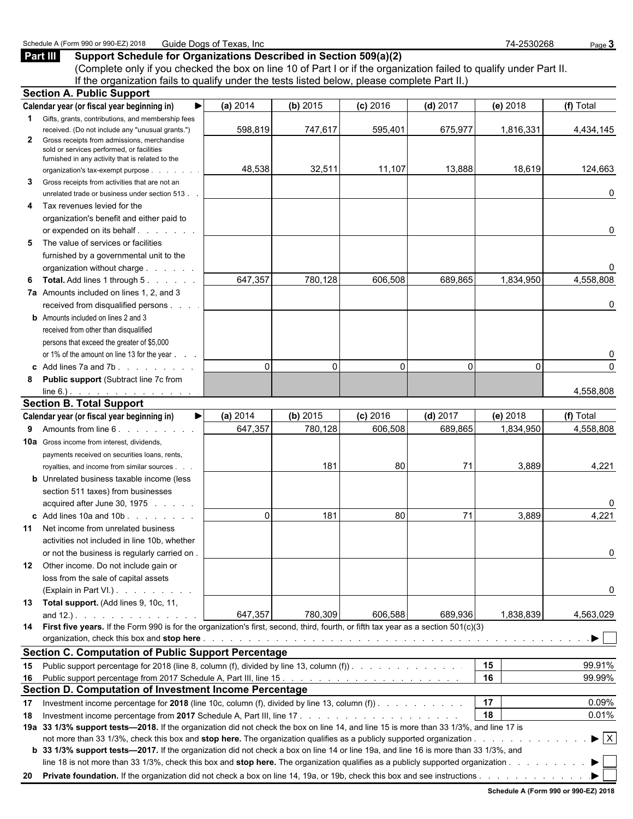(Complete only if you checked the box on line 10 of Part I or if the organization failed to qualify under Part II. If the organization fails to qualify under the tests listed below, please complete Part II.)

|              | <b>Section A. Public Support</b>                                                                                                             |          |          |            |              |           |                                |
|--------------|----------------------------------------------------------------------------------------------------------------------------------------------|----------|----------|------------|--------------|-----------|--------------------------------|
|              | Calendar year (or fiscal year beginning in)                                                                                                  | (a) 2014 | (b) 2015 | $(c)$ 2016 | $(d)$ 2017   | (e) 2018  | (f) Total                      |
|              | 1 Gifts, grants, contributions, and membership fees                                                                                          |          |          |            |              |           |                                |
|              | received. (Do not include any "unusual grants.")                                                                                             | 598,819  | 747,617  | 595,401    | 675,977      | 1,816,331 | 4,434,145                      |
| $\mathbf{2}$ | Gross receipts from admissions, merchandise<br>sold or services performed, or facilities<br>furnished in any activity that is related to the |          |          |            |              |           |                                |
|              | organization's tax-exempt purpose                                                                                                            | 48,538   | 32,511   | 11,107     | 13,888       | 18,619    | 124,663                        |
| 3            | Gross receipts from activities that are not an                                                                                               |          |          |            |              |           |                                |
|              | unrelated trade or business under section 513.                                                                                               |          |          |            |              |           | 0                              |
| 4            | Tax revenues levied for the                                                                                                                  |          |          |            |              |           |                                |
|              | organization's benefit and either paid to                                                                                                    |          |          |            |              |           |                                |
|              | or expended on its behalf.                                                                                                                   |          |          |            |              |           | 0                              |
| 5            | The value of services or facilities                                                                                                          |          |          |            |              |           |                                |
|              | furnished by a governmental unit to the                                                                                                      |          |          |            |              |           |                                |
|              | organization without charge                                                                                                                  |          |          |            |              |           | 0                              |
| 6            | <b>Total.</b> Add lines 1 through 5.                                                                                                         | 647,357  | 780,128  | 606,508    | 689,865      | 1,834,950 | 4,558,808                      |
|              | 7a Amounts included on lines 1, 2, and 3                                                                                                     |          |          |            |              |           |                                |
|              | received from disqualified persons                                                                                                           |          |          |            |              |           | 0                              |
|              | <b>b</b> Amounts included on lines 2 and 3                                                                                                   |          |          |            |              |           |                                |
|              | received from other than disqualified                                                                                                        |          |          |            |              |           |                                |
|              | persons that exceed the greater of \$5,000                                                                                                   |          |          |            |              |           |                                |
|              | or 1% of the amount on line 13 for the year                                                                                                  |          |          |            |              |           | 0                              |
|              | c Add lines $7a$ and $7b$ .                                                                                                                  | $\Omega$ | $\Omega$ | $\Omega$   | $\mathbf{0}$ | $\Omega$  | $\Omega$                       |
| 8            | <b>Public support (Subtract line 7c from</b>                                                                                                 |          |          |            |              |           |                                |
|              | $line 6.)$ .                                                                                                                                 |          |          |            |              |           | 4,558,808                      |
|              | <b>Section B. Total Support</b><br>▶                                                                                                         | (a) 2014 |          |            |              |           |                                |
|              | Calendar year (or fiscal year beginning in)                                                                                                  |          | (b) 2015 | $(c)$ 2016 | $(d)$ 2017   | (e) 2018  | (f) Total                      |
|              | 9 Amounts from line 6.                                                                                                                       | 647,357  | 780,128  | 606,508    | 689,865      | 1,834,950 | 4,558,808                      |
|              | <b>10a</b> Gross income from interest, dividends,                                                                                            |          |          |            |              |           |                                |
|              | payments received on securities loans, rents,                                                                                                |          |          |            |              |           |                                |
|              | royalties, and income from similar sources.                                                                                                  |          | 181      | 80         | 71           | 3,889     | 4,221                          |
|              | <b>b</b> Unrelated business taxable income (less<br>section 511 taxes) from businesses                                                       |          |          |            |              |           |                                |
|              |                                                                                                                                              |          |          |            |              |           |                                |
|              | acquired after June 30, 1975<br>c Add lines $10a$ and $10b$ . $\ldots$ $\ldots$                                                              | $\Omega$ | 181      | 80         | 71           | 3,889     | 4,221                          |
|              | <b>11</b> Net income from unrelated business                                                                                                 |          |          |            |              |           |                                |
|              | activities not included in line 10b, whether                                                                                                 |          |          |            |              |           |                                |
|              | or not the business is regularly carried on.                                                                                                 |          |          |            |              |           | 0                              |
|              | 12 Other income. Do not include gain or                                                                                                      |          |          |            |              |           |                                |
|              | loss from the sale of capital assets                                                                                                         |          |          |            |              |           |                                |
|              | (Explain in Part VI.)                                                                                                                        |          |          |            |              |           | 0                              |
|              | 13 Total support. (Add lines 9, 10c, 11,                                                                                                     |          |          |            |              |           |                                |
|              | and $12.$ ). $\qquad \qquad \qquad$                                                                                                          | 647,357  | 780,309  | 606,588    | 689,936      | 1,838,839 | 4,563,029                      |
|              | 14 First five years. If the Form 990 is for the organization's first, second, third, fourth, or fifth tax year as a section 501(c)(3)        |          |          |            |              |           |                                |
|              |                                                                                                                                              |          |          |            |              |           |                                |
|              | <b>Section C. Computation of Public Support Percentage</b>                                                                                   |          |          |            |              |           |                                |
|              | 15 Public support percentage for 2018 (line 8, column (f), divided by line 13, column (f)).                                                  |          |          |            |              | 15        | 99.91%                         |
|              |                                                                                                                                              |          |          |            |              | 16        | 99.99%                         |
|              | Section D. Computation of Investment Income Percentage                                                                                       |          |          |            |              |           |                                |
| 17           | Investment income percentage for 2018 (line 10c, column (f), divided by line 13, column (f)).                                                |          |          |            |              | 17        | 0.09%                          |
| 18           |                                                                                                                                              |          |          |            |              | 18        | 0.01%                          |
|              | 19a 33 1/3% support tests-2018. If the organization did not check the box on line 14, and line 15 is more than 33 1/3%, and line 17 is       |          |          |            |              |           |                                |
|              |                                                                                                                                              |          |          |            |              |           | $\blacktriangleright$ $\mid$ X |
|              | b 33 1/3% support tests—2017. If the organization did not check a box on line 14 or line 19a, and line 16 is more than 33 1/3%, and          |          |          |            |              |           |                                |
|              | line 18 is not more than 33 1/3%, check this box and stop here. The organization qualifies as a publicly supported organization              |          |          |            |              |           | ▶                              |
|              |                                                                                                                                              |          |          |            |              |           |                                |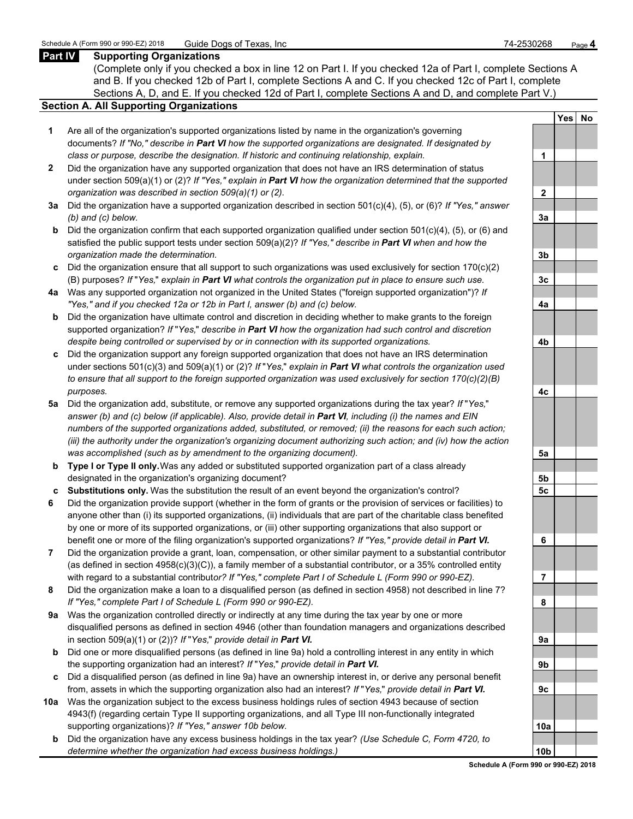## **Part IV Supporting Organizations**

(Complete only if you checked a box in line 12 on Part I. If you checked 12a of Part I, complete Sections A and B. If you checked 12b of Part I, complete Sections A and C. If you checked 12c of Part I, complete Sections A, D, and E. If you checked 12d of Part I, complete Sections A and D, and complete Part V.)

### **Section A. All Supporting Organizations**

- **1** Are all of the organization's supported organizations listed by name in the organization's governing documents? *If "No," describe in Part VI how the supported organizations are designated. If designated by class or purpose, describe the designation. If historic and continuing relationship, explain.* **1**
- **2** Did the organization have any supported organization that does not have an IRS determination of status under section 509(a)(1) or (2)? *If "Yes," explain in Part VI how the organization determined that the supported organization was described in section 509(a)(1) or (2).*
- **3a** Did the organization have a supported organization described in section 501(c)(4), (5), or (6)? *If "Yes," answer (b) and (c) below.* **3a**
- **b** Did the organization confirm that each supported organization qualified under section 501(c)(4), (5), or (6) and satisfied the public support tests under section 509(a)(2)? *If "Yes," describe in Part VI when and how the organization made the determination.* **3b**
- **c** Did the organization ensure that all support to such organizations was used exclusively for section 170(c)(2) (B) purposes? *If* "*Yes,*" *explain in Part VI what controls the organization put in place to ensure such use.* **3c**
- **4a** Was any supported organization not organized in the United States ("foreign supported organization")? *If "Yes," and if you checked 12a or 12b in Part I, answer (b) and (c) below.* **4a**
- **b** Did the organization have ultimate control and discretion in deciding whether to make grants to the foreign supported organization? *If* "*Yes,*" *describe in Part VI how the organization had such control and discretion despite being controlled or supervised by or in connection with its supported organizations.* **4b**
- **c** Did the organization support any foreign supported organization that does not have an IRS determination under sections 501(c)(3) and 509(a)(1) or (2)? *If* "*Yes,*" *explain in Part VI what controls the organization used to ensure that all support to the foreign supported organization was used exclusively for section 170(c)(2)(B) purposes.* **4c**
- **5a** Did the organization add, substitute, or remove any supported organizations during the tax year? *If* "*Yes,*" *answer (b) and (c) below (if applicable). Also, provide detail in Part VI, including (i) the names and EIN numbers of the supported organizations added, substituted, or removed; (ii) the reasons for each such action; (iii) the authority under the organization's organizing document authorizing such action; and (iv) how the action was accomplished (such as by amendment to the organizing document).* **5a**
- **b Type I or Type II only.** Was any added or substituted supported organization part of a class already designated in the organization's organizing document? **5b**
- **c Substitutions only.** Was the substitution the result of an event beyond the organization's control? **5c**
- **6** Did the organization provide support (whether in the form of grants or the provision of services or facilities) to anyone other than (i) its supported organizations, (ii) individuals that are part of the charitable class benefited by one or more of its supported organizations, or (iii) other supporting organizations that also support or benefit one or more of the filing organization's supported organizations? *If "Yes," provide detail in Part VI.* **6**
- **7** Did the organization provide a grant, loan, compensation, or other similar payment to a substantial contributor (as defined in section 4958(c)(3)(C)), a family member of a substantial contributor, or a 35% controlled entity with regard to a substantial contribut*or? If "Yes," complete Part I of Schedule L (Form 990 or 990-EZ).* **7**
- **8** Did the organization make a loan to a disqualified person (as defined in section 4958) not described in line 7? *If "Yes," complete Part I of Schedule L (Form 990 or 990-EZ).* **8**
- **9a** Was the organization controlled directly or indirectly at any time during the tax year by one or more disqualified persons as defined in section 4946 (other than foundation managers and organizations described in section 509(a)(1) or (2))? *If* "*Yes*," *provide detail in Part VI.*
- **b** Did one or more disqualified persons (as defined in line 9a) hold a controlling interest in any entity in which the supporting organization had an interest? *If* "*Yes,*" *provide detail in Part VI.* **9b**
- **c** Did a disqualified person (as defined in line 9a) have an ownership interest in, or derive any personal benefit from, assets in which the supporting organization also had an interest? *If* "*Yes,*" *provide detail in Part VI.* **9c**
- **10a** Was the organization subject to the excess business holdings rules of section 4943 because of section 4943(f) (regarding certain Type II supporting organizations, and all Type III non-functionally integrated supporting organizations)? If "Yes," answer 10b below.
	- **b** Did the organization have any excess business holdings in the tax year? *(Use Schedule C, Form 4720, to determine whether the organization had excess business holdings.)* **10b**

|                | Yes | $No$ |
|----------------|-----|------|
|                |     |      |
| 1              |     |      |
|                |     |      |
| $\overline{2}$ |     |      |
|                |     |      |
| 3a             |     |      |
|                |     |      |
| 3 <sub>b</sub> |     |      |
|                |     |      |
| $\frac{3c}{2}$ |     |      |
|                |     |      |
| <u>4a</u>      |     |      |
|                |     |      |
| 4 <sub>b</sub> |     |      |
|                |     |      |
| 4c             |     |      |
|                |     |      |
| <u>5a</u>      |     |      |
|                |     |      |
| <u>5b</u>      |     |      |
| $\frac{5c}{2}$ |     |      |
|                |     |      |
| 6              |     |      |
|                |     |      |
| 7              |     |      |
|                |     |      |
| 8              |     |      |
|                |     |      |
| 9а             |     |      |
|                |     |      |
| 9b             |     |      |
|                |     |      |
| 9с             |     |      |
| 0a             |     |      |
|                |     |      |
| 0b             |     |      |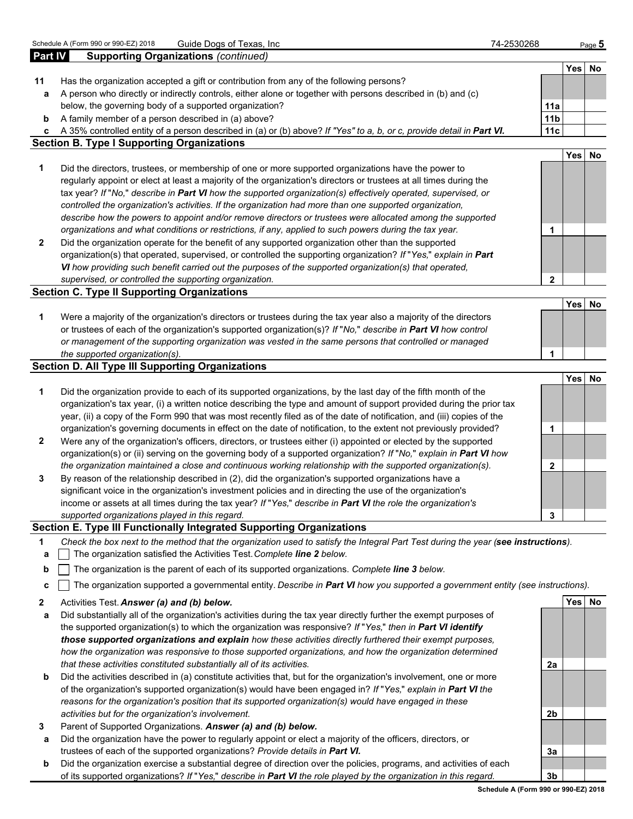|              | Schedule A (Form 990 or 990-EZ) 2018<br>Guide Dogs of Texas, Inc                                                                  | 74-2530268     |      | Page $5$  |
|--------------|-----------------------------------------------------------------------------------------------------------------------------------|----------------|------|-----------|
| Part IV      | <b>Supporting Organizations (continued)</b>                                                                                       |                |      |           |
|              |                                                                                                                                   |                | Yes  | No        |
| 11           | Has the organization accepted a gift or contribution from any of the following persons?                                           |                |      |           |
| a            | A person who directly or indirectly controls, either alone or together with persons described in (b) and (c)                      |                |      |           |
|              | below, the governing body of a supported organization?                                                                            | 11a            |      |           |
| b            | A family member of a person described in (a) above?                                                                               | 11b            |      |           |
| c            | A 35% controlled entity of a person described in (a) or (b) above? If "Yes" to a, b, or c, provide detail in Part VI.             | 11с            |      |           |
|              | <b>Section B. Type I Supporting Organizations</b>                                                                                 |                |      |           |
|              |                                                                                                                                   |                | Yes  | <b>No</b> |
| 1            | Did the directors, trustees, or membership of one or more supported organizations have the power to                               |                |      |           |
|              | regularly appoint or elect at least a majority of the organization's directors or trustees at all times during the                |                |      |           |
|              | tax year? If "No," describe in Part VI how the supported organization(s) effectively operated, supervised, or                     |                |      |           |
|              | controlled the organization's activities. If the organization had more than one supported organization,                           |                |      |           |
|              | describe how the powers to appoint and/or remove directors or trustees were allocated among the supported                         |                |      |           |
|              | organizations and what conditions or restrictions, if any, applied to such powers during the tax year.                            | 1              |      |           |
| $\mathbf{2}$ | Did the organization operate for the benefit of any supported organization other than the supported                               |                |      |           |
|              | organization(s) that operated, supervised, or controlled the supporting organization? If "Yes," explain in Part                   |                |      |           |
|              | VI how providing such benefit carried out the purposes of the supported organization(s) that operated,                            |                |      |           |
|              | supervised, or controlled the supporting organization.                                                                            | $\overline{2}$ |      |           |
|              | <b>Section C. Type II Supporting Organizations</b>                                                                                |                |      |           |
|              |                                                                                                                                   |                | Yes  | No        |
| 1            | Were a majority of the organization's directors or trustees during the tax year also a majority of the directors                  |                |      |           |
|              | or trustees of each of the organization's supported organization(s)? If "No," describe in Part VI how control                     |                |      |           |
|              | or management of the supporting organization was vested in the same persons that controlled or managed                            |                |      |           |
|              | the supported organization(s).                                                                                                    | 1              |      |           |
|              | <b>Section D. All Type III Supporting Organizations</b>                                                                           |                |      |           |
|              |                                                                                                                                   |                | Yesl | <b>No</b> |
| 1            | Did the organization provide to each of its supported organizations, by the last day of the fifth month of the                    |                |      |           |
|              | organization's tax year, (i) a written notice describing the type and amount of support provided during the prior tax             |                |      |           |
|              | year, (ii) a copy of the Form 990 that was most recently filed as of the date of notification, and (iii) copies of the            |                |      |           |
|              | organization's governing documents in effect on the date of notification, to the extent not previously provided?                  | 1              |      |           |
| 2            | Were any of the organization's officers, directors, or trustees either (i) appointed or elected by the supported                  |                |      |           |
|              | organization(s) or (ii) serving on the governing body of a supported organization? If "No," explain in Part VI how                |                |      |           |
|              | the organization maintained a close and continuous working relationship with the supported organization(s).                       | $\mathbf{2}$   |      |           |
| 3            | By reason of the relationship described in (2), did the organization's supported organizations have a                             |                |      |           |
|              | significant voice in the organization's investment policies and in directing the use of the organization's                        |                |      |           |
|              | income or assets at all times during the tax year? If "Yes," describe in Part VI the role the organization's                      |                |      |           |
|              | supported organizations played in this regard.                                                                                    | 3              |      |           |
|              | Section E. Type III Functionally Integrated Supporting Organizations                                                              |                |      |           |
| 1            | Check the box next to the method that the organization used to satisfy the Integral Part Test during the year (see instructions). |                |      |           |
|              | The organization satisfied the Activities Test. Complete line 2 below.                                                            |                |      |           |
| a            |                                                                                                                                   |                |      |           |

- **b**  $\vert$  The organization is the parent of each of its supported organizations. *Complete line 3 below.*
- **c** The organization supported a governmental entity. *Describe in Part VI how you supported a government entity (see instructions).*
- **2** Activities Test. *Answer (a) and (b) below.* **Yes No**
- **a** Did substantially all of the organization's activities during the tax year directly further the exempt purposes of the supported organization(s) to which the organization was responsive? *If* "*Yes,*" *then in Part VI identify those supported organizations and explain how these activities directly furthered their exempt purposes, how the organization was responsive to those supported organizations, and how the organization determined that these activities constituted substantially all of its activities.* **2a**
- **b** Did the activities described in (a) constitute activities that, but for the organization's involvement, one or more of the organization's supported organization(s) would have been engaged in? *If* "*Yes,*" *explain in Part VI the reasons for the organization's position that its supported organization(s) would have engaged in these activities but for the organization's involvement.* **2b**
- **3** Parent of Supported Organizations. *Answer (a) and (b) below.*
- **a** Did the organization have the power to regularly appoint or elect a majority of the officers, directors, or trustees of each of the supported organizations? *Provide details in Part VI.* **3a**
- **b** Did the organization exercise a substantial degree of direction over the policies, programs, and activities of each of its supported organizations? *If* "*Yes,*" *describe in Part VI the role played by the organization in this regard.* **3b**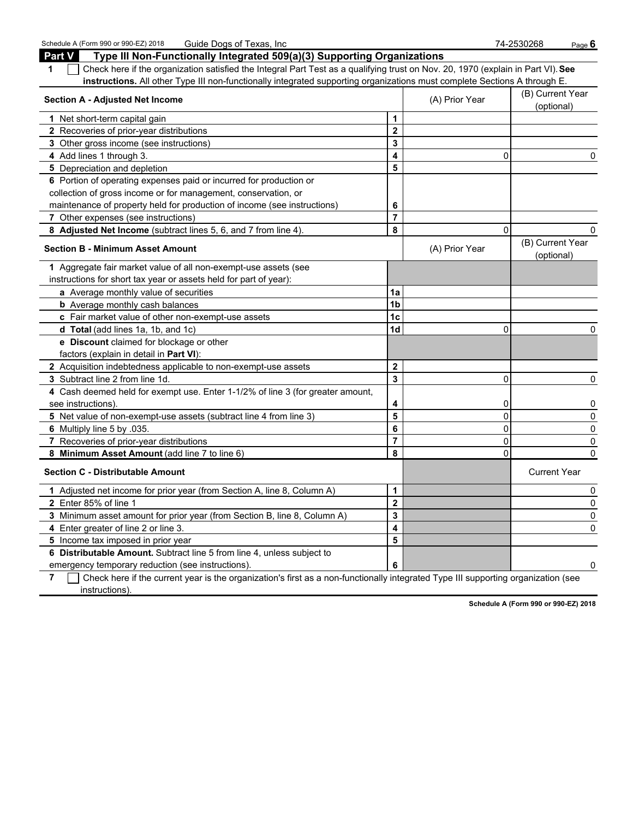| Schedule A (Form 990 or 990-EZ) 2018<br>Guide Dogs of Texas, Inc                                                                                                |                         |                | 74-2530268<br>Page $\boldsymbol{6}$ |
|-----------------------------------------------------------------------------------------------------------------------------------------------------------------|-------------------------|----------------|-------------------------------------|
| Part V<br>Type III Non-Functionally Integrated 509(a)(3) Supporting Organizations                                                                               |                         |                |                                     |
| Check here if the organization satisfied the Integral Part Test as a qualifying trust on Nov. 20, 1970 (explain in Part VI). See<br>$\mathbf{1}$                |                         |                |                                     |
| instructions. All other Type III non-functionally integrated supporting organizations must complete Sections A through E.                                       |                         |                |                                     |
| <b>Section A - Adjusted Net Income</b>                                                                                                                          |                         | (A) Prior Year | (B) Current Year<br>(optional)      |
| 1 Net short-term capital gain                                                                                                                                   | 1                       |                |                                     |
| 2 Recoveries of prior-year distributions                                                                                                                        | $\overline{\mathbf{2}}$ |                |                                     |
| 3 Other gross income (see instructions)                                                                                                                         | 3                       |                |                                     |
| 4 Add lines 1 through 3.                                                                                                                                        | 4                       | 0              | 0                                   |
| 5 Depreciation and depletion                                                                                                                                    | 5                       |                |                                     |
| 6 Portion of operating expenses paid or incurred for production or                                                                                              |                         |                |                                     |
| collection of gross income or for management, conservation, or                                                                                                  |                         |                |                                     |
| maintenance of property held for production of income (see instructions)                                                                                        | 6                       |                |                                     |
| 7 Other expenses (see instructions)                                                                                                                             | $\overline{7}$          |                |                                     |
| 8 Adjusted Net Income (subtract lines 5, 6, and 7 from line 4).                                                                                                 | 8                       | 0              | 0                                   |
| <b>Section B - Minimum Asset Amount</b>                                                                                                                         |                         | (A) Prior Year | (B) Current Year<br>(optional)      |
| 1 Aggregate fair market value of all non-exempt-use assets (see                                                                                                 |                         |                |                                     |
| instructions for short tax year or assets held for part of year):                                                                                               |                         |                |                                     |
| <b>a</b> Average monthly value of securities                                                                                                                    | 1a                      |                |                                     |
| <b>b</b> Average monthly cash balances                                                                                                                          | 1b                      |                |                                     |
| c Fair market value of other non-exempt-use assets                                                                                                              | 1c                      |                |                                     |
| d Total (add lines 1a, 1b, and 1c)                                                                                                                              | 1d                      | $\mathbf 0$    | 0                                   |
| e Discount claimed for blockage or other                                                                                                                        |                         |                |                                     |
| factors (explain in detail in <b>Part VI</b> ):                                                                                                                 |                         |                |                                     |
| 2 Acquisition indebtedness applicable to non-exempt-use assets                                                                                                  | $\mathbf 2$             |                |                                     |
| <b>3</b> Subtract line 2 from line 1d.                                                                                                                          | 3                       | $\mathbf 0$    | 0                                   |
| 4 Cash deemed held for exempt use. Enter 1-1/2% of line 3 (for greater amount,                                                                                  |                         |                |                                     |
| see instructions)                                                                                                                                               | 4                       | 0              | 0                                   |
| 5 Net value of non-exempt-use assets (subtract line 4 from line 3)                                                                                              | 5                       | 0              | 0                                   |
| 6 Multiply line 5 by .035.                                                                                                                                      | 6                       | 0              | 0                                   |
| 7 Recoveries of prior-year distributions                                                                                                                        | $\overline{7}$          | $\mathbf 0$    | 0                                   |
| 8 Minimum Asset Amount (add line 7 to line 6)                                                                                                                   | 8                       | $\mathbf{0}$   | $\mathbf{0}$                        |
| <b>Section C - Distributable Amount</b>                                                                                                                         |                         |                | <b>Current Year</b>                 |
| 1 Adjusted net income for prior year (from Section A, line 8, Column A)                                                                                         | 1                       |                | 0                                   |
| 2 Enter 85% of line 1                                                                                                                                           | $\mathbf 2$             |                | 0                                   |
| 3 Minimum asset amount for prior year (from Section B, line 8, Column A)                                                                                        | 3                       |                | 0                                   |
| 4 Enter greater of line 2 or line 3.                                                                                                                            | 4                       |                | 0                                   |
| 5 Income tax imposed in prior year                                                                                                                              | 5                       |                |                                     |
| 6 Distributable Amount. Subtract line 5 from line 4, unless subject to                                                                                          |                         |                |                                     |
| emergency temporary reduction (see instructions).                                                                                                               |                         |                | 0                                   |
| $\overline{7}$ $\overline{1}$ Check here if the current vear is the organization's first as a non-functionally integrated Type III supporting organization (see |                         |                |                                     |

**7** Check here if the current year is the organization's first as a non-functionally integrated Type III supporting organization (see instructions).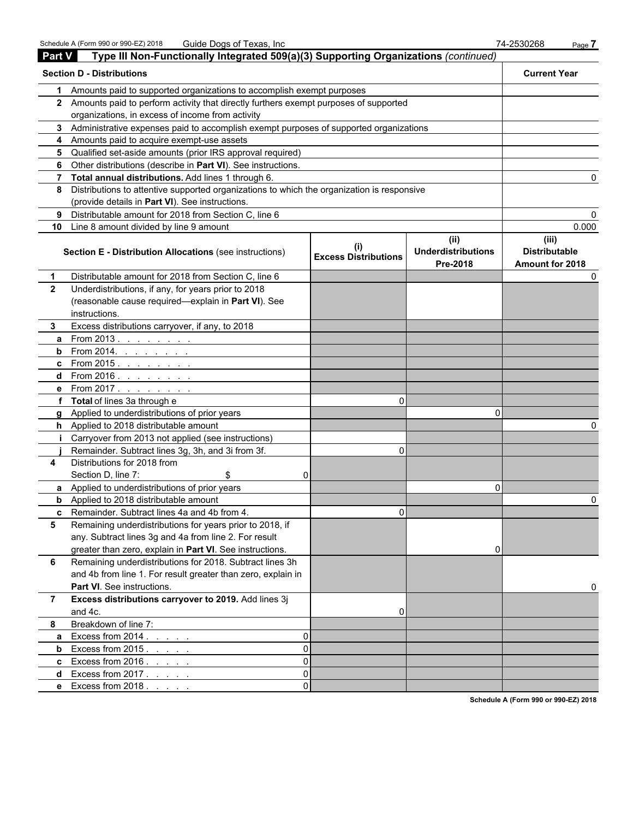| <b>Part V</b>  | Type III Non-Functionally Integrated 509(a)(3) Supporting Organizations (continued)                                                           |                             |                                       |                                         |
|----------------|-----------------------------------------------------------------------------------------------------------------------------------------------|-----------------------------|---------------------------------------|-----------------------------------------|
|                | <b>Section D - Distributions</b>                                                                                                              |                             |                                       | <b>Current Year</b>                     |
| 1.             | Amounts paid to supported organizations to accomplish exempt purposes                                                                         |                             |                                       |                                         |
|                | 2 Amounts paid to perform activity that directly furthers exempt purposes of supported                                                        |                             |                                       |                                         |
|                | organizations, in excess of income from activity                                                                                              |                             |                                       |                                         |
|                | 3 Administrative expenses paid to accomplish exempt purposes of supported organizations                                                       |                             |                                       |                                         |
|                | 4 Amounts paid to acquire exempt-use assets                                                                                                   |                             |                                       |                                         |
|                | 5 Qualified set-aside amounts (prior IRS approval required)                                                                                   |                             |                                       |                                         |
|                | 6 Other distributions (describe in Part VI). See instructions.                                                                                |                             |                                       |                                         |
|                | 7 Total annual distributions. Add lines 1 through 6.                                                                                          |                             |                                       |                                         |
| 8              | Distributions to attentive supported organizations to which the organization is responsive<br>(provide details in Part VI). See instructions. |                             |                                       |                                         |
| 9              | Distributable amount for 2018 from Section C, line 6                                                                                          |                             |                                       |                                         |
|                | 10 Line 8 amount divided by line 9 amount                                                                                                     |                             |                                       | 0.000                                   |
|                |                                                                                                                                               |                             | (ii)                                  | (iii)                                   |
|                | Section E - Distribution Allocations (see instructions)                                                                                       | <b>Excess Distributions</b> | <b>Underdistributions</b><br>Pre-2018 | <b>Distributable</b><br>Amount for 2018 |
| 1              | Distributable amount for 2018 from Section C, line 6                                                                                          |                             |                                       | O                                       |
| $\mathbf{2}$   | Underdistributions, if any, for years prior to 2018                                                                                           |                             |                                       |                                         |
|                | (reasonable cause required-explain in Part VI). See                                                                                           |                             |                                       |                                         |
|                | instructions.                                                                                                                                 |                             |                                       |                                         |
| 3.             | Excess distributions carryover, if any, to 2018                                                                                               |                             |                                       |                                         |
| a              | From 2013                                                                                                                                     |                             |                                       |                                         |
|                |                                                                                                                                               |                             |                                       |                                         |
|                | <b>c</b> From 2015.                                                                                                                           |                             |                                       |                                         |
|                | d From 2016. <u>.</u>                                                                                                                         |                             |                                       |                                         |
|                | <b>e</b> From 2017.                                                                                                                           |                             |                                       |                                         |
|                | f Total of lines 3a through e                                                                                                                 | 0                           |                                       |                                         |
|                | g Applied to underdistributions of prior years                                                                                                |                             | O                                     |                                         |
|                | h Applied to 2018 distributable amount                                                                                                        |                             |                                       |                                         |
|                | Carryover from 2013 not applied (see instructions)                                                                                            |                             |                                       |                                         |
|                | Remainder. Subtract lines 3g, 3h, and 3i from 3f.                                                                                             | 0                           |                                       |                                         |
| 4              | Distributions for 2018 from                                                                                                                   |                             |                                       |                                         |
|                | Section D, line 7:<br>\$<br>ΩI                                                                                                                |                             |                                       |                                         |
|                | <b>a</b> Applied to underdistributions of prior years                                                                                         |                             | 0                                     |                                         |
|                | <b>b</b> Applied to 2018 distributable amount                                                                                                 |                             |                                       | ი                                       |
|                | <b>c</b> Remainder. Subtract lines 4a and 4b from 4                                                                                           | U.                          |                                       |                                         |
| 5              | Remaining underdistributions for years prior to 2018, if                                                                                      |                             |                                       |                                         |
|                | any. Subtract lines 3g and 4a from line 2. For result                                                                                         |                             |                                       |                                         |
|                | greater than zero, explain in Part VI. See instructions.                                                                                      |                             | 0                                     |                                         |
| 6              | Remaining underdistributions for 2018. Subtract lines 3h                                                                                      |                             |                                       |                                         |
|                | and 4b from line 1. For result greater than zero, explain in                                                                                  |                             |                                       |                                         |
|                | Part VI. See instructions.                                                                                                                    |                             |                                       |                                         |
| $\overline{7}$ | Excess distributions carryover to 2019. Add lines 3j                                                                                          |                             |                                       |                                         |
|                | and 4c.                                                                                                                                       | 0                           |                                       |                                         |
| 8              | Breakdown of line 7:                                                                                                                          |                             |                                       |                                         |
| a              | Excess from $2014.$ $\ldots$ $\ldots$<br>$\Omega$                                                                                             |                             |                                       |                                         |
| b              | Excess from $2015$ .<br>$\Omega$                                                                                                              |                             |                                       |                                         |
|                | <b>c</b> Excess from $2016$ .<br>$\Omega$                                                                                                     |                             |                                       |                                         |
| d              | Excess from 2017.<br>$\Omega$                                                                                                                 |                             |                                       |                                         |
|                | e Excess from 2018.<br>$\Omega$                                                                                                               |                             |                                       |                                         |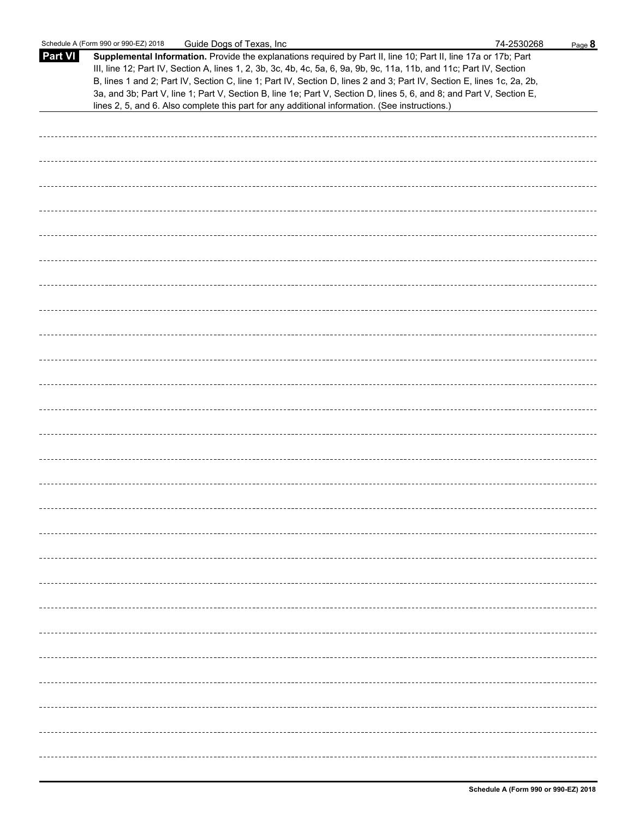|                | Schedule A (Form 990 or 990-EZ) 2018<br>Guide Dogs of Texas, Inc.                                                                                                                                                                                                                                                                                                                                                                                                                                                                                                                           | 74-2530268 | Page 8 |
|----------------|---------------------------------------------------------------------------------------------------------------------------------------------------------------------------------------------------------------------------------------------------------------------------------------------------------------------------------------------------------------------------------------------------------------------------------------------------------------------------------------------------------------------------------------------------------------------------------------------|------------|--------|
| <b>Part VI</b> | Supplemental Information. Provide the explanations required by Part II, line 10; Part II, line 17a or 17b; Part<br>III, line 12; Part IV, Section A, lines 1, 2, 3b, 3c, 4b, 4c, 5a, 6, 9a, 9b, 9c, 11a, 11b, and 11c; Part IV, Section<br>B, lines 1 and 2; Part IV, Section C, line 1; Part IV, Section D, lines 2 and 3; Part IV, Section E, lines 1c, 2a, 2b,<br>3a, and 3b; Part V, line 1; Part V, Section B, line 1e; Part V, Section D, lines 5, 6, and 8; and Part V, Section E,<br>lines 2, 5, and 6. Also complete this part for any additional information. (See instructions.) |            |        |
|                |                                                                                                                                                                                                                                                                                                                                                                                                                                                                                                                                                                                             |            |        |
|                |                                                                                                                                                                                                                                                                                                                                                                                                                                                                                                                                                                                             |            |        |
|                |                                                                                                                                                                                                                                                                                                                                                                                                                                                                                                                                                                                             |            |        |
|                |                                                                                                                                                                                                                                                                                                                                                                                                                                                                                                                                                                                             |            |        |
|                |                                                                                                                                                                                                                                                                                                                                                                                                                                                                                                                                                                                             |            |        |
|                |                                                                                                                                                                                                                                                                                                                                                                                                                                                                                                                                                                                             |            |        |
|                |                                                                                                                                                                                                                                                                                                                                                                                                                                                                                                                                                                                             |            |        |
|                |                                                                                                                                                                                                                                                                                                                                                                                                                                                                                                                                                                                             |            |        |
|                |                                                                                                                                                                                                                                                                                                                                                                                                                                                                                                                                                                                             |            |        |
|                |                                                                                                                                                                                                                                                                                                                                                                                                                                                                                                                                                                                             |            |        |
|                |                                                                                                                                                                                                                                                                                                                                                                                                                                                                                                                                                                                             |            |        |
|                |                                                                                                                                                                                                                                                                                                                                                                                                                                                                                                                                                                                             |            |        |
|                |                                                                                                                                                                                                                                                                                                                                                                                                                                                                                                                                                                                             |            |        |
|                |                                                                                                                                                                                                                                                                                                                                                                                                                                                                                                                                                                                             |            |        |
|                |                                                                                                                                                                                                                                                                                                                                                                                                                                                                                                                                                                                             |            |        |
|                |                                                                                                                                                                                                                                                                                                                                                                                                                                                                                                                                                                                             |            |        |
|                |                                                                                                                                                                                                                                                                                                                                                                                                                                                                                                                                                                                             |            |        |
|                |                                                                                                                                                                                                                                                                                                                                                                                                                                                                                                                                                                                             |            |        |
|                |                                                                                                                                                                                                                                                                                                                                                                                                                                                                                                                                                                                             |            |        |
|                |                                                                                                                                                                                                                                                                                                                                                                                                                                                                                                                                                                                             |            |        |
|                |                                                                                                                                                                                                                                                                                                                                                                                                                                                                                                                                                                                             |            |        |
|                |                                                                                                                                                                                                                                                                                                                                                                                                                                                                                                                                                                                             |            |        |
|                |                                                                                                                                                                                                                                                                                                                                                                                                                                                                                                                                                                                             |            |        |
|                |                                                                                                                                                                                                                                                                                                                                                                                                                                                                                                                                                                                             |            |        |
|                |                                                                                                                                                                                                                                                                                                                                                                                                                                                                                                                                                                                             |            |        |
|                |                                                                                                                                                                                                                                                                                                                                                                                                                                                                                                                                                                                             |            |        |
|                |                                                                                                                                                                                                                                                                                                                                                                                                                                                                                                                                                                                             |            |        |
|                |                                                                                                                                                                                                                                                                                                                                                                                                                                                                                                                                                                                             |            |        |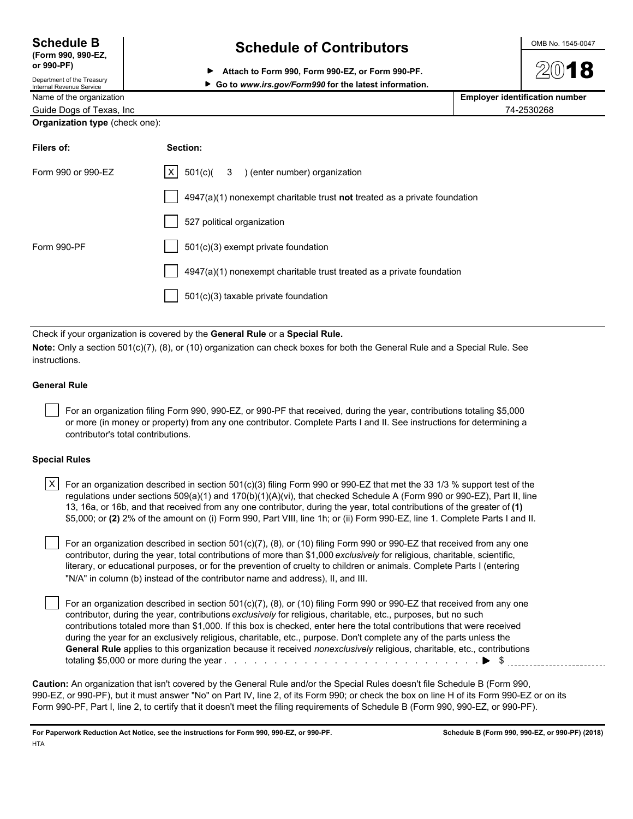| <b>Schedule B</b>  |  |
|--------------------|--|
| (Form 990, 990-EZ, |  |

## **or 990-PF)**

Department of the Treasury

| <b>Schedule B</b> | <b>Schedule of Contributors</b> | OMB No. 1545-0047 |
|-------------------|---------------------------------|-------------------|
| /Form 990_990_FZ  |                                 |                   |

**Attach to Form 990, Form 990-EZ, or Form 990-PF.**

Internal Revenue Service **Go to** *www.irs.gov/Form990* **for the latest information.**

| Name of the organization              | <b>Employer identification number</b> |
|---------------------------------------|---------------------------------------|
| Guide Dogs of Texas, Inc.             | 74-2530268                            |
| <b>Organization type</b> (check one): |                                       |

| Filers of:         | Section:                                                                    |
|--------------------|-----------------------------------------------------------------------------|
| Form 990 or 990-FZ | $ X $ 501(c)( 3 ) (enter number) organization                               |
|                    | $4947(a)(1)$ nonexempt charitable trust not treated as a private foundation |
|                    | 527 political organization                                                  |
| Form 990-PF        | 501(c)(3) exempt private foundation                                         |
|                    | 4947(a)(1) nonexempt charitable trust treated as a private foundation       |
|                    | 501(c)(3) taxable private foundation                                        |
|                    |                                                                             |

Check if your organization is covered by the **General Rule** or a **Special Rule.**

**Note:** Only a section 501(c)(7), (8), or (10) organization can check boxes for both the General Rule and a Special Rule. See instructions.

## **General Rule**

 For an organization filing Form 990, 990-EZ, or 990-PF that received, during the year, contributions totaling \$5,000 or more (in money or property) from any one contributor. Complete Parts I and II. See instructions for determining a contributor's total contributions.

#### **Special Rules**

| X $\mid$ For an organization described in section 501(c)(3) filing Form 990 or 990-EZ that met the 33 1/3 % support test of the |
|---------------------------------------------------------------------------------------------------------------------------------|
| regulations under sections 509(a)(1) and 170(b)(1)(A)(vi), that checked Schedule A (Form 990 or 990-EZ), Part II, line          |
| 13, 16a, or 16b, and that received from any one contributor, during the year, total contributions of the greater of (1)         |
| \$5,000; or (2) 2% of the amount on (i) Form 990, Part VIII, line 1h; or (ii) Form 990-EZ, line 1. Complete Parts I and II.     |

 For an organization described in section 501(c)(7), (8), or (10) filing Form 990 or 990-EZ that received from any one contributor, during the year, total contributions of more than \$1,000 *exclusively* for religious, charitable, scientific, literary, or educational purposes, or for the prevention of cruelty to children or animals. Complete Parts I (entering "N/A" in column (b) instead of the contributor name and address), II, and III.

 For an organization described in section 501(c)(7), (8), or (10) filing Form 990 or 990-EZ that received from any one contributor, during the year, contributions *exclusively* for religious, charitable, etc., purposes, but no such contributions totaled more than \$1,000. If this box is checked, enter here the total contributions that were received during the year for an exclusively religious, charitable, etc., purpose. Don't complete any of the parts unless the **General Rule** applies to this organization because it received *nonexclusively* religious, charitable, etc., contributions totaling \$5,000 or more during the year . . . . . . . . . . . . . . . . . . . . . . . . . . . . . . . . . . . . . . . . . . . . . . . . . . . \$

**Caution:** An organization that isn't covered by the General Rule and/or the Special Rules doesn't file Schedule B (Form 990, 990-EZ, or 990-PF), but it must answer "No" on Part IV, line 2, of its Form 990; or check the box on line H of its Form 990-EZ or on its Form 990-PF, Part I, line 2, to certify that it doesn't meet the filing requirements of Schedule B (Form 990, 990-EZ, or 990-PF).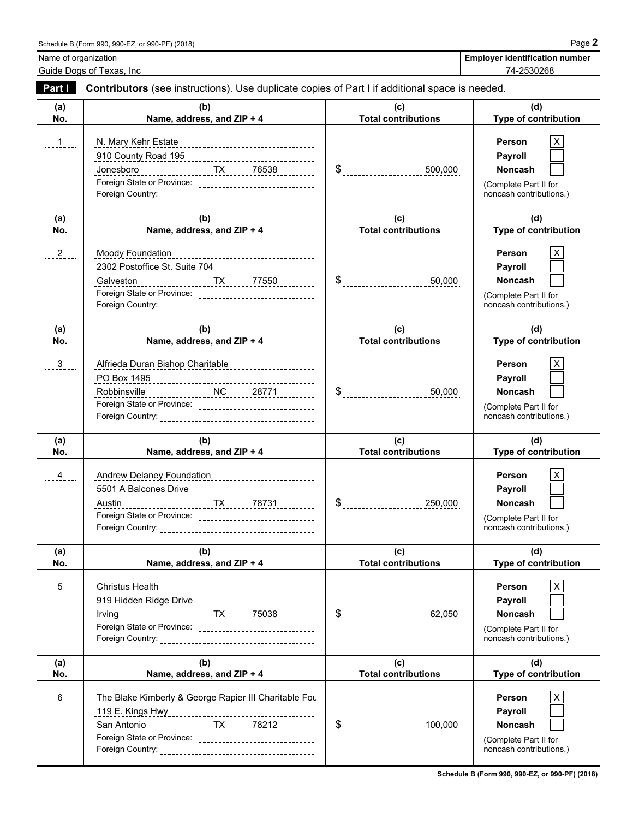Schedule B (Form 990, 990-EZ, or 990-PF) (2018) Page **2** Name of organization **Employer identification number Employer identification number** Guide Dogs of Texas, Inc 74-2530268 **Part I Contributors** (see instructions). Use duplicate copies of Part I if additional space is needed. **(a) (b) (c) (d) No. Name, address, and ZIP + 4 Total contributions Type of contribution** 1 N. Mary Kehr Estate **Person** X 910 County Road 195 **Payroll Payroll** Jonesboro TX 76538 \$ 500,000 **Noncash** Foreign State or Province: 2002. [2012] The Complete Part II for Foreign Country: **noncash contributions.**) **noncash contributions. (a) (b) (c) (d) No. Name, address, and ZIP + 4 Total contributions Type of contribution** 2 Moody Foundation **Person** X 2302 Postoffice St. Suite 704 **Payroll** Galveston TX 77550 \$ 50,000 **Noncash** Foreign State or Province: example and the example of the Complete Part II for Foreign Country: with the country: the contributions of the contributions of the contributions.) **(a) (b) (c) (d) No. Name, address, and ZIP + 4 Total contributions Type of contribution** 3 Alfrieda Duran Bishop Charitable **Person** X **Person** X **Person** X **Person** PO Box 1495 **Payroll Payroll** Robbinsville NC 28771 \$ 50,000 **Noncash** Foreign State or Province: (Complete Part II for Foreign Country: noncash contributions.) **(a) (b) (c) (d) No. Name, address, and ZIP + 4 Total contributions Type of contribution** 4 Andrew Delaney Foundation **Person** X 5501 A Balcones Drive **Payroll** Austin TX 78731 \$ 250,000 **Noncash** Foreign State or Province: (Complete Part II for Foreign Country: noncash contributions.) **(a) (b) (c) (d) No. Name, address, and ZIP + 4 Total contributions Type of contribution**

5 Christus Health **Person** X 919 Hidden Ridge Drive **Payroll Payroll Payroll Payroll** Irving TX 75038 \$ 62,050 **Noncash** Foreign State or Province: The Complete Part II for All the State of Province: The Complete Part II for Foreign Country: noncash contributions.) **(a) (b) (c) (d) No. Name, address, and ZIP + 4 Total contributions Type of contribution EXECUTE:** The Blake Kimberly & George Rapier III Charitable Foundation **Person Person** 119 E. Kings Hwy **Payroll** San Antonio TX 78212 \$ 100,000 **Noncash** Foreign State or Province: example 2011 11 and 2012 12:00 12:00 12:00 12:00 12:00 12:00 12:00 12:00 12:00 12:00 12:00 12:00 12:00 12:00 12:00 12:00 12:00 12:00 12:00 12:00 12:00 12:00 12:00 12:00 12:00 12:00 12:00 12:00 12 Foreign Country: noncash contributions.)

**Schedule B (Form 990, 990-EZ, or 990-PF) (2018)**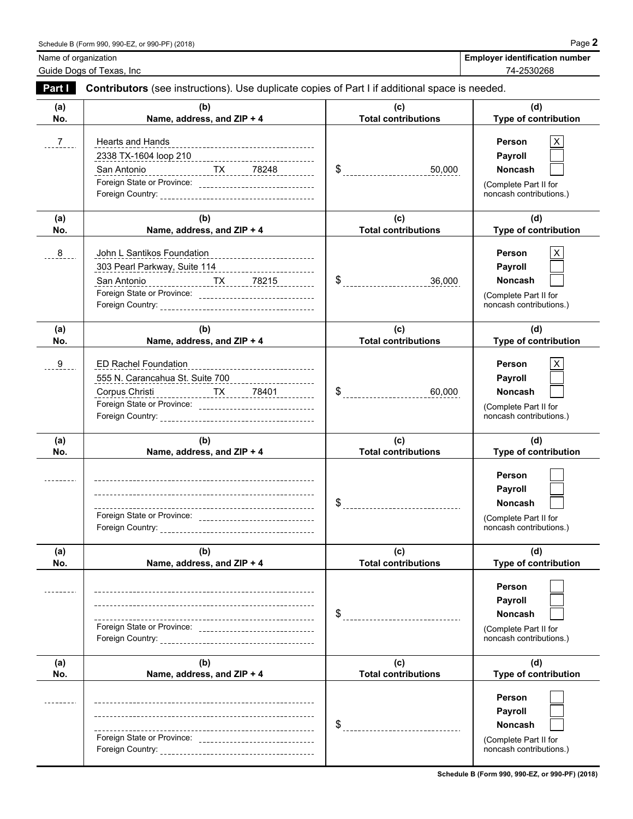Name of organization<br> **Name of organization**<br> **Employer identification number** 

Guide Dogs of Texas, Inc 74-2530268

| Part I                 | Contributors (see instructions). Use duplicate copies of Part I if additional space is needed.                                                                                                                                                                             |                                                   |                                                                                                     |  |  |
|------------------------|----------------------------------------------------------------------------------------------------------------------------------------------------------------------------------------------------------------------------------------------------------------------------|---------------------------------------------------|-----------------------------------------------------------------------------------------------------|--|--|
| (a)<br>No.             | (b)<br>Name, address, and ZIP + 4                                                                                                                                                                                                                                          | (c)<br><b>Total contributions</b>                 | (d)<br>Type of contribution                                                                         |  |  |
| $7 \quad \overline{)}$ | Hearts and Hands<br>____________________________________<br>San Antonio<br>Foreign State or Province: _______________________________                                                                                                                                      |                                                   | <b>Person</b><br>Χ<br>Payroll<br><b>Noncash</b><br>(Complete Part II for<br>noncash contributions.) |  |  |
| (a)<br>No.             | (b)<br>Name, address, and ZIP + 4                                                                                                                                                                                                                                          | (c)<br><b>Total contributions</b>                 | (d)<br>Type of contribution                                                                         |  |  |
| 8                      | John L Santikos Foundation<br>---------------------------<br>303 Pearl Parkway, Suite 114 _________________________<br>San Antonio<br>Foreign State or Province: ________________________________                                                                          |                                                   | <b>Person</b><br>X<br>Payroll<br><b>Noncash</b><br>(Complete Part II for<br>noncash contributions.) |  |  |
| (a)<br>No.             | (b)<br>Name, address, and ZIP + 4                                                                                                                                                                                                                                          | (c)<br><b>Total contributions</b>                 | (d)<br>Type of contribution                                                                         |  |  |
| 9                      | <b>ED Rachel Foundation</b><br>555 N. Carancahua St. Suite 700 ______________________<br>Corpus Christi<br>Corpus Christi<br>Corpus Christian - TX<br>Corpus 78401<br>Corpus Christian - TX<br>Corpus 78401<br>Foreign State or Province: ________________________________ | 60,000                                            | <b>Person</b><br>Payroll<br><b>Noncash</b><br>(Complete Part II for<br>noncash contributions.)      |  |  |
| (a)<br>No.             | (b)<br>Name, address, and ZIP + 4                                                                                                                                                                                                                                          | (c)<br><b>Total contributions</b>                 | (d)<br>Type of contribution                                                                         |  |  |
|                        | Foreign State or Province: _______________________________                                                                                                                                                                                                                 |                                                   | <b>Person</b><br>Payroll<br><b>Noncash</b><br>(Complete Part II for<br>noncash contributions.)      |  |  |
| (a)<br>No.             | (b)<br>Name, address, and ZIP + 4                                                                                                                                                                                                                                          | (c)<br><b>Total contributions</b>                 | (d)<br><b>Type of contribution</b>                                                                  |  |  |
|                        | ----------------------------------<br>--<br>Foreign State or Province: _______________________________                                                                                                                                                                     | \$                                                | Person<br>Payroll<br><b>Noncash</b><br>(Complete Part II for<br>noncash contributions.)             |  |  |
| (a)<br>No.             | (b)<br>Name, address, and ZIP + 4                                                                                                                                                                                                                                          | (c)<br><b>Total contributions</b>                 | (d)<br><b>Type of contribution</b>                                                                  |  |  |
|                        |                                                                                                                                                                                                                                                                            | $\mathfrak{S}$<br>------------------------------- | Person<br><b>Payroll</b><br><b>Noncash</b><br>(Complete Part II for<br>noncash contributions.)      |  |  |

**Schedule B (Form 990, 990-EZ, or 990-PF) (2018)**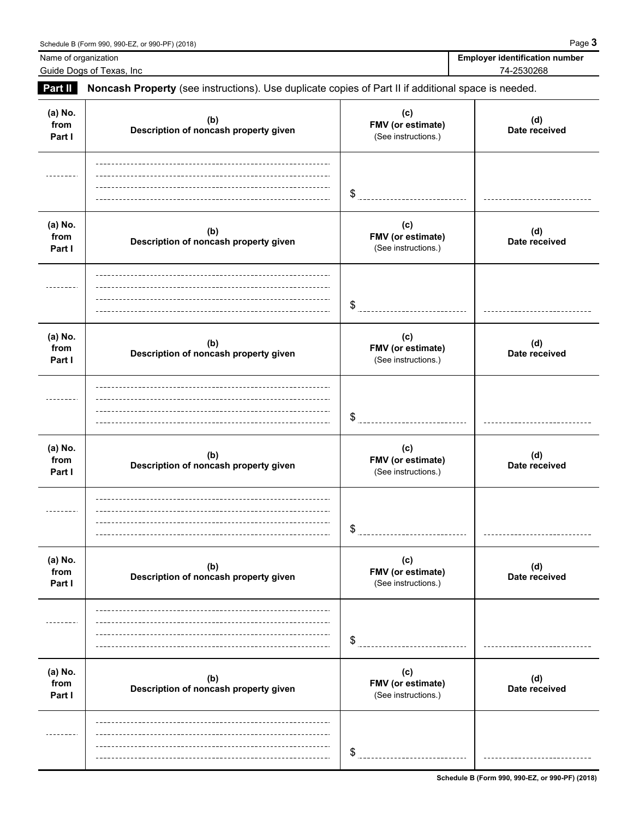| Name of organization      | Guide Dogs of Texas, Inc.                                                                           |                                                 | <b>Employer identification number</b><br>74-2530268 |
|---------------------------|-----------------------------------------------------------------------------------------------------|-------------------------------------------------|-----------------------------------------------------|
| Part II                   | Noncash Property (see instructions). Use duplicate copies of Part II if additional space is needed. |                                                 |                                                     |
| (a) No.<br>from<br>Part I | (b)<br>Description of noncash property given                                                        | (c)<br>FMV (or estimate)<br>(See instructions.) | (d)<br>Date received                                |
|                           |                                                                                                     | \$                                              |                                                     |
| (a) No.<br>from<br>Part I | (b)<br>Description of noncash property given                                                        | (c)<br>FMV (or estimate)<br>(See instructions.) | (d)<br>Date received                                |
|                           |                                                                                                     | \$                                              |                                                     |
| (a) No.<br>from<br>Part I | (b)<br>Description of noncash property given                                                        | (c)<br>FMV (or estimate)<br>(See instructions.) | (d)<br>Date received                                |
|                           |                                                                                                     | S                                               |                                                     |
| (a) No.<br>from<br>Part I | (b)<br>Description of noncash property given                                                        | (c)<br>FMV (or estimate)<br>(See instructions.) | (d)<br>Date received                                |
|                           |                                                                                                     | \$                                              |                                                     |
| (a) No.<br>from<br>Part I | (b)<br>Description of noncash property given                                                        | (c)<br>FMV (or estimate)<br>(See instructions.) | (d)<br>Date received                                |

|                           |                                              | \$                                              |                      |
|---------------------------|----------------------------------------------|-------------------------------------------------|----------------------|
| (a) No.<br>from<br>Part I | (b)<br>Description of noncash property given | (c)<br>FMV (or estimate)<br>(See instructions.) | (d)<br>Date received |
|                           |                                              |                                                 |                      |
|                           |                                              | \$                                              |                      |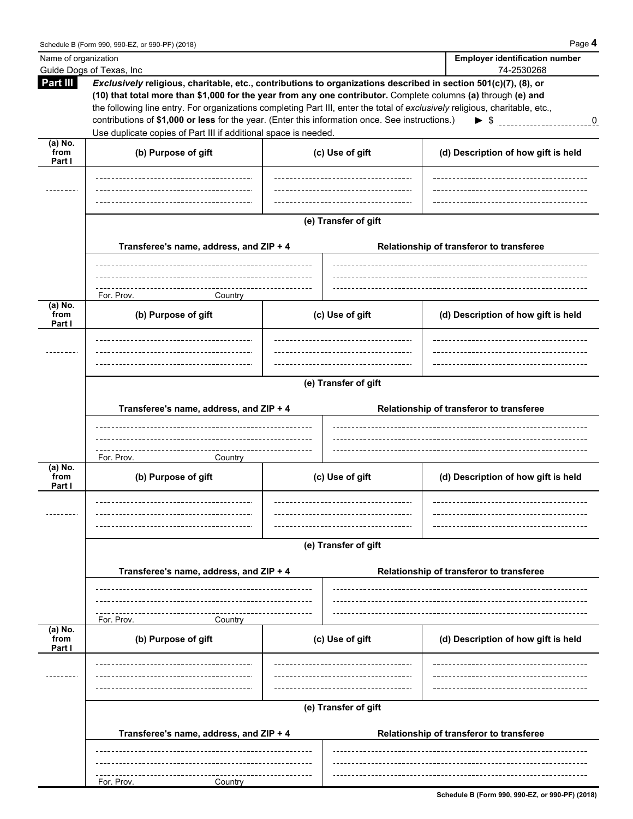| Name of organization        |                          |                                                                                                                                                                                                                                                                                                                                                                                                                                                                     |                      |  | <b>Employer identification number</b>    |  |  |
|-----------------------------|--------------------------|---------------------------------------------------------------------------------------------------------------------------------------------------------------------------------------------------------------------------------------------------------------------------------------------------------------------------------------------------------------------------------------------------------------------------------------------------------------------|----------------------|--|------------------------------------------|--|--|
|                             | Guide Dogs of Texas, Inc |                                                                                                                                                                                                                                                                                                                                                                                                                                                                     |                      |  | 74-2530268                               |  |  |
| Part III                    |                          | Exclusively religious, charitable, etc., contributions to organizations described in section 501(c)(7), (8), or<br>(10) that total more than \$1,000 for the year from any one contributor. Complete columns (a) through (e) and<br>the following line entry. For organizations completing Part III, enter the total of exclusively religious, charitable, etc.,<br>contributions of \$1,000 or less for the year. (Enter this information once. See instructions.) |                      |  | $\blacktriangleright$ \$ 0               |  |  |
|                             |                          | Use duplicate copies of Part III if additional space is needed.                                                                                                                                                                                                                                                                                                                                                                                                     |                      |  |                                          |  |  |
| $(a)$ No.<br>from<br>Part I |                          | (b) Purpose of gift                                                                                                                                                                                                                                                                                                                                                                                                                                                 | (c) Use of gift      |  | (d) Description of how gift is held      |  |  |
|                             |                          |                                                                                                                                                                                                                                                                                                                                                                                                                                                                     |                      |  |                                          |  |  |
|                             | (e) Transfer of gift     |                                                                                                                                                                                                                                                                                                                                                                                                                                                                     |                      |  |                                          |  |  |
|                             |                          | Transferee's name, address, and ZIP + 4                                                                                                                                                                                                                                                                                                                                                                                                                             |                      |  | Relationship of transferor to transferee |  |  |
|                             |                          |                                                                                                                                                                                                                                                                                                                                                                                                                                                                     |                      |  |                                          |  |  |
| $(a)$ No.                   | For. Prov.               | Country                                                                                                                                                                                                                                                                                                                                                                                                                                                             |                      |  |                                          |  |  |
| from<br>Part I              |                          | (b) Purpose of gift                                                                                                                                                                                                                                                                                                                                                                                                                                                 | (c) Use of gift      |  | (d) Description of how gift is held      |  |  |
|                             |                          |                                                                                                                                                                                                                                                                                                                                                                                                                                                                     |                      |  |                                          |  |  |
|                             | (e) Transfer of gift     |                                                                                                                                                                                                                                                                                                                                                                                                                                                                     |                      |  |                                          |  |  |
|                             |                          | Transferee's name, address, and ZIP + 4                                                                                                                                                                                                                                                                                                                                                                                                                             |                      |  | Relationship of transferor to transferee |  |  |
|                             |                          |                                                                                                                                                                                                                                                                                                                                                                                                                                                                     |                      |  |                                          |  |  |
|                             |                          |                                                                                                                                                                                                                                                                                                                                                                                                                                                                     |                      |  |                                          |  |  |
|                             | For. Prov.               | Country                                                                                                                                                                                                                                                                                                                                                                                                                                                             |                      |  |                                          |  |  |
| $(a)$ No.                   |                          |                                                                                                                                                                                                                                                                                                                                                                                                                                                                     |                      |  |                                          |  |  |
| from<br>Part I              |                          | (b) Purpose of gift                                                                                                                                                                                                                                                                                                                                                                                                                                                 | (c) Use of gift      |  | (d) Description of how gift is held      |  |  |
|                             |                          |                                                                                                                                                                                                                                                                                                                                                                                                                                                                     |                      |  |                                          |  |  |
|                             |                          |                                                                                                                                                                                                                                                                                                                                                                                                                                                                     |                      |  |                                          |  |  |
|                             |                          |                                                                                                                                                                                                                                                                                                                                                                                                                                                                     |                      |  |                                          |  |  |
|                             |                          |                                                                                                                                                                                                                                                                                                                                                                                                                                                                     |                      |  |                                          |  |  |
|                             | (e) Transfer of gift     |                                                                                                                                                                                                                                                                                                                                                                                                                                                                     |                      |  |                                          |  |  |
|                             |                          | Transferee's name, address, and ZIP + 4                                                                                                                                                                                                                                                                                                                                                                                                                             |                      |  | Relationship of transferor to transferee |  |  |
|                             |                          |                                                                                                                                                                                                                                                                                                                                                                                                                                                                     |                      |  |                                          |  |  |
|                             |                          |                                                                                                                                                                                                                                                                                                                                                                                                                                                                     |                      |  |                                          |  |  |
|                             |                          |                                                                                                                                                                                                                                                                                                                                                                                                                                                                     |                      |  |                                          |  |  |
|                             | For. Prov.               | Country                                                                                                                                                                                                                                                                                                                                                                                                                                                             |                      |  |                                          |  |  |
| (a) No.<br>from<br>Part I   |                          | (b) Purpose of gift                                                                                                                                                                                                                                                                                                                                                                                                                                                 | (c) Use of gift      |  | (d) Description of how gift is held      |  |  |
|                             |                          |                                                                                                                                                                                                                                                                                                                                                                                                                                                                     |                      |  |                                          |  |  |
|                             |                          |                                                                                                                                                                                                                                                                                                                                                                                                                                                                     |                      |  |                                          |  |  |
|                             |                          |                                                                                                                                                                                                                                                                                                                                                                                                                                                                     |                      |  |                                          |  |  |
|                             |                          |                                                                                                                                                                                                                                                                                                                                                                                                                                                                     | (e) Transfer of gift |  |                                          |  |  |
|                             |                          | Transferee's name, address, and ZIP + 4                                                                                                                                                                                                                                                                                                                                                                                                                             |                      |  | Relationship of transferor to transferee |  |  |
|                             |                          |                                                                                                                                                                                                                                                                                                                                                                                                                                                                     |                      |  |                                          |  |  |
|                             | For. Prov.               | Country                                                                                                                                                                                                                                                                                                                                                                                                                                                             |                      |  |                                          |  |  |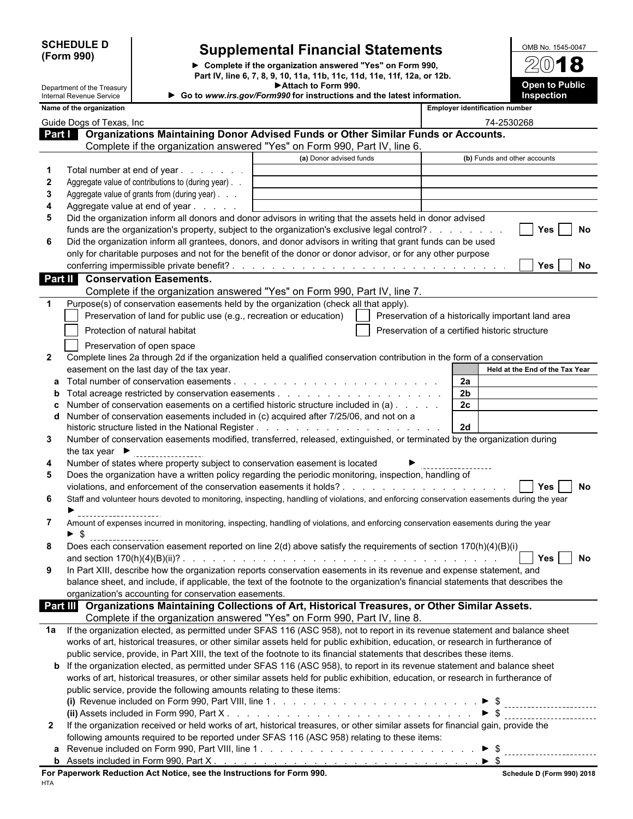**(Form 990)**

 $\overline{\phantom{a}}$ 

 $\overline{\phantom{a}}$ 

Department of the Treasury

# **SCHEDULE D Supplemental Financial Statements DED NO. 1545-0047**

**Complete if the organization answered "Yes" on Form 990, Part IV, line 6, 7, 8, 9, 10, 11a, 11b, 11c, 11d, 11e, 11f, 12a, or 12b. Attach to Form 990.**

| <b>Open to Public</b><br><b>Inspection</b> |
|--------------------------------------------|

| Internal Revenue Service | ► Go to www.irs.gov/Form990 for instructions and the latest information. |
|--------------------------|--------------------------------------------------------------------------|
| Name of the organization | Emplover                                                                 |

|              | Name of the organization                                                                                                                  |                         |                                                | <b>Employer identification number</b>              |
|--------------|-------------------------------------------------------------------------------------------------------------------------------------------|-------------------------|------------------------------------------------|----------------------------------------------------|
|              | Guide Dogs of Texas, Inc.                                                                                                                 |                         |                                                | 74-2530268                                         |
|              | Part   Organizations Maintaining Donor Advised Funds or Other Similar Funds or Accounts.                                                  |                         |                                                |                                                    |
|              | Complete if the organization answered "Yes" on Form 990, Part IV, line 6.                                                                 |                         |                                                |                                                    |
|              |                                                                                                                                           | (a) Donor advised funds |                                                | (b) Funds and other accounts                       |
| 1            | Total number at end of year                                                                                                               |                         |                                                |                                                    |
| $\mathbf{2}$ | Aggregate value of contributions to (during year). .                                                                                      |                         |                                                |                                                    |
| 3            | Aggregate value of grants from (during year)                                                                                              |                         |                                                |                                                    |
| 4            | Aggregate value at end of year                                                                                                            |                         |                                                |                                                    |
| 5            | Did the organization inform all donors and donor advisors in writing that the assets held in donor advised                                |                         |                                                |                                                    |
|              | funds are the organization's property, subject to the organization's exclusive legal control?                                             |                         |                                                | Yes<br><b>No</b>                                   |
| 6            | Did the organization inform all grantees, donors, and donor advisors in writing that grant funds can be used                              |                         |                                                |                                                    |
|              | only for charitable purposes and not for the benefit of the donor or donor advisor, or for any other purpose                              |                         |                                                |                                                    |
|              |                                                                                                                                           |                         |                                                | Yes<br>No                                          |
| Part II      | <b>Conservation Easements.</b>                                                                                                            |                         |                                                |                                                    |
|              | Complete if the organization answered "Yes" on Form 990, Part IV, line 7.                                                                 |                         |                                                |                                                    |
|              | Purpose(s) of conservation easements held by the organization (check all that apply).                                                     |                         |                                                |                                                    |
|              | Preservation of land for public use (e.g., recreation or education)                                                                       |                         |                                                | Preservation of a historically important land area |
|              |                                                                                                                                           |                         |                                                |                                                    |
|              | Protection of natural habitat                                                                                                             |                         | Preservation of a certified historic structure |                                                    |
|              | Preservation of open space                                                                                                                |                         |                                                |                                                    |
| $\mathbf{2}$ | Complete lines 2a through 2d if the organization held a qualified conservation contribution in the form of a conservation                 |                         |                                                |                                                    |
|              | easement on the last day of the tax year.                                                                                                 |                         |                                                | Held at the End of the Tax Year                    |
|              |                                                                                                                                           |                         | 2a                                             |                                                    |
| $\mathbf{p}$ |                                                                                                                                           |                         | 2 <sub>b</sub>                                 |                                                    |
|              | Number of conservation easements on a certified historic structure included in (a)                                                        |                         | 2c                                             |                                                    |
|              | Number of conservation easements included in (c) acquired after 7/25/06, and not on a                                                     |                         |                                                |                                                    |
|              |                                                                                                                                           |                         | 2d                                             |                                                    |
| 3            | Number of conservation easements modified, transferred, released, extinguished, or terminated by the organization during                  |                         |                                                |                                                    |
|              | the tax year $\blacktriangleright$                                                                                                        |                         |                                                |                                                    |
| 4            | Number of states where property subject to conservation easement is located                                                               |                         |                                                |                                                    |
| 5            | Does the organization have a written policy regarding the periodic monitoring, inspection, handling of                                    |                         |                                                |                                                    |
|              |                                                                                                                                           |                         |                                                | Yes<br><b>No</b>                                   |
| 6            | Staff and volunteer hours devoted to monitoring, inspecting, handling of violations, and enforcing conservation easements during the year |                         |                                                |                                                    |
|              |                                                                                                                                           |                         |                                                |                                                    |
| 7            | Amount of expenses incurred in monitoring, inspecting, handling of violations, and enforcing conservation easements during the year       |                         |                                                |                                                    |
|              |                                                                                                                                           |                         |                                                |                                                    |
| 8            | Does each conservation easement reported on line 2(d) above satisfy the requirements of section 170(h)(4)(B)(i)                           |                         |                                                |                                                    |
|              |                                                                                                                                           |                         |                                                | Yes<br>No                                          |
|              | In Part XIII, describe how the organization reports conservation easements in its revenue and expense statement, and                      |                         |                                                |                                                    |
|              | balance sheet, and include, if applicable, the text of the footnote to the organization's financial statements that describes the         |                         |                                                |                                                    |
|              | organization's accounting for conservation easements.                                                                                     |                         |                                                |                                                    |
|              | Part III Organizations Maintaining Collections of Art, Historical Treasures, or Other Similar Assets.                                     |                         |                                                |                                                    |
|              | Complete if the organization answered "Yes" on Form 990, Part IV, line 8.                                                                 |                         |                                                |                                                    |
| 1a           | If the organization elected, as permitted under SFAS 116 (ASC 958), not to report in its revenue statement and balance sheet              |                         |                                                |                                                    |
|              | works of art, historical treasures, or other similar assets held for public exhibition, education, or research in furtherance of          |                         |                                                |                                                    |
|              | public service, provide, in Part XIII, the text of the footnote to its financial statements that describes these items.                   |                         |                                                |                                                    |
|              | <b>b</b> If the organization elected, as permitted under SFAS 116 (ASC 958), to report in its revenue statement and balance sheet         |                         |                                                |                                                    |
|              |                                                                                                                                           |                         |                                                |                                                    |
|              | works of art, historical treasures, or other similar assets held for public exhibition, education, or research in furtherance of          |                         |                                                |                                                    |
|              | public service, provide the following amounts relating to these items:                                                                    |                         |                                                |                                                    |
|              |                                                                                                                                           |                         |                                                |                                                    |
|              |                                                                                                                                           |                         |                                                |                                                    |
| $\mathbf{2}$ | If the organization received or held works of art, historical treasures, or other similar assets for financial gain, provide the          |                         |                                                |                                                    |
|              | following amounts required to be reported under SFAS 116 (ASC 958) relating to these items:                                               |                         |                                                |                                                    |
| a            |                                                                                                                                           |                         |                                                |                                                    |
|              |                                                                                                                                           |                         |                                                |                                                    |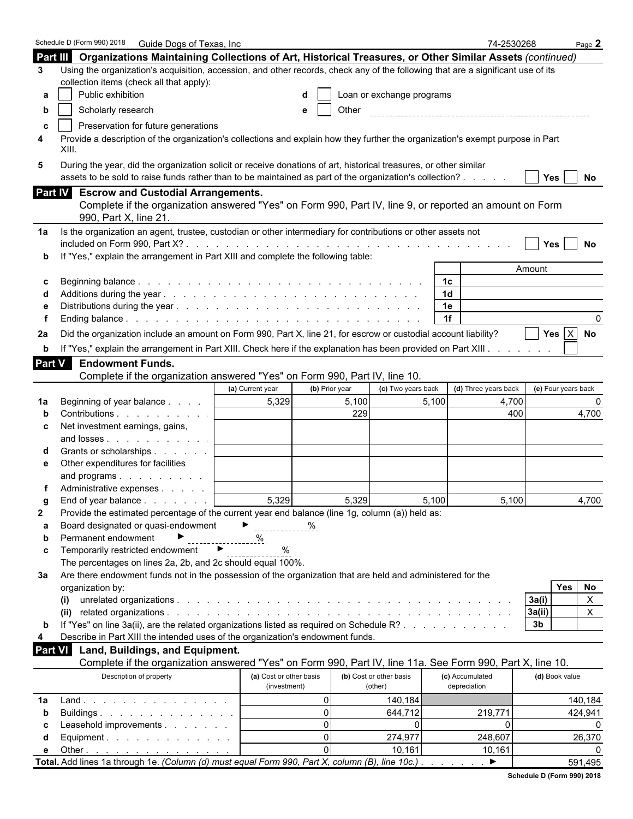|               | Schedule D (Form 990) 2018 Guide Dogs of Texas, Inc                                                                                     |                         |                      |                           |                      | 74-2530268           |                 | Page 2              |
|---------------|-----------------------------------------------------------------------------------------------------------------------------------------|-------------------------|----------------------|---------------------------|----------------------|----------------------|-----------------|---------------------|
|               | Part III Organizations Maintaining Collections of Art, Historical Treasures, or Other Similar Assets (continued)                        |                         |                      |                           |                      |                      |                 |                     |
| 3             | Using the organization's acquisition, accession, and other records, check any of the following that are a significant use of its        |                         |                      |                           |                      |                      |                 |                     |
|               | collection items (check all that apply):                                                                                                |                         |                      |                           |                      |                      |                 |                     |
| а             | Public exhibition                                                                                                                       |                         |                      | Loan or exchange programs |                      |                      |                 |                     |
| b             | Scholarly research                                                                                                                      | e                       | Other                |                           |                      |                      |                 |                     |
| c             | Preservation for future generations                                                                                                     |                         |                      |                           |                      |                      |                 |                     |
| 4             | Provide a description of the organization's collections and explain how they further the organization's exempt purpose in Part<br>XIII. |                         |                      |                           |                      |                      |                 |                     |
| 5             | During the year, did the organization solicit or receive donations of art, historical treasures, or other similar                       |                         |                      |                           |                      |                      |                 |                     |
|               | assets to be sold to raise funds rather than to be maintained as part of the organization's collection?                                 |                         |                      |                           |                      |                      | Yes             | No                  |
|               | Part IV Escrow and Custodial Arrangements.                                                                                              |                         |                      |                           |                      |                      |                 |                     |
|               | Complete if the organization answered "Yes" on Form 990, Part IV, line 9, or reported an amount on Form<br>990, Part X, line 21.        |                         |                      |                           |                      |                      |                 |                     |
| 1a            | Is the organization an agent, trustee, custodian or other intermediary for contributions or other assets not                            |                         |                      |                           |                      |                      |                 |                     |
|               |                                                                                                                                         |                         |                      |                           |                      |                      | Yes             | No                  |
|               | If "Yes," explain the arrangement in Part XIII and complete the following table:                                                        |                         |                      |                           |                      |                      |                 |                     |
|               |                                                                                                                                         |                         |                      |                           |                      |                      | Amount          |                     |
| С             |                                                                                                                                         |                         |                      |                           | 1c<br>1 <sub>d</sub> |                      |                 |                     |
|               |                                                                                                                                         |                         |                      |                           | 1e                   |                      |                 |                     |
|               |                                                                                                                                         |                         |                      |                           | 1f                   |                      |                 |                     |
|               | Did the organization include an amount on Form 990, Part X, line 21, for escrow or custodial account liability?                         |                         |                      |                           |                      |                      |                 | Yes $X$ No          |
| 2a            |                                                                                                                                         |                         |                      |                           |                      |                      |                 |                     |
| b             | If "Yes," explain the arrangement in Part XIII. Check here if the explanation has been provided on Part XIII.                           |                         |                      |                           |                      |                      |                 |                     |
| <b>Part V</b> | <b>Endowment Funds.</b>                                                                                                                 |                         |                      |                           |                      |                      |                 |                     |
|               | Complete if the organization answered "Yes" on Form 990, Part IV, line 10.                                                              |                         |                      |                           |                      |                      |                 |                     |
|               |                                                                                                                                         | (a) Current year        | (b) Prior year       | (c) Two years back        |                      | (d) Three years back |                 | (e) Four years back |
| 1a            | Beginning of year balance                                                                                                               | 5,329                   | 5,100<br>229         |                           | 5,100                | 4,700<br>400         |                 |                     |
| c             | Contributions<br>Net investment earnings, gains,                                                                                        |                         |                      |                           |                      |                      |                 | 4,700               |
|               | and losses                                                                                                                              |                         |                      |                           |                      |                      |                 |                     |
|               | Grants or scholarships                                                                                                                  |                         |                      |                           |                      |                      |                 |                     |
| е             | Other expenditures for facilities                                                                                                       |                         |                      |                           |                      |                      |                 |                     |
|               | and programs                                                                                                                            |                         |                      |                           |                      |                      |                 |                     |
|               | Administrative expenses                                                                                                                 |                         |                      |                           |                      |                      |                 |                     |
| g             | End of year balance                                                                                                                     | 5,329                   | 5,329                |                           | 5,100                | 5,100                |                 | 4.700               |
| $\mathbf{2}$  | Provide the estimated percentage of the current year end balance (line 1g, column (a)) held as:                                         |                         |                      |                           |                      |                      |                 |                     |
| a             | Board designated or quasi-endowment                                                                                                     | ▶.                      | %                    |                           |                      |                      |                 |                     |
| b             | Permanent endowment                                                                                                                     | %                       |                      |                           |                      |                      |                 |                     |
| c             | Temporarily restricted endowment<br>▸                                                                                                   | $\%$                    |                      |                           |                      |                      |                 |                     |
|               | The percentages on lines 2a, 2b, and 2c should equal 100%.                                                                              |                         |                      |                           |                      |                      |                 |                     |
| За            | Are there endowment funds not in the possession of the organization that are held and administered for the                              |                         |                      |                           |                      |                      |                 |                     |
|               | organization by:                                                                                                                        |                         |                      |                           |                      |                      |                 | <b>Yes</b><br>No    |
|               | (i)<br>(ii)                                                                                                                             |                         |                      |                           |                      |                      | 3a(i)<br>3a(ii) | $\mathsf{X}$<br>X   |
| b             | If "Yes" on line 3a(ii), are the related organizations listed as required on Schedule R?                                                |                         |                      |                           |                      |                      | 3 <sub>b</sub>  |                     |
| 4             | Describe in Part XIII the intended uses of the organization's endowment funds.                                                          |                         |                      |                           |                      |                      |                 |                     |
| Part VI       | Land, Buildings, and Equipment.                                                                                                         |                         |                      |                           |                      |                      |                 |                     |
|               | Complete if the organization answered "Yes" on Form 990, Part IV, line 11a. See Form 990, Part X, line 10.                              |                         |                      |                           |                      |                      |                 |                     |
|               | Description of property                                                                                                                 | (a) Cost or other basis |                      | (b) Cost or other basis   |                      | (c) Accumulated      | (d) Book value  |                     |
|               |                                                                                                                                         | (investment)            |                      | (other)                   |                      | depreciation         |                 |                     |
| 1a            | Land.                                                                                                                                   |                         | $\Omega$             | 140,184                   |                      |                      |                 | 140,184             |
| b             | Buildings                                                                                                                               |                         | $\Omega$             | 644,712                   |                      | 219,771              |                 | 424,941             |
|               | Leasehold improvements                                                                                                                  |                         | $\Omega$             | $\Omega$                  |                      | 0                    |                 |                     |
| d             | Equipment.                                                                                                                              |                         | $\Omega$<br>$\Omega$ | 274,977                   |                      | 248,607              |                 | 26,370              |
| е             | Other $\ldots$ $\ldots$ $\ldots$ $\ldots$ $\ldots$ $\ldots$ $\ldots$                                                                    |                         |                      | 10,161                    |                      | 10,161<br>▶          |                 |                     |
|               | Total. Add lines 1a through 1e. (Column (d) must equal Form 990, Part X, column (B), line 10c.).                                        |                         |                      |                           |                      |                      |                 | 591,495             |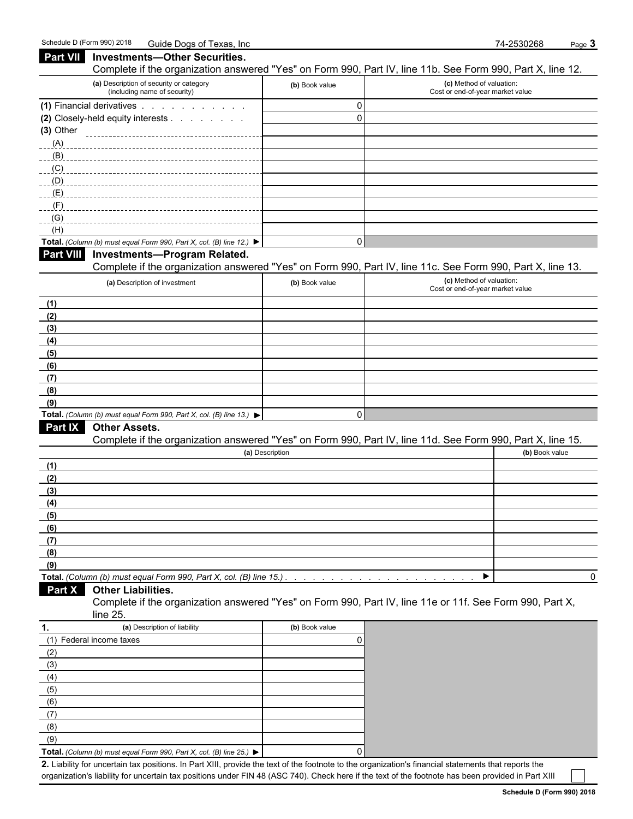|             | Part VII Investments-Other Securities.                                                                               |                 |                                                              |                |
|-------------|----------------------------------------------------------------------------------------------------------------------|-----------------|--------------------------------------------------------------|----------------|
|             | Complete if the organization answered "Yes" on Form 990, Part IV, line 11b. See Form 990, Part X, line 12.           |                 |                                                              |                |
|             | (a) Description of security or category<br>(including name of security)                                              | (b) Book value  | (c) Method of valuation:<br>Cost or end-of-year market value |                |
|             | (1) Financial derivatives                                                                                            | 0               |                                                              |                |
|             | (2) Closely-held equity interests                                                                                    | $\Omega$        |                                                              |                |
| $(3)$ Other |                                                                                                                      |                 |                                                              |                |
| (A)         |                                                                                                                      |                 |                                                              |                |
|             |                                                                                                                      |                 |                                                              |                |
| (C)         |                                                                                                                      |                 |                                                              |                |
| (D)         |                                                                                                                      |                 |                                                              |                |
| (E)         |                                                                                                                      |                 |                                                              |                |
| (F)         |                                                                                                                      |                 |                                                              |                |
| (G)         |                                                                                                                      |                 |                                                              |                |
| (H)         | Total. (Column (b) must equal Form 990, Part X, col. (B) line 12.) $\blacktriangleright$                             | 0               |                                                              |                |
|             | Part VIII Investments-Program Related.                                                                               |                 |                                                              |                |
|             | Complete if the organization answered "Yes" on Form 990, Part IV, line 11c. See Form 990, Part X, line 13.           |                 |                                                              |                |
|             | (a) Description of investment                                                                                        | (b) Book value  | (c) Method of valuation:<br>Cost or end-of-year market value |                |
| (1)         |                                                                                                                      |                 |                                                              |                |
| (2)         |                                                                                                                      |                 |                                                              |                |
| (3)         |                                                                                                                      |                 |                                                              |                |
| (4)         |                                                                                                                      |                 |                                                              |                |
| (5)         |                                                                                                                      |                 |                                                              |                |
| (6)<br>(7)  |                                                                                                                      |                 |                                                              |                |
| (8)         |                                                                                                                      |                 |                                                              |                |
| (9)         |                                                                                                                      |                 |                                                              |                |
|             | Total. (Column (b) must equal Form 990, Part X, col. (B) line 13.)                                                   | 0               |                                                              |                |
| Part IX     | <b>Other Assets.</b>                                                                                                 |                 |                                                              |                |
|             | Complete if the organization answered "Yes" on Form 990, Part IV, line 11d. See Form 990, Part X, line 15.           |                 |                                                              |                |
|             |                                                                                                                      | (a) Description |                                                              | (b) Book value |
| (1)         |                                                                                                                      |                 |                                                              |                |
| (2)         |                                                                                                                      |                 |                                                              |                |
| (3)         |                                                                                                                      |                 |                                                              |                |
| (4)         |                                                                                                                      |                 |                                                              |                |
| (5)         |                                                                                                                      |                 |                                                              |                |
| (6)         |                                                                                                                      |                 |                                                              |                |
| (7)         |                                                                                                                      |                 |                                                              |                |
| (8)         |                                                                                                                      |                 |                                                              |                |
| (9)         |                                                                                                                      |                 |                                                              |                |
|             | Total. (Column (b) must equal Form 990, Part X, col. (B) line 15.)                                                   |                 | ▶                                                            | 0              |
| Part X      | <b>Other Liabilities.</b>                                                                                            |                 |                                                              |                |
|             | Complete if the organization answered "Yes" on Form 990, Part IV, line 11e or 11f. See Form 990, Part X,<br>line 25. |                 |                                                              |                |
| 1.          | (a) Description of liability                                                                                         | (b) Book value  |                                                              |                |
|             | (1) Federal income taxes                                                                                             | 0               |                                                              |                |
| (2)         |                                                                                                                      |                 |                                                              |                |
| (3)         |                                                                                                                      |                 |                                                              |                |
| (4)         |                                                                                                                      |                 |                                                              |                |
| (5)         |                                                                                                                      |                 |                                                              |                |
| (6)         |                                                                                                                      |                 |                                                              |                |
| (7)         |                                                                                                                      |                 |                                                              |                |

(9) **Total.** *(Column (b) must equal Form 990, Part X, col.* (*B) line 25.)* ▶ | (0)

(8)

**2.** Liability for uncertain tax positions. In Part XIII, provide the text of the footnote to the organization's financial statements that reports the organization's liability for uncertain tax positions under FIN 48 (ASC 740). Check here if the text of the footnote has been provided in Part XIII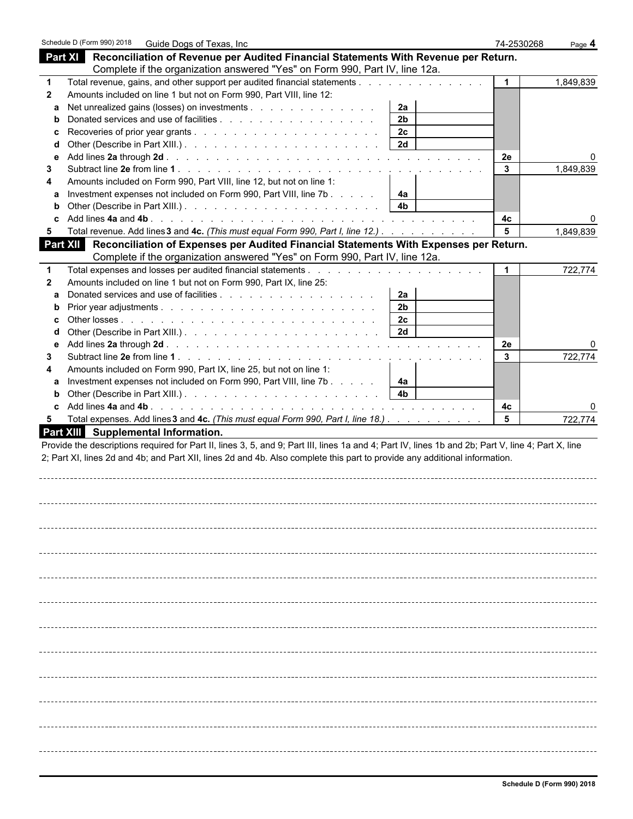|              | Schedule D (Form 990) 2018 | Guide Dogs of Texas, Inc.                                                                                                                          |                      | 74-2530268   | Page 4    |
|--------------|----------------------------|----------------------------------------------------------------------------------------------------------------------------------------------------|----------------------|--------------|-----------|
|              | Part XI                    | Reconciliation of Revenue per Audited Financial Statements With Revenue per Return.                                                                |                      |              |           |
|              |                            | Complete if the organization answered "Yes" on Form 990, Part IV, line 12a.                                                                        |                      |              |           |
| 1            |                            | Total revenue, gains, and other support per audited financial statements                                                                           |                      | $\mathbf{1}$ | 1,849,839 |
| 2            |                            | Amounts included on line 1 but not on Form 990, Part VIII, line 12:                                                                                |                      |              |           |
| a            |                            | Net unrealized gains (losses) on investments                                                                                                       | 2a                   |              |           |
|              |                            |                                                                                                                                                    | 2 <sub>b</sub>       |              |           |
|              |                            |                                                                                                                                                    | 2c                   |              |           |
|              |                            |                                                                                                                                                    | 2d                   |              |           |
| е            |                            |                                                                                                                                                    |                      | 2e           |           |
| 3            |                            |                                                                                                                                                    |                      | 3            | 1,849,839 |
| 4            |                            | Amounts included on Form 990, Part VIII, line 12, but not on line 1:                                                                               |                      |              |           |
| a            |                            | Investment expenses not included on Form 990, Part VIII, line 7b                                                                                   | 4a                   |              |           |
|              |                            |                                                                                                                                                    | 4 <sub>b</sub>       |              |           |
|              |                            |                                                                                                                                                    |                      | 4c           |           |
| 5            |                            | Total revenue. Add lines 3 and 4c. (This must equal Form 990, Part I, line 12.)                                                                    |                      | 5            | 1,849,839 |
|              |                            | Part XII Reconciliation of Expenses per Audited Financial Statements With Expenses per Return.                                                     |                      |              |           |
|              |                            | Complete if the organization answered "Yes" on Form 990, Part IV, line 12a.                                                                        |                      |              |           |
| 1            |                            |                                                                                                                                                    |                      |              | 722,774   |
| $\mathbf{2}$ |                            | Amounts included on line 1 but not on Form 990, Part IX, line 25:                                                                                  |                      |              |           |
|              |                            |                                                                                                                                                    | 2a<br>2 <sub>b</sub> |              |           |
|              |                            |                                                                                                                                                    | 2 <sub>c</sub>       |              |           |
|              |                            |                                                                                                                                                    | 2d                   |              |           |
| е            |                            |                                                                                                                                                    |                      | 2e           |           |
| 3            |                            |                                                                                                                                                    |                      | 3            | 722,774   |
| 4            |                            | Amounts included on Form 990, Part IX, line 25, but not on line 1:                                                                                 |                      |              |           |
| a            |                            | Investment expenses not included on Form 990, Part VIII, line 7b                                                                                   | 4a                   |              |           |
|              |                            |                                                                                                                                                    | 4 <sub>b</sub>       |              |           |
|              |                            |                                                                                                                                                    |                      | 4c           | 0         |
| 5            |                            | Total expenses. Add lines 3 and 4c. (This must equal Form 990, Part I, line 18.)                                                                   |                      | 5            | 722,774   |
|              |                            | Part XIII Supplemental Information.                                                                                                                |                      |              |           |
|              |                            | Provide the descriptions required for Part II, lines 3, 5, and 9; Part III, lines 1a and 4; Part IV, lines 1b and 2b; Part V, line 4; Part X, line |                      |              |           |
|              |                            | 2; Part XI, lines 2d and 4b; and Part XII, lines 2d and 4b. Also complete this part to provide any additional information.                         |                      |              |           |
|              |                            |                                                                                                                                                    |                      |              |           |
|              |                            |                                                                                                                                                    |                      |              |           |
|              |                            |                                                                                                                                                    |                      |              |           |
|              |                            |                                                                                                                                                    |                      |              |           |
|              |                            |                                                                                                                                                    |                      |              |           |
|              |                            |                                                                                                                                                    |                      |              |           |
|              |                            |                                                                                                                                                    |                      |              |           |
|              |                            |                                                                                                                                                    |                      |              |           |
|              |                            |                                                                                                                                                    |                      |              |           |
|              |                            |                                                                                                                                                    |                      |              |           |
|              |                            |                                                                                                                                                    |                      |              |           |
|              |                            |                                                                                                                                                    |                      |              |           |
|              |                            |                                                                                                                                                    |                      |              |           |
|              |                            |                                                                                                                                                    |                      |              |           |
|              |                            |                                                                                                                                                    |                      |              |           |
|              |                            |                                                                                                                                                    |                      |              |           |
|              |                            |                                                                                                                                                    |                      |              |           |
|              |                            |                                                                                                                                                    |                      |              |           |
|              |                            |                                                                                                                                                    |                      |              |           |
|              |                            |                                                                                                                                                    |                      |              |           |
|              |                            |                                                                                                                                                    |                      |              |           |
|              |                            |                                                                                                                                                    |                      |              |           |
|              |                            |                                                                                                                                                    |                      |              |           |
|              |                            |                                                                                                                                                    |                      |              |           |
|              |                            |                                                                                                                                                    |                      |              |           |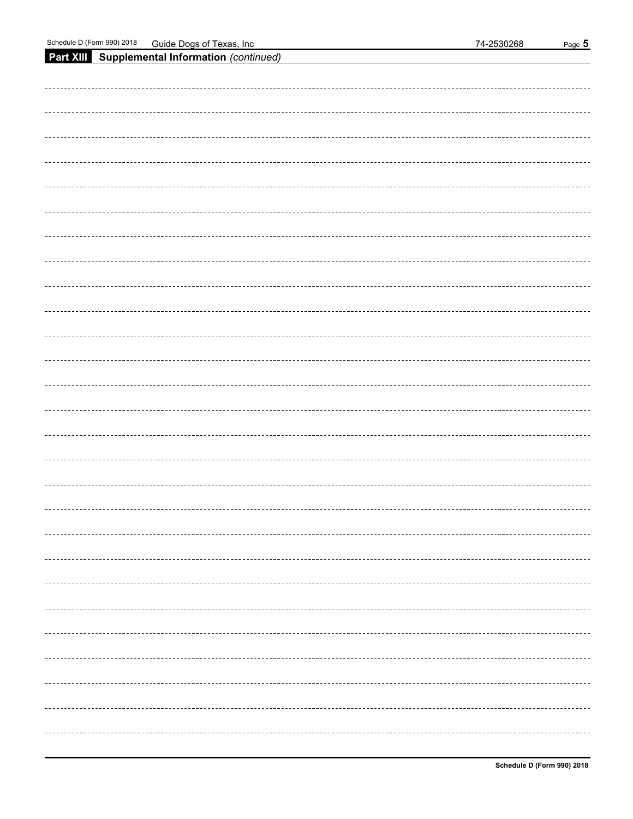| ------------------- |
|---------------------|
|                     |
|                     |
| ------------------- |
|                     |
| ------------------- |
|                     |
| ------------------- |
|                     |
|                     |
| ------------------  |
|                     |
| .                   |
|                     |
|                     |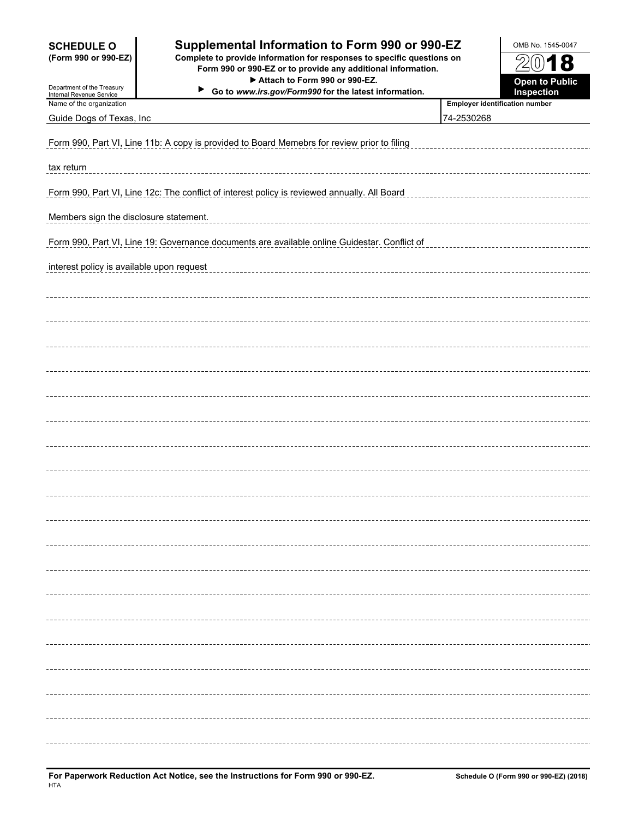| <b>SCHEDULE O</b><br>(Form 990 or 990-EZ)<br>Department of the Treasury                      | Supplemental Information to Form 990 or 990-EZ<br>Complete to provide information for responses to specific questions on<br>Form 990 or 990-EZ or to provide any additional information.<br>Attach to Form 990 or 990-EZ.<br>▶ |                                       | OMB No. 1545-0047<br>2<br>$0)$ <b>18</b><br><b>Open to Public</b> |  |  |  |
|----------------------------------------------------------------------------------------------|--------------------------------------------------------------------------------------------------------------------------------------------------------------------------------------------------------------------------------|---------------------------------------|-------------------------------------------------------------------|--|--|--|
| Internal Revenue Service<br>Name of the organization                                         | Go to www.irs.gov/Form990 for the latest information.                                                                                                                                                                          | <b>Employer identification number</b> | Inspection                                                        |  |  |  |
| Guide Dogs of Texas, Inc                                                                     |                                                                                                                                                                                                                                | 74-2530268                            |                                                                   |  |  |  |
|                                                                                              | Form 990, Part VI, Line 11b: A copy is provided to Board Memebrs for review prior to filing                                                                                                                                    |                                       |                                                                   |  |  |  |
| tax return                                                                                   |                                                                                                                                                                                                                                |                                       |                                                                   |  |  |  |
| Form 990, Part VI, Line 12c: The conflict of interest policy is reviewed annually. All Board |                                                                                                                                                                                                                                |                                       |                                                                   |  |  |  |
| Members sign the disclosure statement.                                                       |                                                                                                                                                                                                                                |                                       |                                                                   |  |  |  |
|                                                                                              | Form 990, Part VI, Line 19: Governance documents are available online Guidestar. Conflict of                                                                                                                                   |                                       |                                                                   |  |  |  |
| interest policy is available upon request                                                    |                                                                                                                                                                                                                                |                                       |                                                                   |  |  |  |
|                                                                                              |                                                                                                                                                                                                                                |                                       |                                                                   |  |  |  |
|                                                                                              |                                                                                                                                                                                                                                |                                       |                                                                   |  |  |  |
|                                                                                              |                                                                                                                                                                                                                                |                                       |                                                                   |  |  |  |
|                                                                                              |                                                                                                                                                                                                                                |                                       |                                                                   |  |  |  |
|                                                                                              |                                                                                                                                                                                                                                |                                       |                                                                   |  |  |  |
|                                                                                              |                                                                                                                                                                                                                                |                                       |                                                                   |  |  |  |
|                                                                                              |                                                                                                                                                                                                                                |                                       |                                                                   |  |  |  |
|                                                                                              |                                                                                                                                                                                                                                |                                       |                                                                   |  |  |  |
|                                                                                              |                                                                                                                                                                                                                                |                                       |                                                                   |  |  |  |
|                                                                                              |                                                                                                                                                                                                                                |                                       |                                                                   |  |  |  |
|                                                                                              |                                                                                                                                                                                                                                |                                       |                                                                   |  |  |  |
|                                                                                              |                                                                                                                                                                                                                                |                                       |                                                                   |  |  |  |
|                                                                                              |                                                                                                                                                                                                                                |                                       |                                                                   |  |  |  |
|                                                                                              |                                                                                                                                                                                                                                |                                       |                                                                   |  |  |  |
|                                                                                              |                                                                                                                                                                                                                                |                                       |                                                                   |  |  |  |
|                                                                                              |                                                                                                                                                                                                                                |                                       |                                                                   |  |  |  |
|                                                                                              |                                                                                                                                                                                                                                |                                       |                                                                   |  |  |  |
|                                                                                              |                                                                                                                                                                                                                                |                                       |                                                                   |  |  |  |
|                                                                                              |                                                                                                                                                                                                                                |                                       |                                                                   |  |  |  |
|                                                                                              |                                                                                                                                                                                                                                |                                       |                                                                   |  |  |  |